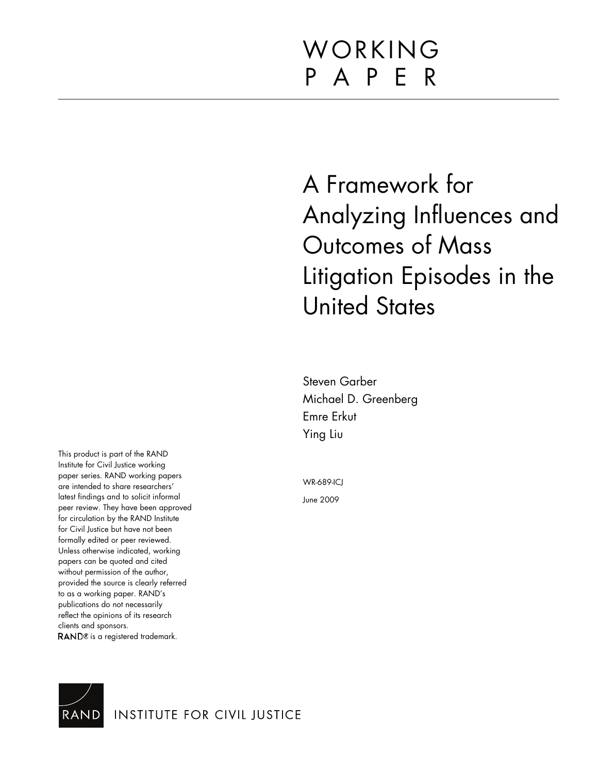# WORKING P A P E R

A Framework for Analyzing Influences and Outcomes of Mass Litigation Episodes in the United States

Steven Garber Michael D. Greenberg Emre Erkut Ying Liu

WR-689-ICJ

June 2009

Institute for Civil Justice working paper series. RAND working papers are intended to share researchers' latest findings and to solicit informal peer review. They have been approved for circulation by the RAND Institute for Civil Justice but have not been formally edited or peer reviewed. Unless otherwise indicated, working papers can be quoted and cited without permission of the author, provided the source is clearly referred to as a working paper. RAND's publications do not necessarily reflect the opinions of its research clients and sponsors. RAND<sup>®</sup> is a registered trademark.

This product is part of the RAND



**INSTITUTE FOR CIVIL JUSTICE**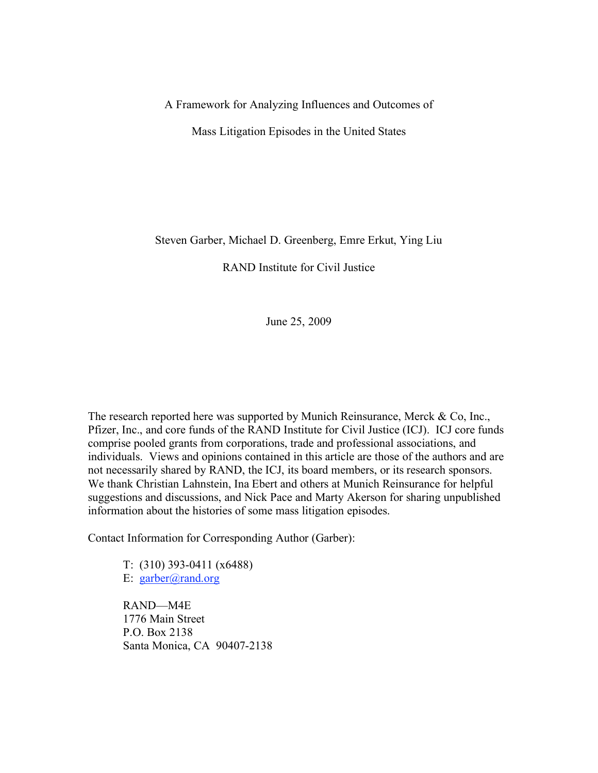# A Framework for Analyzing Influences and Outcomes of

Mass Litigation Episodes in the United States

Steven Garber, Michael D. Greenberg, Emre Erkut, Ying Liu

RAND Institute for Civil Justice

June 25, 2009

The research reported here was supported by Munich Reinsurance, Merck & Co, Inc., Pfizer, Inc., and core funds of the RAND Institute for Civil Justice (ICJ). ICJ core funds comprise pooled grants from corporations, trade and professional associations, and individuals. Views and opinions contained in this article are those of the authors and are not necessarily shared by RAND, the ICJ, its board members, or its research sponsors. We thank Christian Lahnstein, Ina Ebert and others at Munich Reinsurance for helpful suggestions and discussions, and Nick Pace and Marty Akerson for sharing unpublished information about the histories of some mass litigation episodes.

Contact Information for Corresponding Author (Garber):

T: (310) 393-0411 (x6488) E: [garber@rand.org](mailto:garber@rand.org)

RAND—M4E 1776 Main Street P.O. Box 2138 Santa Monica, CA 90407-2138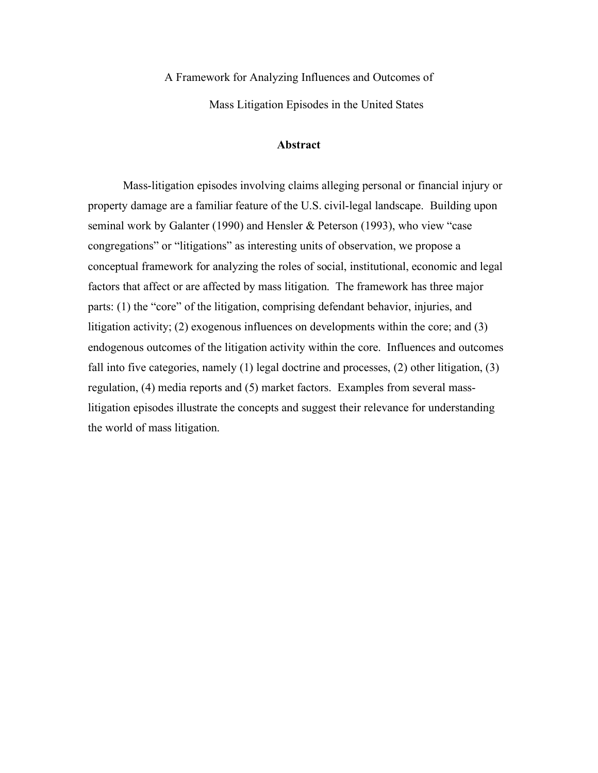A Framework for Analyzing Influences and Outcomes of

Mass Litigation Episodes in the United States

# **Abstract**

Mass-litigation episodes involving claims alleging personal or financial injury or property damage are a familiar feature of the U.S. civil-legal landscape. Building upon seminal work by Galanter (1990) and Hensler & Peterson (1993), who view "case congregations" or "litigations" as interesting units of observation, we propose a conceptual framework for analyzing the roles of social, institutional, economic and legal factors that affect or are affected by mass litigation. The framework has three major parts: (1) the "core" of the litigation, comprising defendant behavior, injuries, and litigation activity; (2) exogenous influences on developments within the core; and (3) endogenous outcomes of the litigation activity within the core. Influences and outcomes fall into five categories, namely (1) legal doctrine and processes, (2) other litigation, (3) regulation, (4) media reports and (5) market factors. Examples from several masslitigation episodes illustrate the concepts and suggest their relevance for understanding the world of mass litigation.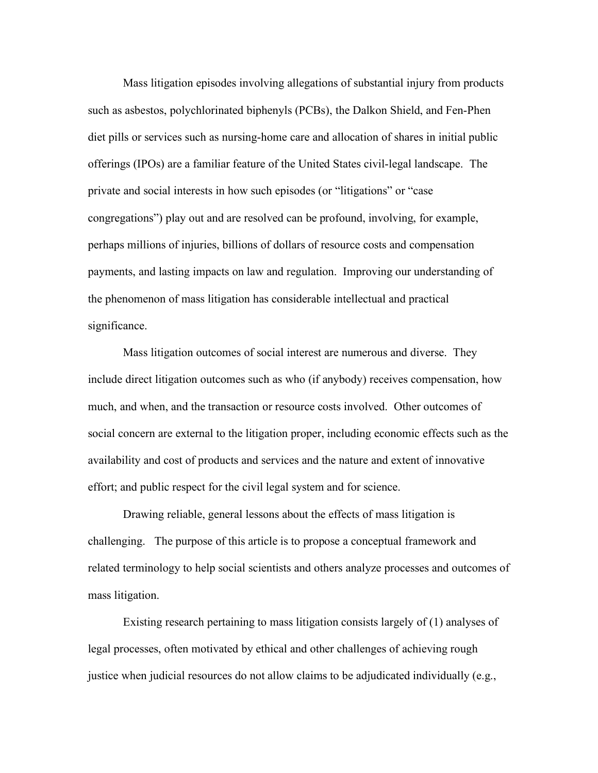Mass litigation episodes involving allegations of substantial injury from products such as asbestos, polychlorinated biphenyls (PCBs), the Dalkon Shield, and Fen-Phen diet pills or services such as nursing-home care and allocation of shares in initial public offerings (IPOs) are a familiar feature of the United States civil-legal landscape. The private and social interests in how such episodes (or "litigations" or "case congregations") play out and are resolved can be profound, involving, for example, perhaps millions of injuries, billions of dollars of resource costs and compensation payments, and lasting impacts on law and regulation. Improving our understanding of the phenomenon of mass litigation has considerable intellectual and practical significance.

Mass litigation outcomes of social interest are numerous and diverse. They include direct litigation outcomes such as who (if anybody) receives compensation, how much, and when, and the transaction or resource costs involved. Other outcomes of social concern are external to the litigation proper, including economic effects such as the availability and cost of products and services and the nature and extent of innovative effort; and public respect for the civil legal system and for science.

Drawing reliable, general lessons about the effects of mass litigation is challenging. The purpose of this article is to propose a conceptual framework and related terminology to help social scientists and others analyze processes and outcomes of mass litigation.

Existing research pertaining to mass litigation consists largely of (1) analyses of legal processes, often motivated by ethical and other challenges of achieving rough justice when judicial resources do not allow claims to be adjudicated individually (e.g.,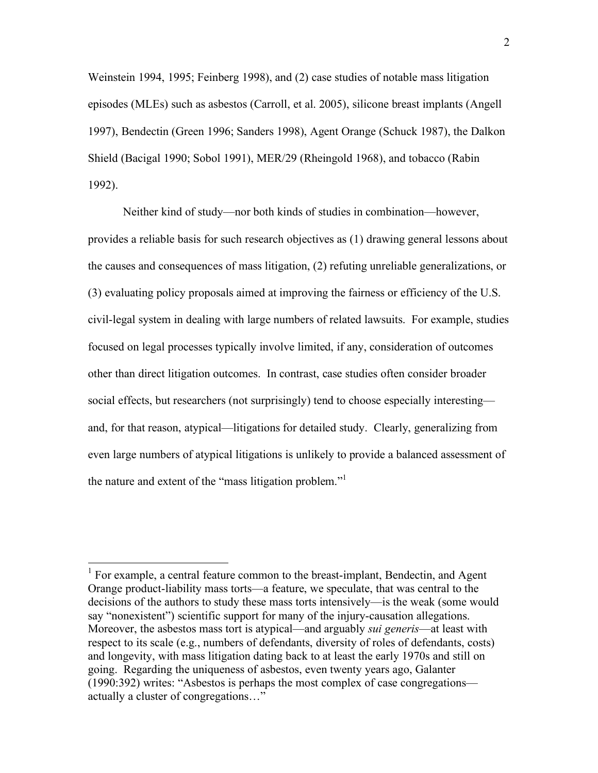Weinstein 1994, 1995; Feinberg 1998), and (2) case studies of notable mass litigation episodes (MLEs) such as asbestos (Carroll, et al. 2005), silicone breast implants (Angell 1997), Bendectin (Green 1996; Sanders 1998), Agent Orange (Schuck 1987), the Dalkon Shield (Bacigal 1990; Sobol 1991), MER/29 (Rheingold 1968), and tobacco (Rabin 1992).

Neither kind of study—nor both kinds of studies in combination—however, provides a reliable basis for such research objectives as (1) drawing general lessons about the causes and consequences of mass litigation, (2) refuting unreliable generalizations, or (3) evaluating policy proposals aimed at improving the fairness or efficiency of the U.S. civil-legal system in dealing with large numbers of related lawsuits. For example, studies focused on legal processes typically involve limited, if any, consideration of outcomes other than direct litigation outcomes. In contrast, case studies often consider broader social effects, but researchers (not surprisingly) tend to choose especially interesting and, for that reason, atypical—litigations for detailed study. Clearly, generalizing from even large numbers of atypical litigations is unlikely to provide a balanced assessment of the nature and extent of the "mass litigation problem."

<sup>&</sup>lt;sup>1</sup> For example, a central feature common to the breast-implant, Bendectin, and Agent Orange product-liability mass torts—a feature, we speculate, that was central to the decisions of the authors to study these mass torts intensively—is the weak (some would say "nonexistent") scientific support for many of the injury-causation allegations. Moreover, the asbestos mass tort is atypical—and arguably *sui generis*—at least with respect to its scale (e.g., numbers of defendants, diversity of roles of defendants, costs) and longevity, with mass litigation dating back to at least the early 1970s and still on going. Regarding the uniqueness of asbestos, even twenty years ago, Galanter (1990:392) writes: "Asbestos is perhaps the most complex of case congregations actually a cluster of congregations…"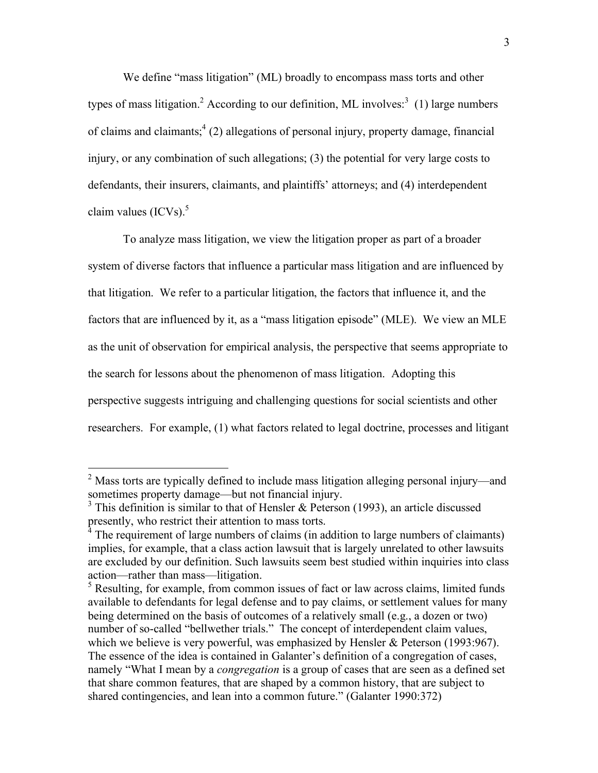We define "mass litigation" (ML) broadly to encompass mass torts and other types of mass litigation.<sup>2</sup> According to our definition, ML involves:<sup>3</sup> (1) large numbers of claims and claimants;  $4(2)$  allegations of personal injury, property damage, financial injury, or any combination of such allegations; (3) the potential for very large costs to defendants, their insurers, claimants, and plaintiffs' attorneys; and (4) interdependent claim values  $(ICVs)^5$ 

To analyze mass litigation, we view the litigation proper as part of a broader system of diverse factors that influence a particular mass litigation and are influenced by that litigation. We refer to a particular litigation, the factors that influence it, and the factors that are influenced by it, as a "mass litigation episode" (MLE). We view an MLE as the unit of observation for empirical analysis, the perspective that seems appropriate to the search for lessons about the phenomenon of mass litigation. Adopting this perspective suggests intriguing and challenging questions for social scientists and other researchers. For example, (1) what factors related to legal doctrine, processes and litigant

<sup>&</sup>lt;sup>2</sup> Mass torts are typically defined to include mass litigation alleging personal injury—and sometimes property damage—but not financial injury.

 $3$  This definition is similar to that of Hensler & Peterson (1993), an article discussed presently, who restrict their attention to mass torts.

<sup>4</sup> The requirement of large numbers of claims (in addition to large numbers of claimants) implies, for example, that a class action lawsuit that is largely unrelated to other lawsuits are excluded by our definition. Such lawsuits seem best studied within inquiries into class action—rather than mass—litigation.

<sup>&</sup>lt;sup>5</sup> Resulting, for example, from common issues of fact or law across claims, limited funds available to defendants for legal defense and to pay claims, or settlement values for many being determined on the basis of outcomes of a relatively small (e.g., a dozen or two) number of so-called "bellwether trials." The concept of interdependent claim values, which we believe is very powerful, was emphasized by Hensler & Peterson (1993:967). The essence of the idea is contained in Galanter's definition of a congregation of cases, namely "What I mean by a *congregation* is a group of cases that are seen as a defined set that share common features, that are shaped by a common history, that are subject to shared contingencies, and lean into a common future." (Galanter 1990:372)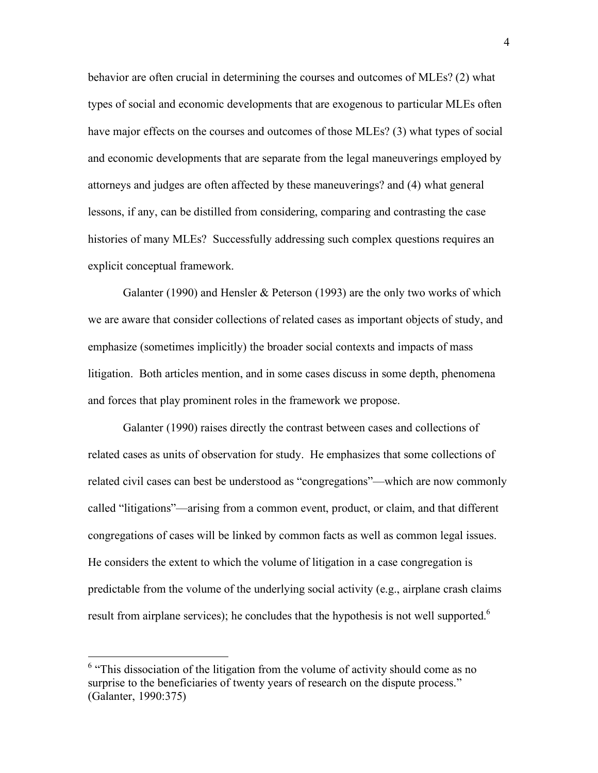behavior are often crucial in determining the courses and outcomes of MLEs? (2) what types of social and economic developments that are exogenous to particular MLEs often have major effects on the courses and outcomes of those MLEs? (3) what types of social and economic developments that are separate from the legal maneuverings employed by attorneys and judges are often affected by these maneuverings? and (4) what general lessons, if any, can be distilled from considering, comparing and contrasting the case histories of many MLEs? Successfully addressing such complex questions requires an explicit conceptual framework.

Galanter (1990) and Hensler & Peterson (1993) are the only two works of which we are aware that consider collections of related cases as important objects of study, and emphasize (sometimes implicitly) the broader social contexts and impacts of mass litigation. Both articles mention, and in some cases discuss in some depth, phenomena and forces that play prominent roles in the framework we propose.

Galanter (1990) raises directly the contrast between cases and collections of related cases as units of observation for study. He emphasizes that some collections of related civil cases can best be understood as "congregations"—which are now commonly called "litigations"—arising from a common event, product, or claim, and that different congregations of cases will be linked by common facts as well as common legal issues. He considers the extent to which the volume of litigation in a case congregation is predictable from the volume of the underlying social activity (e.g., airplane crash claims result from airplane services); he concludes that the hypothesis is not well supported.<sup>6</sup>

<sup>&</sup>lt;sup>6</sup> "This dissociation of the litigation from the volume of activity should come as no surprise to the beneficiaries of twenty years of research on the dispute process." (Galanter, 1990:375)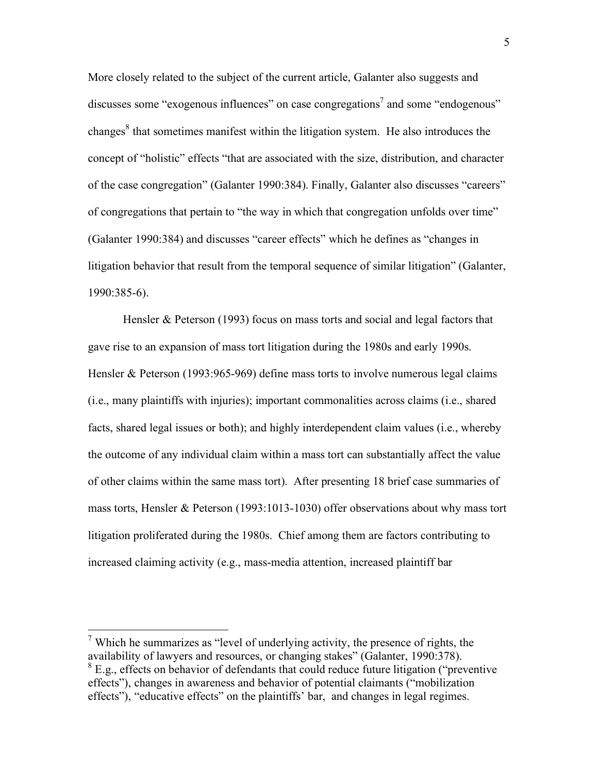More closely related to the subject of the current article, Galanter also suggests and discusses some "exogenous influences" on case congregations<sup>7</sup> and some "endogenous" changes $<sup>8</sup>$  that sometimes manifest within the litigation system. He also introduces the</sup> concept of "holistic" effects "that are associated with the size, distribution, and character of the case congregation" (Galanter 1990:384). Finally, Galanter also discusses "careers" of congregations that pertain to "the way in which that congregation unfolds over time" (Galanter 1990:384) and discusses "career effects" which he defines as "changes in litigation behavior that result from the temporal sequence of similar litigation" (Galanter, 1990:385-6).

Hensler & Peterson (1993) focus on mass torts and social and legal factors that gave rise to an expansion of mass tort litigation during the 1980s and early 1990s. Hensler & Peterson (1993:965-969) define mass torts to involve numerous legal claims (i.e., many plaintiffs with injuries); important commonalities across claims (i.e., shared facts, shared legal issues or both); and highly interdependent claim values (i.e., whereby the outcome of any individual claim within a mass tort can substantially affect the value of other claims within the same mass tort). After presenting 18 brief case summaries of mass torts, Hensler & Peterson (1993:1013-1030) offer observations about why mass tort litigation proliferated during the 1980s. Chief among them are factors contributing to increased claiming activity (e.g., mass-media attention, increased plaintiff bar

<sup>&</sup>lt;sup>7</sup> Which he summarizes as "level of underlying activity, the presence of rights, the availability of lawyers and resources, or changing stakes" (Galanter, 1990:378). <sup>8</sup> E.g., effects on behavior of defendants that could reduce future litigation ("preventive") effects"), changes in awareness and behavior of potential claimants ("mobilization effects"), "educative effects" on the plaintiffs' bar, and changes in legal regimes.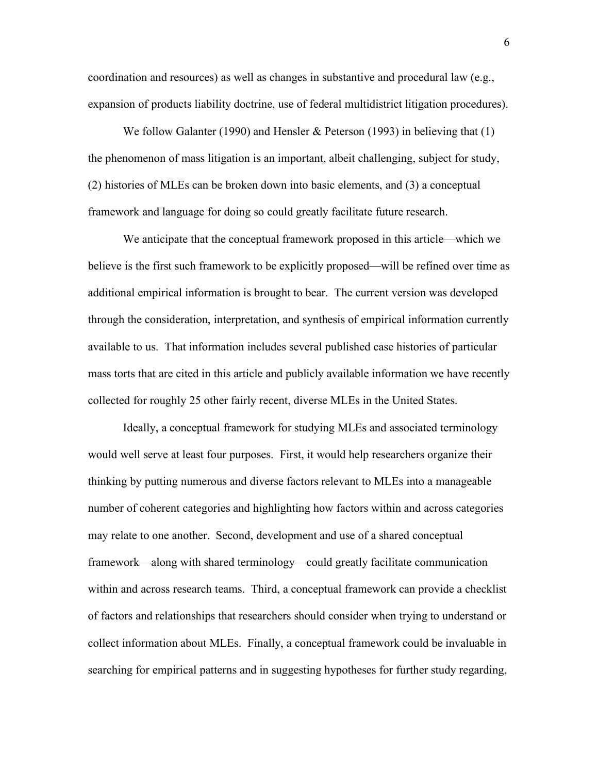coordination and resources) as well as changes in substantive and procedural law (e.g., expansion of products liability doctrine, use of federal multidistrict litigation procedures).

We follow Galanter (1990) and Hensler & Peterson (1993) in believing that (1) the phenomenon of mass litigation is an important, albeit challenging, subject for study, (2) histories of MLEs can be broken down into basic elements, and (3) a conceptual framework and language for doing so could greatly facilitate future research.

We anticipate that the conceptual framework proposed in this article—which we believe is the first such framework to be explicitly proposed—will be refined over time as additional empirical information is brought to bear. The current version was developed through the consideration, interpretation, and synthesis of empirical information currently available to us. That information includes several published case histories of particular mass torts that are cited in this article and publicly available information we have recently collected for roughly 25 other fairly recent, diverse MLEs in the United States.

Ideally, a conceptual framework for studying MLEs and associated terminology would well serve at least four purposes. First, it would help researchers organize their thinking by putting numerous and diverse factors relevant to MLEs into a manageable number of coherent categories and highlighting how factors within and across categories may relate to one another. Second, development and use of a shared conceptual framework—along with shared terminology—could greatly facilitate communication within and across research teams. Third, a conceptual framework can provide a checklist of factors and relationships that researchers should consider when trying to understand or collect information about MLEs. Finally, a conceptual framework could be invaluable in searching for empirical patterns and in suggesting hypotheses for further study regarding,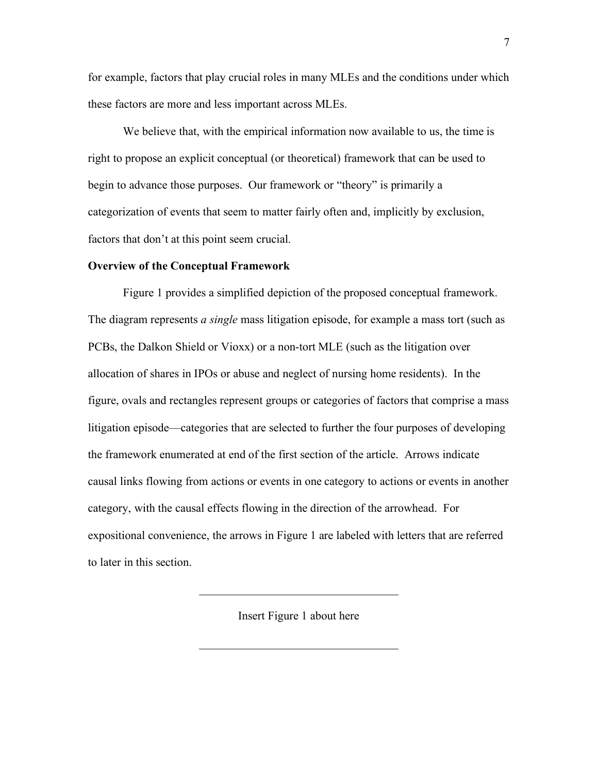for example, factors that play crucial roles in many MLEs and the conditions under which these factors are more and less important across MLEs.

We believe that, with the empirical information now available to us, the time is right to propose an explicit conceptual (or theoretical) framework that can be used to begin to advance those purposes. Our framework or "theory" is primarily a categorization of events that seem to matter fairly often and, implicitly by exclusion, factors that don't at this point seem crucial.

#### **Overview of the Conceptual Framework**

Figure 1 provides a simplified depiction of the proposed conceptual framework. The diagram represents *a single* mass litigation episode, for example a mass tort (such as PCBs, the Dalkon Shield or Vioxx) or a non-tort MLE (such as the litigation over allocation of shares in IPOs or abuse and neglect of nursing home residents). In the figure, ovals and rectangles represent groups or categories of factors that comprise a mass litigation episode—categories that are selected to further the four purposes of developing the framework enumerated at end of the first section of the article. Arrows indicate causal links flowing from actions or events in one category to actions or events in another category, with the causal effects flowing in the direction of the arrowhead. For expositional convenience, the arrows in Figure 1 are labeled with letters that are referred to later in this section.

Insert Figure 1 about here

 $\mathcal{L}_\text{max}$  , where  $\mathcal{L}_\text{max}$  and  $\mathcal{L}_\text{max}$  and  $\mathcal{L}_\text{max}$ 

 $\mathcal{L}_\text{max}$  , where  $\mathcal{L}_\text{max}$  and  $\mathcal{L}_\text{max}$  and  $\mathcal{L}_\text{max}$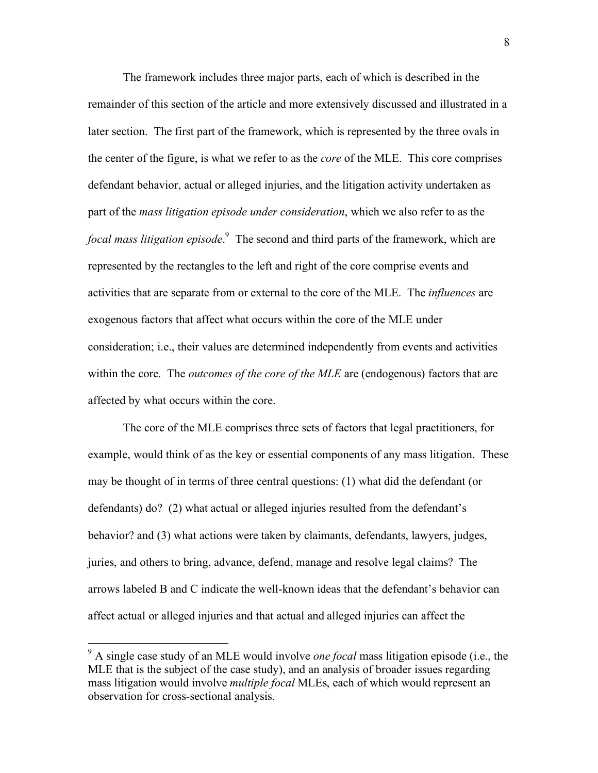The framework includes three major parts, each of which is described in the remainder of this section of the article and more extensively discussed and illustrated in a later section. The first part of the framework, which is represented by the three ovals in the center of the figure, is what we refer to as the *core* of the MLE. This core comprises defendant behavior, actual or alleged injuries, and the litigation activity undertaken as part of the *mass litigation episode under consideration*, which we also refer to as the *focal mass litigation episode*. 9 The second and third parts of the framework, which are represented by the rectangles to the left and right of the core comprise events and activities that are separate from or external to the core of the MLE. The *influences* are exogenous factors that affect what occurs within the core of the MLE under consideration; i.e., their values are determined independently from events and activities within the core. The *outcomes of the core of the MLE* are (endogenous) factors that are affected by what occurs within the core.

The core of the MLE comprises three sets of factors that legal practitioners, for example, would think of as the key or essential components of any mass litigation. These may be thought of in terms of three central questions: (1) what did the defendant (or defendants) do? (2) what actual or alleged injuries resulted from the defendant's behavior? and (3) what actions were taken by claimants, defendants, lawyers, judges, juries, and others to bring, advance, defend, manage and resolve legal claims? The arrows labeled B and C indicate the well-known ideas that the defendant's behavior can affect actual or alleged injuries and that actual and alleged injuries can affect the

 <sup>9</sup> A single case study of an MLE would involve *one focal* mass litigation episode (i.e., the MLE that is the subject of the case study), and an analysis of broader issues regarding mass litigation would involve *multiple focal* MLEs, each of which would represent an observation for cross-sectional analysis.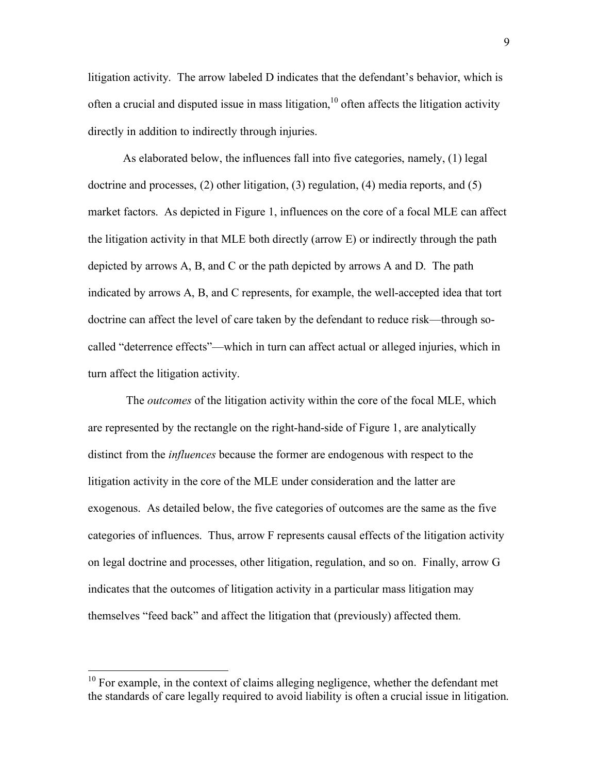litigation activity. The arrow labeled D indicates that the defendant's behavior, which is often a crucial and disputed issue in mass litigation,<sup>10</sup> often affects the litigation activity directly in addition to indirectly through injuries.

As elaborated below, the influences fall into five categories, namely, (1) legal doctrine and processes, (2) other litigation, (3) regulation, (4) media reports, and (5) market factors. As depicted in Figure 1, influences on the core of a focal MLE can affect the litigation activity in that MLE both directly (arrow E) or indirectly through the path depicted by arrows A, B, and C or the path depicted by arrows A and D. The path indicated by arrows A, B, and C represents, for example, the well-accepted idea that tort doctrine can affect the level of care taken by the defendant to reduce risk—through socalled "deterrence effects"—which in turn can affect actual or alleged injuries, which in turn affect the litigation activity.

 The *outcomes* of the litigation activity within the core of the focal MLE, which are represented by the rectangle on the right-hand-side of Figure 1, are analytically distinct from the *influences* because the former are endogenous with respect to the litigation activity in the core of the MLE under consideration and the latter are exogenous. As detailed below, the five categories of outcomes are the same as the five categories of influences. Thus, arrow F represents causal effects of the litigation activity on legal doctrine and processes, other litigation, regulation, and so on. Finally, arrow G indicates that the outcomes of litigation activity in a particular mass litigation may themselves "feed back" and affect the litigation that (previously) affected them.

 $10$  For example, in the context of claims alleging negligence, whether the defendant met the standards of care legally required to avoid liability is often a crucial issue in litigation.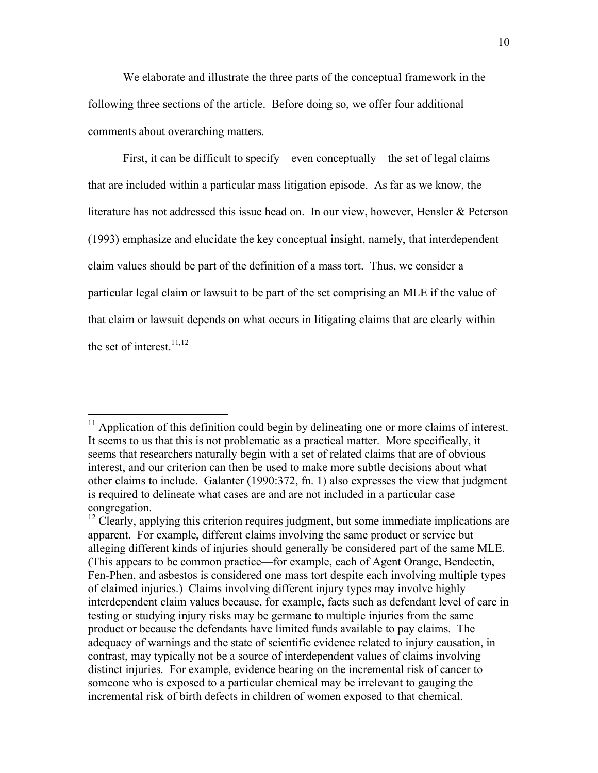We elaborate and illustrate the three parts of the conceptual framework in the following three sections of the article. Before doing so, we offer four additional comments about overarching matters.

First, it can be difficult to specify—even conceptually—the set of legal claims that are included within a particular mass litigation episode. As far as we know, the literature has not addressed this issue head on. In our view, however, Hensler & Peterson (1993) emphasize and elucidate the key conceptual insight, namely, that interdependent claim values should be part of the definition of a mass tort. Thus, we consider a particular legal claim or lawsuit to be part of the set comprising an MLE if the value of that claim or lawsuit depends on what occurs in litigating claims that are clearly within the set of interest. $11,12$ 

<sup>&</sup>lt;sup>11</sup> Application of this definition could begin by delineating one or more claims of interest. It seems to us that this is not problematic as a practical matter. More specifically, it seems that researchers naturally begin with a set of related claims that are of obvious interest, and our criterion can then be used to make more subtle decisions about what other claims to include. Galanter (1990:372, fn. 1) also expresses the view that judgment is required to delineate what cases are and are not included in a particular case congregation.

 $12$  Clearly, applying this criterion requires judgment, but some immediate implications are apparent. For example, different claims involving the same product or service but alleging different kinds of injuries should generally be considered part of the same MLE. (This appears to be common practice—for example, each of Agent Orange, Bendectin, Fen-Phen, and asbestos is considered one mass tort despite each involving multiple types of claimed injuries.) Claims involving different injury types may involve highly interdependent claim values because, for example, facts such as defendant level of care in testing or studying injury risks may be germane to multiple injuries from the same product or because the defendants have limited funds available to pay claims. The adequacy of warnings and the state of scientific evidence related to injury causation, in contrast, may typically not be a source of interdependent values of claims involving distinct injuries. For example, evidence bearing on the incremental risk of cancer to someone who is exposed to a particular chemical may be irrelevant to gauging the incremental risk of birth defects in children of women exposed to that chemical.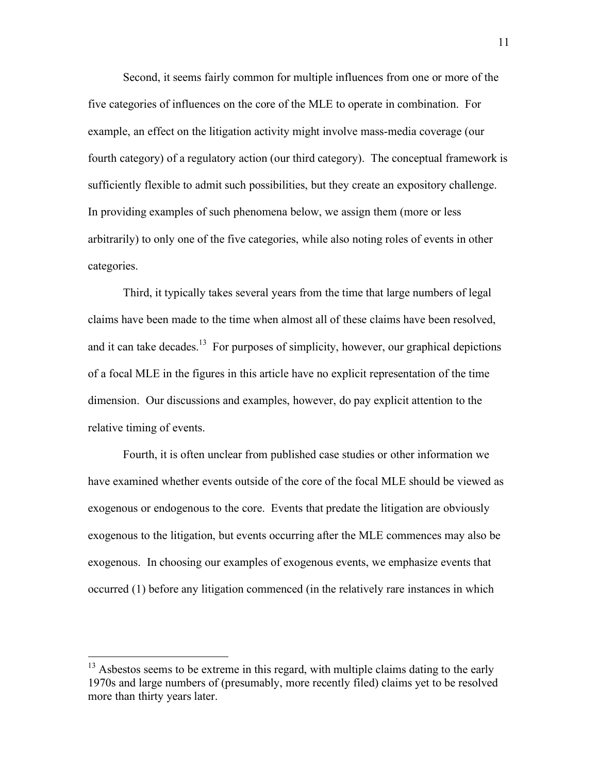Second, it seems fairly common for multiple influences from one or more of the five categories of influences on the core of the MLE to operate in combination. For example, an effect on the litigation activity might involve mass-media coverage (our fourth category) of a regulatory action (our third category). The conceptual framework is sufficiently flexible to admit such possibilities, but they create an expository challenge. In providing examples of such phenomena below, we assign them (more or less arbitrarily) to only one of the five categories, while also noting roles of events in other categories.

Third, it typically takes several years from the time that large numbers of legal claims have been made to the time when almost all of these claims have been resolved, and it can take decades.<sup>13</sup> For purposes of simplicity, however, our graphical depictions of a focal MLE in the figures in this article have no explicit representation of the time dimension. Our discussions and examples, however, do pay explicit attention to the relative timing of events.

Fourth, it is often unclear from published case studies or other information we have examined whether events outside of the core of the focal MLE should be viewed as exogenous or endogenous to the core. Events that predate the litigation are obviously exogenous to the litigation, but events occurring after the MLE commences may also be exogenous. In choosing our examples of exogenous events, we emphasize events that occurred (1) before any litigation commenced (in the relatively rare instances in which

 $13$  Asbestos seems to be extreme in this regard, with multiple claims dating to the early 1970s and large numbers of (presumably, more recently filed) claims yet to be resolved more than thirty years later.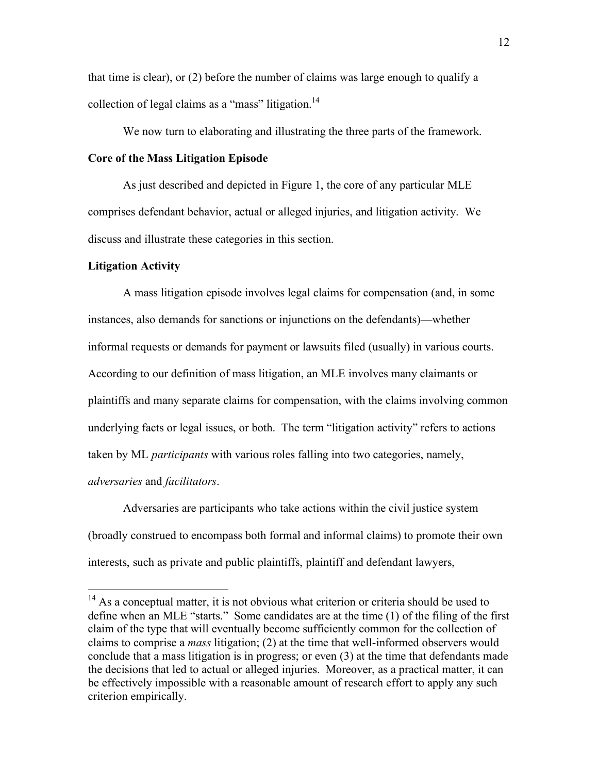that time is clear), or (2) before the number of claims was large enough to qualify a collection of legal claims as a "mass" litigation.<sup>14</sup>

We now turn to elaborating and illustrating the three parts of the framework. **Core of the Mass Litigation Episode** 

As just described and depicted in Figure 1, the core of any particular MLE comprises defendant behavior, actual or alleged injuries, and litigation activity. We discuss and illustrate these categories in this section.

# **Litigation Activity**

A mass litigation episode involves legal claims for compensation (and, in some instances, also demands for sanctions or injunctions on the defendants)—whether informal requests or demands for payment or lawsuits filed (usually) in various courts. According to our definition of mass litigation, an MLE involves many claimants or plaintiffs and many separate claims for compensation, with the claims involving common underlying facts or legal issues, or both. The term "litigation activity" refers to actions taken by ML *participants* with various roles falling into two categories, namely, *adversaries* and *facilitators*.

Adversaries are participants who take actions within the civil justice system (broadly construed to encompass both formal and informal claims) to promote their own interests, such as private and public plaintiffs, plaintiff and defendant lawyers,

<sup>&</sup>lt;sup>14</sup> As a conceptual matter, it is not obvious what criterion or criteria should be used to define when an MLE "starts." Some candidates are at the time (1) of the filing of the first claim of the type that will eventually become sufficiently common for the collection of claims to comprise a *mass* litigation; (2) at the time that well-informed observers would conclude that a mass litigation is in progress; or even (3) at the time that defendants made the decisions that led to actual or alleged injuries. Moreover, as a practical matter, it can be effectively impossible with a reasonable amount of research effort to apply any such criterion empirically.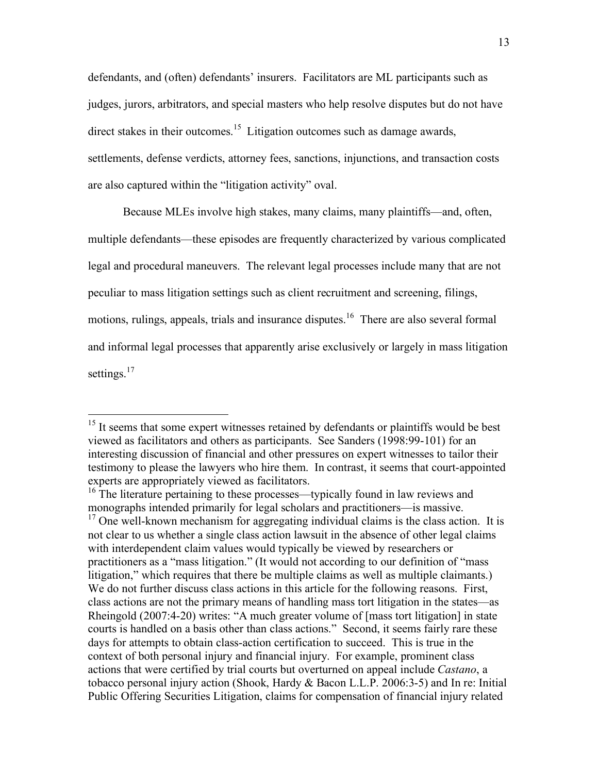defendants, and (often) defendants' insurers. Facilitators are ML participants such as judges, jurors, arbitrators, and special masters who help resolve disputes but do not have direct stakes in their outcomes.<sup>15</sup> Litigation outcomes such as damage awards, settlements, defense verdicts, attorney fees, sanctions, injunctions, and transaction costs are also captured within the "litigation activity" oval.

Because MLEs involve high stakes, many claims, many plaintiffs—and, often,

multiple defendants—these episodes are frequently characterized by various complicated

legal and procedural maneuvers. The relevant legal processes include many that are not

peculiar to mass litigation settings such as client recruitment and screening, filings,

motions, rulings, appeals, trials and insurance disputes.<sup>16</sup> There are also several formal

and informal legal processes that apparently arise exclusively or largely in mass litigation

settings.<sup>17</sup>

<sup>&</sup>lt;sup>15</sup> It seems that some expert witnesses retained by defendants or plaintiffs would be best viewed as facilitators and others as participants. See Sanders (1998:99-101) for an interesting discussion of financial and other pressures on expert witnesses to tailor their testimony to please the lawyers who hire them. In contrast, it seems that court-appointed experts are appropriately viewed as facilitators.

<sup>&</sup>lt;sup>16</sup> The literature pertaining to these processes—typically found in law reviews and monographs intended primarily for legal scholars and practitioners—is massive.  $17$  One well-known mechanism for aggregating individual claims is the class action. It is not clear to us whether a single class action lawsuit in the absence of other legal claims with interdependent claim values would typically be viewed by researchers or practitioners as a "mass litigation." (It would not according to our definition of "mass litigation," which requires that there be multiple claims as well as multiple claimants.) We do not further discuss class actions in this article for the following reasons. First, class actions are not the primary means of handling mass tort litigation in the states—as Rheingold (2007:4-20) writes: "A much greater volume of [mass tort litigation] in state courts is handled on a basis other than class actions." Second, it seems fairly rare these days for attempts to obtain class-action certification to succeed. This is true in the context of both personal injury and financial injury. For example, prominent class actions that were certified by trial courts but overturned on appeal include *Castano*, a tobacco personal injury action (Shook, Hardy & Bacon L.L.P. 2006:3-5) and In re: Initial Public Offering Securities Litigation, claims for compensation of financial injury related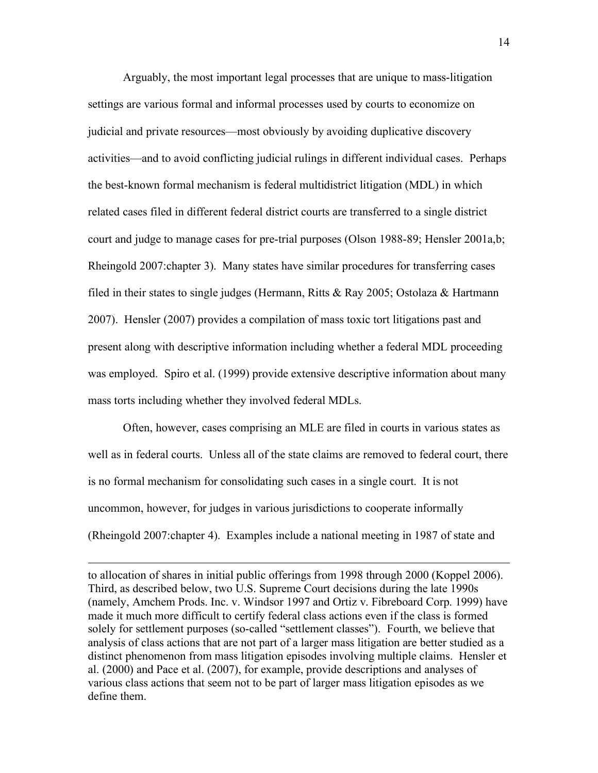Arguably, the most important legal processes that are unique to mass-litigation settings are various formal and informal processes used by courts to economize on judicial and private resources—most obviously by avoiding duplicative discovery activities—and to avoid conflicting judicial rulings in different individual cases. Perhaps the best-known formal mechanism is federal multidistrict litigation (MDL) in which related cases filed in different federal district courts are transferred to a single district court and judge to manage cases for pre-trial purposes (Olson 1988-89; Hensler 2001a,b; Rheingold 2007:chapter 3). Many states have similar procedures for transferring cases filed in their states to single judges (Hermann, Ritts & Ray 2005; Ostolaza & Hartmann 2007). Hensler (2007) provides a compilation of mass toxic tort litigations past and present along with descriptive information including whether a federal MDL proceeding was employed. Spiro et al. (1999) provide extensive descriptive information about many mass torts including whether they involved federal MDLs.

Often, however, cases comprising an MLE are filed in courts in various states as well as in federal courts. Unless all of the state claims are removed to federal court, there is no formal mechanism for consolidating such cases in a single court. It is not uncommon, however, for judges in various jurisdictions to cooperate informally (Rheingold 2007:chapter 4). Examples include a national meeting in 1987 of state and

to allocation of shares in initial public offerings from 1998 through 2000 (Koppel 2006). Third, as described below, two U.S. Supreme Court decisions during the late 1990s (namely, Amchem Prods. Inc. v. Windsor 1997 and Ortiz v. Fibreboard Corp. 1999) have made it much more difficult to certify federal class actions even if the class is formed solely for settlement purposes (so-called "settlement classes"). Fourth, we believe that analysis of class actions that are not part of a larger mass litigation are better studied as a distinct phenomenon from mass litigation episodes involving multiple claims. Hensler et al. (2000) and Pace et al. (2007), for example, provide descriptions and analyses of various class actions that seem not to be part of larger mass litigation episodes as we define them.

 $\overline{a}$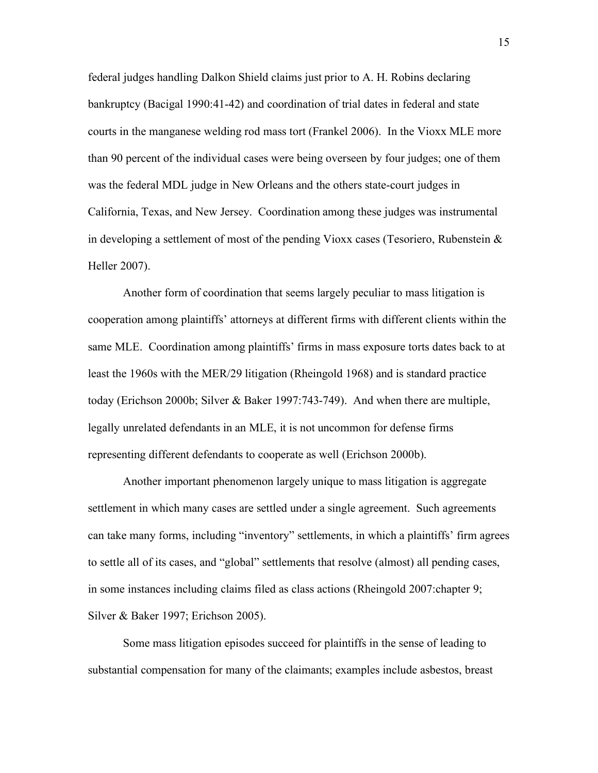federal judges handling Dalkon Shield claims just prior to A. H. Robins declaring bankruptcy (Bacigal 1990:41-42) and coordination of trial dates in federal and state courts in the manganese welding rod mass tort (Frankel 2006). In the Vioxx MLE more than 90 percent of the individual cases were being overseen by four judges; one of them was the federal MDL judge in New Orleans and the others state-court judges in California, Texas, and New Jersey. Coordination among these judges was instrumental in developing a settlement of most of the pending Vioxx cases (Tesoriero, Rubenstein  $\&$ Heller 2007).

Another form of coordination that seems largely peculiar to mass litigation is cooperation among plaintiffs' attorneys at different firms with different clients within the same MLE. Coordination among plaintiffs' firms in mass exposure torts dates back to at least the 1960s with the MER/29 litigation (Rheingold 1968) and is standard practice today (Erichson 2000b; Silver & Baker 1997:743-749). And when there are multiple, legally unrelated defendants in an MLE, it is not uncommon for defense firms representing different defendants to cooperate as well (Erichson 2000b).

Another important phenomenon largely unique to mass litigation is aggregate settlement in which many cases are settled under a single agreement. Such agreements can take many forms, including "inventory" settlements, in which a plaintiffs' firm agrees to settle all of its cases, and "global" settlements that resolve (almost) all pending cases, in some instances including claims filed as class actions (Rheingold 2007:chapter 9; Silver & Baker 1997; Erichson 2005).

Some mass litigation episodes succeed for plaintiffs in the sense of leading to substantial compensation for many of the claimants; examples include asbestos, breast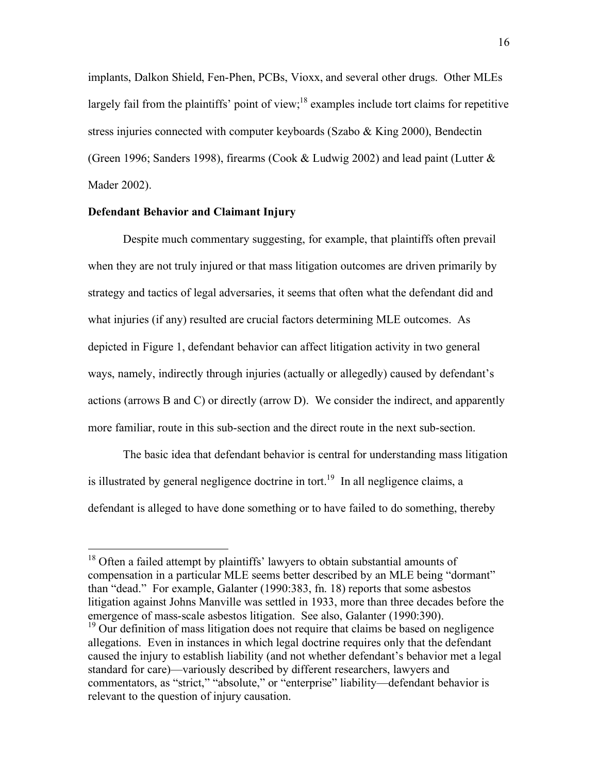implants, Dalkon Shield, Fen-Phen, PCBs, Vioxx, and several other drugs. Other MLEs largely fail from the plaintiffs' point of view;<sup>18</sup> examples include tort claims for repetitive stress injuries connected with computer keyboards (Szabo & King 2000), Bendectin (Green 1996; Sanders 1998), firearms (Cook & Ludwig 2002) and lead paint (Lutter  $\&$ Mader 2002).

# **Defendant Behavior and Claimant Injury**

Despite much commentary suggesting, for example, that plaintiffs often prevail when they are not truly injured or that mass litigation outcomes are driven primarily by strategy and tactics of legal adversaries, it seems that often what the defendant did and what injuries (if any) resulted are crucial factors determining MLE outcomes. As depicted in Figure 1, defendant behavior can affect litigation activity in two general ways, namely, indirectly through injuries (actually or allegedly) caused by defendant's actions (arrows B and C) or directly (arrow D). We consider the indirect, and apparently more familiar, route in this sub-section and the direct route in the next sub-section.

The basic idea that defendant behavior is central for understanding mass litigation is illustrated by general negligence doctrine in tort.<sup>19</sup> In all negligence claims, a defendant is alleged to have done something or to have failed to do something, thereby

<sup>&</sup>lt;sup>18</sup> Often a failed attempt by plaintiffs' lawyers to obtain substantial amounts of compensation in a particular MLE seems better described by an MLE being "dormant" than "dead." For example, Galanter (1990:383, fn. 18) reports that some asbestos litigation against Johns Manville was settled in 1933, more than three decades before the emergence of mass-scale asbestos litigation. See also, Galanter (1990:390).

 $19$  Our definition of mass litigation does not require that claims be based on negligence allegations. Even in instances in which legal doctrine requires only that the defendant caused the injury to establish liability (and not whether defendant's behavior met a legal standard for care)—variously described by different researchers, lawyers and commentators, as "strict," "absolute," or "enterprise" liability—defendant behavior is relevant to the question of injury causation.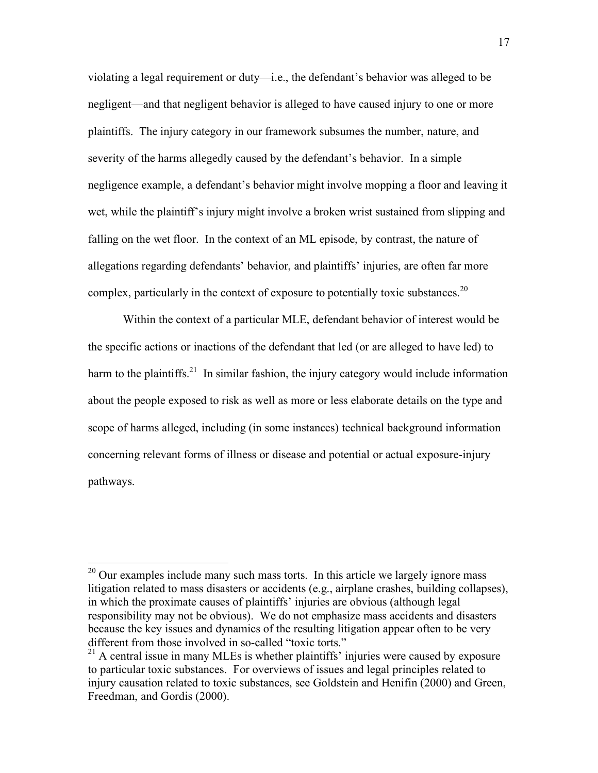violating a legal requirement or duty—i.e., the defendant's behavior was alleged to be negligent—and that negligent behavior is alleged to have caused injury to one or more plaintiffs. The injury category in our framework subsumes the number, nature, and severity of the harms allegedly caused by the defendant's behavior. In a simple negligence example, a defendant's behavior might involve mopping a floor and leaving it wet, while the plaintiff's injury might involve a broken wrist sustained from slipping and falling on the wet floor. In the context of an ML episode, by contrast, the nature of allegations regarding defendants' behavior, and plaintiffs' injuries, are often far more complex, particularly in the context of exposure to potentially toxic substances.<sup>20</sup>

Within the context of a particular MLE, defendant behavior of interest would be the specific actions or inactions of the defendant that led (or are alleged to have led) to harm to the plaintiffs.<sup>21</sup> In similar fashion, the injury category would include information about the people exposed to risk as well as more or less elaborate details on the type and scope of harms alleged, including (in some instances) technical background information concerning relevant forms of illness or disease and potential or actual exposure-injury pathways.

 $20$  Our examples include many such mass torts. In this article we largely ignore mass litigation related to mass disasters or accidents (e.g., airplane crashes, building collapses), in which the proximate causes of plaintiffs' injuries are obvious (although legal responsibility may not be obvious). We do not emphasize mass accidents and disasters because the key issues and dynamics of the resulting litigation appear often to be very different from those involved in so-called "toxic torts."

 $21$  A central issue in many MLEs is whether plaintiffs' injuries were caused by exposure to particular toxic substances. For overviews of issues and legal principles related to injury causation related to toxic substances, see Goldstein and Henifin (2000) and Green, Freedman, and Gordis (2000).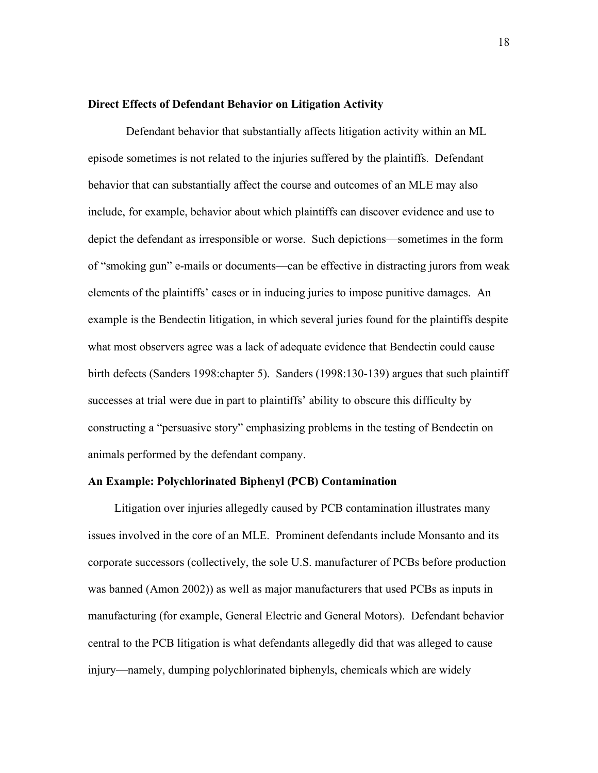#### **Direct Effects of Defendant Behavior on Litigation Activity**

 Defendant behavior that substantially affects litigation activity within an ML episode sometimes is not related to the injuries suffered by the plaintiffs. Defendant behavior that can substantially affect the course and outcomes of an MLE may also include, for example, behavior about which plaintiffs can discover evidence and use to depict the defendant as irresponsible or worse. Such depictions—sometimes in the form of "smoking gun" e-mails or documents—can be effective in distracting jurors from weak elements of the plaintiffs' cases or in inducing juries to impose punitive damages. An example is the Bendectin litigation, in which several juries found for the plaintiffs despite what most observers agree was a lack of adequate evidence that Bendectin could cause birth defects (Sanders 1998:chapter 5). Sanders (1998:130-139) argues that such plaintiff successes at trial were due in part to plaintiffs' ability to obscure this difficulty by constructing a "persuasive story" emphasizing problems in the testing of Bendectin on animals performed by the defendant company.

#### **An Example: Polychlorinated Biphenyl (PCB) Contamination**

Litigation over injuries allegedly caused by PCB contamination illustrates many issues involved in the core of an MLE. Prominent defendants include Monsanto and its corporate successors (collectively, the sole U.S. manufacturer of PCBs before production was banned (Amon 2002)) as well as major manufacturers that used PCBs as inputs in manufacturing (for example, General Electric and General Motors). Defendant behavior central to the PCB litigation is what defendants allegedly did that was alleged to cause injury—namely, dumping polychlorinated biphenyls, chemicals which are widely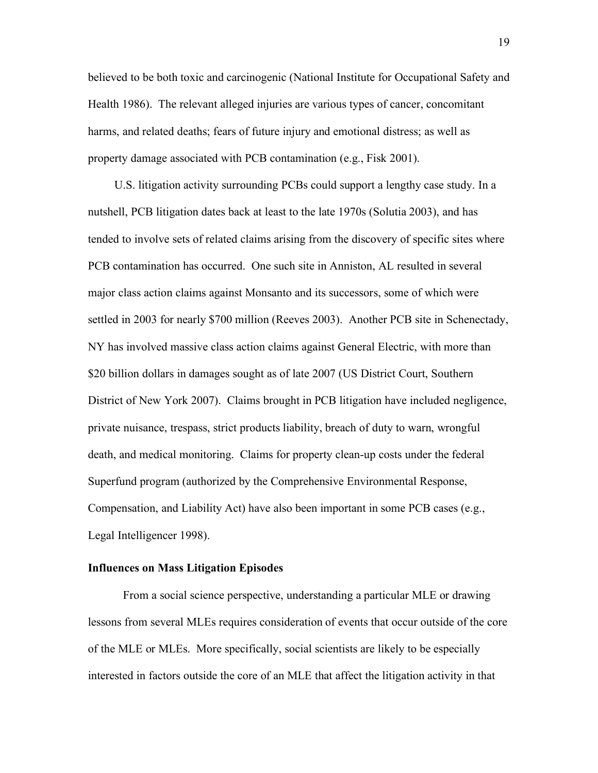believed to be both toxic and carcinogenic (National Institute for Occupational Safety and Health 1986). The relevant alleged injuries are various types of cancer, concomitant harms, and related deaths; fears of future injury and emotional distress; as well as property damage associated with PCB contamination (e.g., Fisk 2001).

U.S. litigation activity surrounding PCBs could support a lengthy case study. In a nutshell, PCB litigation dates back at least to the late 1970s (Solutia 2003), and has tended to involve sets of related claims arising from the discovery of specific sites where PCB contamination has occurred. One such site in Anniston, AL resulted in several major class action claims against Monsanto and its successors, some of which were settled in 2003 for nearly \$700 million (Reeves 2003). Another PCB site in Schenectady, NY has involved massive class action claims against General Electric, with more than \$20 billion dollars in damages sought as of late 2007 (US District Court, Southern District of New York 2007). Claims brought in PCB litigation have included negligence, private nuisance, trespass, strict products liability, breach of duty to warn, wrongful death, and medical monitoring. Claims for property clean-up costs under the federal Superfund program (authorized by the Comprehensive Environmental Response, Compensation, and Liability Act) have also been important in some PCB cases (e.g., Legal Intelligencer 1998).

#### **Influences on Mass Litigation Episodes**

From a social science perspective, understanding a particular MLE or drawing lessons from several MLEs requires consideration of events that occur outside of the core of the MLE or MLEs. More specifically, social scientists are likely to be especially interested in factors outside the core of an MLE that affect the litigation activity in that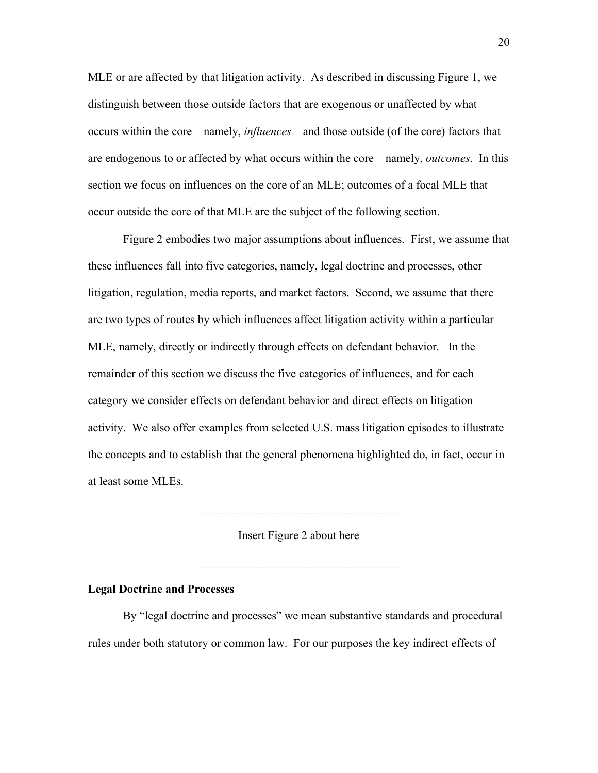MLE or are affected by that litigation activity. As described in discussing Figure 1, we distinguish between those outside factors that are exogenous or unaffected by what occurs within the core—namely, *influences*—and those outside (of the core) factors that are endogenous to or affected by what occurs within the core—namely, *outcomes*. In this section we focus on influences on the core of an MLE; outcomes of a focal MLE that occur outside the core of that MLE are the subject of the following section.

Figure 2 embodies two major assumptions about influences. First, we assume that these influences fall into five categories, namely, legal doctrine and processes, other litigation, regulation, media reports, and market factors. Second, we assume that there are two types of routes by which influences affect litigation activity within a particular MLE, namely, directly or indirectly through effects on defendant behavior. In the remainder of this section we discuss the five categories of influences, and for each category we consider effects on defendant behavior and direct effects on litigation activity. We also offer examples from selected U.S. mass litigation episodes to illustrate the concepts and to establish that the general phenomena highlighted do, in fact, occur in at least some MLEs.

Insert Figure 2 about here

 $\mathcal{L}_\text{max}$ 

 $\mathcal{L}_\text{max}$  , where  $\mathcal{L}_\text{max}$  and  $\mathcal{L}_\text{max}$  and  $\mathcal{L}_\text{max}$ 

# **Legal Doctrine and Processes**

By "legal doctrine and processes" we mean substantive standards and procedural rules under both statutory or common law. For our purposes the key indirect effects of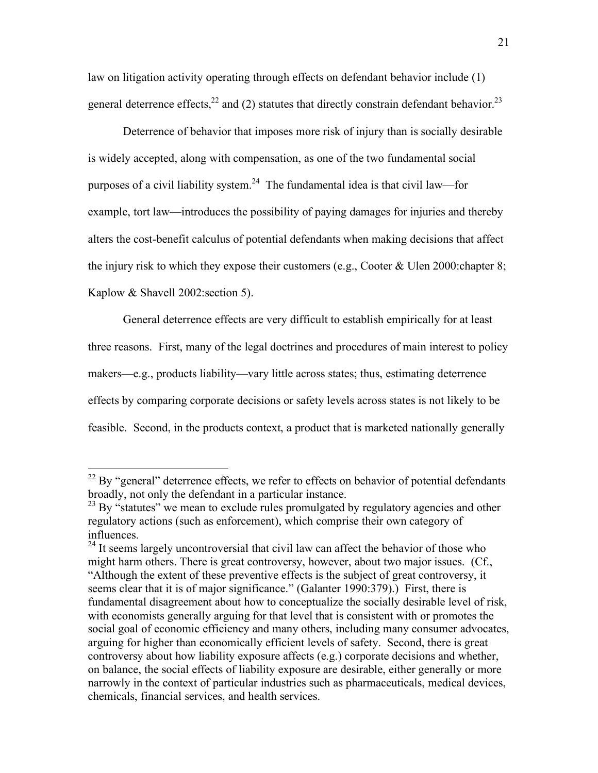law on litigation activity operating through effects on defendant behavior include (1) general deterrence effects,<sup>22</sup> and (2) statutes that directly constrain defendant behavior.<sup>23</sup>

Deterrence of behavior that imposes more risk of injury than is socially desirable is widely accepted, along with compensation, as one of the two fundamental social purposes of a civil liability system.<sup>24</sup> The fundamental idea is that civil law—for example, tort law—introduces the possibility of paying damages for injuries and thereby alters the cost-benefit calculus of potential defendants when making decisions that affect the injury risk to which they expose their customers (e.g., Cooter & Ulen 2000:chapter 8; Kaplow & Shavell 2002:section 5).

General deterrence effects are very difficult to establish empirically for at least three reasons. First, many of the legal doctrines and procedures of main interest to policy makers—e.g., products liability—vary little across states; thus, estimating deterrence effects by comparing corporate decisions or safety levels across states is not likely to be feasible. Second, in the products context, a product that is marketed nationally generally

 $22$  By "general" deterrence effects, we refer to effects on behavior of potential defendants broadly, not only the defendant in a particular instance.

 $^{23}$  By "statutes" we mean to exclude rules promulgated by regulatory agencies and other regulatory actions (such as enforcement), which comprise their own category of influences.

 $24$  It seems largely uncontroversial that civil law can affect the behavior of those who might harm others. There is great controversy, however, about two major issues. (Cf., "Although the extent of these preventive effects is the subject of great controversy, it seems clear that it is of major significance." (Galanter 1990:379).) First, there is fundamental disagreement about how to conceptualize the socially desirable level of risk, with economists generally arguing for that level that is consistent with or promotes the social goal of economic efficiency and many others, including many consumer advocates, arguing for higher than economically efficient levels of safety. Second, there is great controversy about how liability exposure affects (e.g.) corporate decisions and whether, on balance, the social effects of liability exposure are desirable, either generally or more narrowly in the context of particular industries such as pharmaceuticals, medical devices, chemicals, financial services, and health services.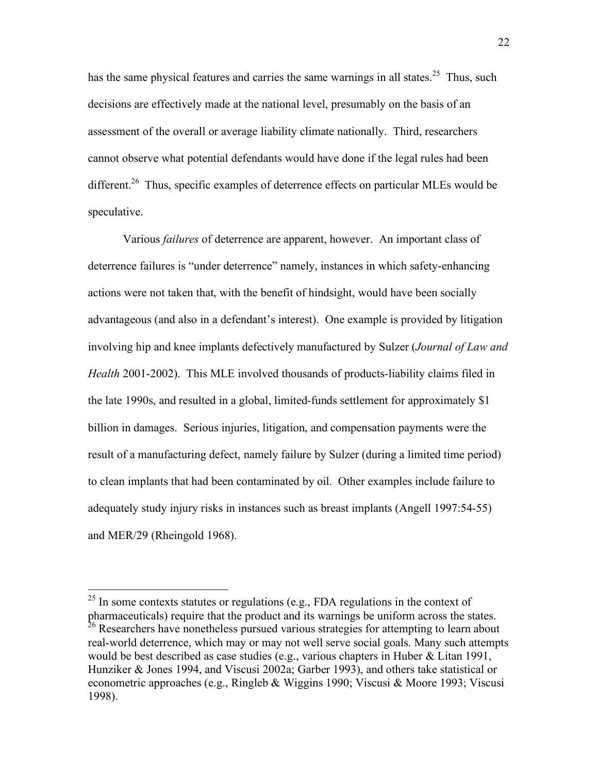has the same physical features and carries the same warnings in all states.<sup>25</sup> Thus, such decisions are effectively made at the national level, presumably on the basis of an assessment of the overall or average liability climate nationally. Third, researchers cannot observe what potential defendants would have done if the legal rules had been different.<sup>26</sup> Thus, specific examples of deterrence effects on particular MLEs would be speculative.

Various *failures* of deterrence are apparent, however. An important class of deterrence failures is "under deterrence" namely, instances in which safety-enhancing actions were not taken that, with the benefit of hindsight, would have been socially advantageous (and also in a defendant's interest). One example is provided by litigation involving hip and knee implants defectively manufactured by Sulzer (*Journal of Law and Health* 2001-2002). This MLE involved thousands of products-liability claims filed in the late 1990s, and resulted in a global, limited-funds settlement for approximately \$1 billion in damages. Serious injuries, litigation, and compensation payments were the result of a manufacturing defect, namely failure by Sulzer (during a limited time period) to clean implants that had been contaminated by oil. Other examples include failure to adequately study injury risks in instances such as breast implants (Angell 1997:54-55) and MER/29 (Rheingold 1968).

 $25$  In some contexts statutes or regulations (e.g., FDA regulations in the context of pharmaceuticals) require that the product and its warnings be uniform across the states. <sup>26</sup> Researchers have nonetheless pursued various strategies for attempting to learn about real-world deterrence, which may or may not well serve social goals. Many such attempts

would be best described as case studies (e.g., various chapters in Huber & Litan 1991, Hunziker & Jones 1994, and Viscusi 2002a; Garber 1993), and others take statistical or econometric approaches (e.g., Ringleb & Wiggins 1990; Viscusi & Moore 1993; Viscusi 1998).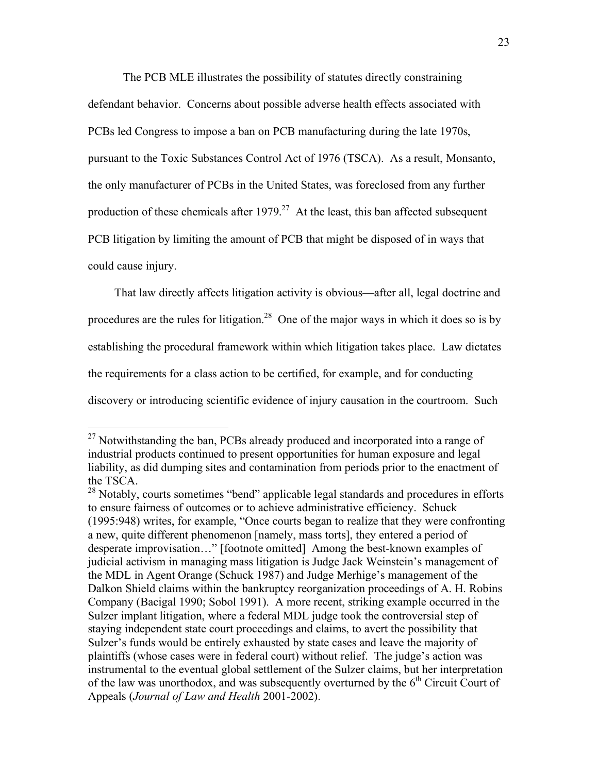The PCB MLE illustrates the possibility of statutes directly constraining defendant behavior. Concerns about possible adverse health effects associated with PCBs led Congress to impose a ban on PCB manufacturing during the late 1970s, pursuant to the Toxic Substances Control Act of 1976 (TSCA). As a result, Monsanto, the only manufacturer of PCBs in the United States, was foreclosed from any further production of these chemicals after  $1979<sup>27</sup>$  At the least, this ban affected subsequent PCB litigation by limiting the amount of PCB that might be disposed of in ways that could cause injury.

That law directly affects litigation activity is obvious—after all, legal doctrine and procedures are the rules for litigation.<sup>28</sup> One of the major ways in which it does so is by establishing the procedural framework within which litigation takes place. Law dictates the requirements for a class action to be certified, for example, and for conducting discovery or introducing scientific evidence of injury causation in the courtroom. Such

 $^{27}$  Notwithstanding the ban, PCBs already produced and incorporated into a range of industrial products continued to present opportunities for human exposure and legal liability, as did dumping sites and contamination from periods prior to the enactment of the TSCA.

<sup>&</sup>lt;sup>28</sup> Notably, courts sometimes "bend" applicable legal standards and procedures in efforts to ensure fairness of outcomes or to achieve administrative efficiency. Schuck (1995:948) writes, for example, "Once courts began to realize that they were confronting a new, quite different phenomenon [namely, mass torts], they entered a period of desperate improvisation…" [footnote omitted] Among the best-known examples of judicial activism in managing mass litigation is Judge Jack Weinstein's management of the MDL in Agent Orange (Schuck 1987) and Judge Merhige's management of the Dalkon Shield claims within the bankruptcy reorganization proceedings of A. H. Robins Company (Bacigal 1990; Sobol 1991). A more recent, striking example occurred in the Sulzer implant litigation, where a federal MDL judge took the controversial step of staying independent state court proceedings and claims, to avert the possibility that Sulzer's funds would be entirely exhausted by state cases and leave the majority of plaintiffs (whose cases were in federal court) without relief. The judge's action was instrumental to the eventual global settlement of the Sulzer claims, but her interpretation of the law was unorthodox, and was subsequently overturned by the  $6<sup>th</sup>$  Circuit Court of Appeals (*Journal of Law and Health* 2001-2002).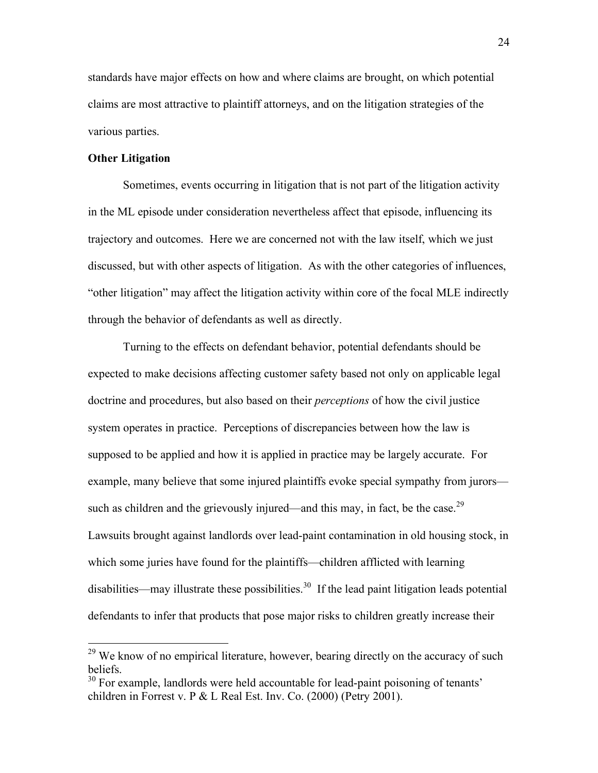standards have major effects on how and where claims are brought, on which potential claims are most attractive to plaintiff attorneys, and on the litigation strategies of the various parties.

# **Other Litigation**

Sometimes, events occurring in litigation that is not part of the litigation activity in the ML episode under consideration nevertheless affect that episode, influencing its trajectory and outcomes. Here we are concerned not with the law itself, which we just discussed, but with other aspects of litigation. As with the other categories of influences, "other litigation" may affect the litigation activity within core of the focal MLE indirectly through the behavior of defendants as well as directly.

Turning to the effects on defendant behavior, potential defendants should be expected to make decisions affecting customer safety based not only on applicable legal doctrine and procedures, but also based on their *perceptions* of how the civil justice system operates in practice. Perceptions of discrepancies between how the law is supposed to be applied and how it is applied in practice may be largely accurate. For example, many believe that some injured plaintiffs evoke special sympathy from jurors such as children and the grievously injured—and this may, in fact, be the case.<sup>29</sup> Lawsuits brought against landlords over lead-paint contamination in old housing stock, in which some juries have found for the plaintiffs—children afflicted with learning disabilities—may illustrate these possibilities.<sup>30</sup> If the lead paint litigation leads potential defendants to infer that products that pose major risks to children greatly increase their

<sup>&</sup>lt;sup>29</sup> We know of no empirical literature, however, bearing directly on the accuracy of such beliefs.

<sup>&</sup>lt;sup>30</sup> For example, landlords were held accountable for lead-paint poisoning of tenants' children in Forrest v. P & L Real Est. Inv. Co. (2000) (Petry 2001).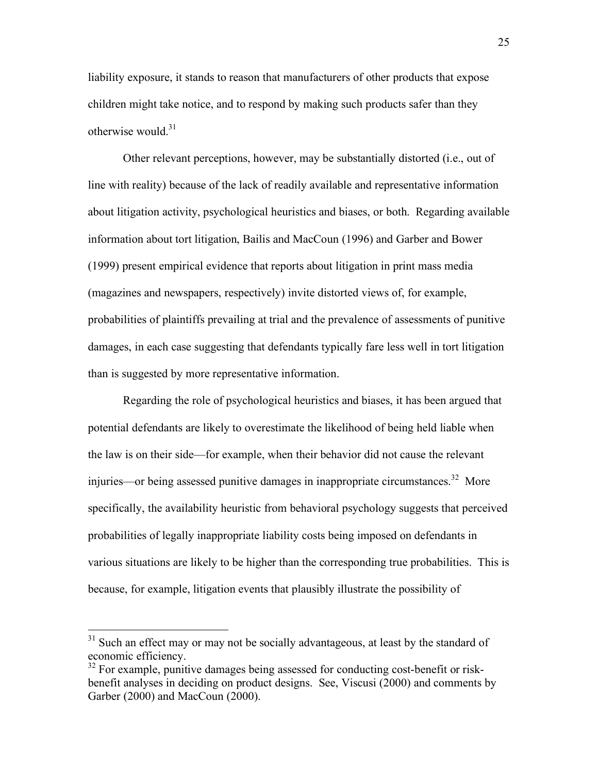liability exposure, it stands to reason that manufacturers of other products that expose children might take notice, and to respond by making such products safer than they otherwise would. $31$ 

Other relevant perceptions, however, may be substantially distorted (i.e., out of line with reality) because of the lack of readily available and representative information about litigation activity, psychological heuristics and biases, or both. Regarding available information about tort litigation, Bailis and MacCoun (1996) and Garber and Bower (1999) present empirical evidence that reports about litigation in print mass media (magazines and newspapers, respectively) invite distorted views of, for example, probabilities of plaintiffs prevailing at trial and the prevalence of assessments of punitive damages, in each case suggesting that defendants typically fare less well in tort litigation than is suggested by more representative information.

Regarding the role of psychological heuristics and biases, it has been argued that potential defendants are likely to overestimate the likelihood of being held liable when the law is on their side—for example, when their behavior did not cause the relevant injuries—or being assessed punitive damages in inappropriate circumstances.<sup>32</sup> More specifically, the availability heuristic from behavioral psychology suggests that perceived probabilities of legally inappropriate liability costs being imposed on defendants in various situations are likely to be higher than the corresponding true probabilities. This is because, for example, litigation events that plausibly illustrate the possibility of

<sup>&</sup>lt;sup>31</sup> Such an effect may or may not be socially advantageous, at least by the standard of economic efficiency.

<sup>&</sup>lt;sup>32</sup> For example, punitive damages being assessed for conducting cost-benefit or riskbenefit analyses in deciding on product designs. See, Viscusi (2000) and comments by Garber (2000) and MacCoun (2000).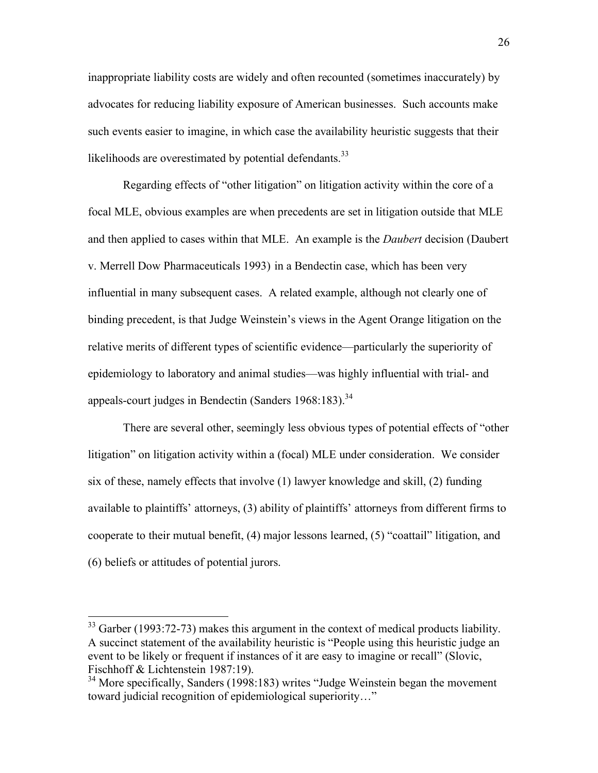inappropriate liability costs are widely and often recounted (sometimes inaccurately) by advocates for reducing liability exposure of American businesses. Such accounts make such events easier to imagine, in which case the availability heuristic suggests that their likelihoods are overestimated by potential defendants.<sup>33</sup>

Regarding effects of "other litigation" on litigation activity within the core of a focal MLE, obvious examples are when precedents are set in litigation outside that MLE and then applied to cases within that MLE. An example is the *Daubert* decision (Daubert v. Merrell Dow Pharmaceuticals 1993) in a Bendectin case, which has been very influential in many subsequent cases. A related example, although not clearly one of binding precedent, is that Judge Weinstein's views in the Agent Orange litigation on the relative merits of different types of scientific evidence—particularly the superiority of epidemiology to laboratory and animal studies—was highly influential with trial- and appeals-court judges in Bendectin (Sanders  $1968:183$ ).<sup>34</sup>

There are several other, seemingly less obvious types of potential effects of "other litigation" on litigation activity within a (focal) MLE under consideration. We consider six of these, namely effects that involve (1) lawyer knowledge and skill, (2) funding available to plaintiffs' attorneys, (3) ability of plaintiffs' attorneys from different firms to cooperate to their mutual benefit, (4) major lessons learned, (5) "coattail" litigation, and (6) beliefs or attitudes of potential jurors.

<sup>&</sup>lt;sup>33</sup> Garber (1993:72-73) makes this argument in the context of medical products liability. A succinct statement of the availability heuristic is "People using this heuristic judge an event to be likely or frequent if instances of it are easy to imagine or recall" (Slovic, Fischhoff & Lichtenstein 1987:19).

<sup>&</sup>lt;sup>34</sup> More specifically, Sanders (1998:183) writes "Judge Weinstein began the movement toward judicial recognition of epidemiological superiority…"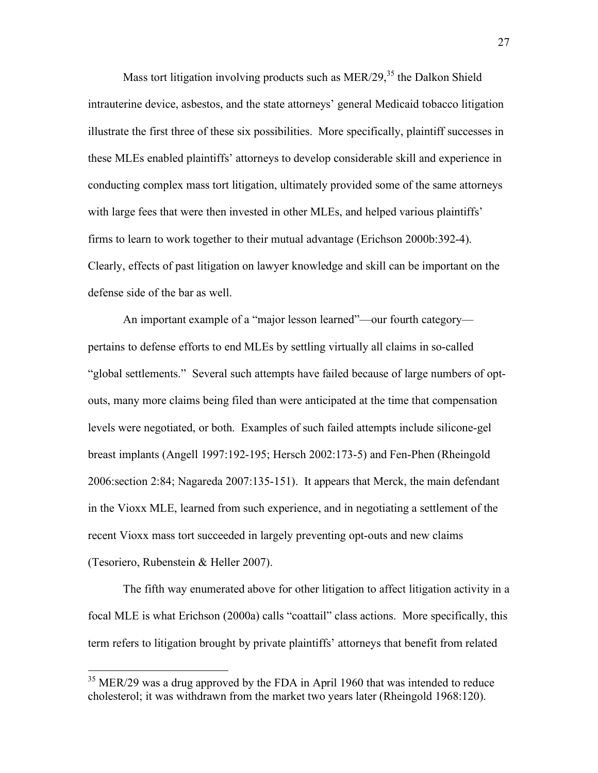Mass tort litigation involving products such as  $MER/29$ ,<sup>35</sup> the Dalkon Shield intrauterine device, asbestos, and the state attorneys' general Medicaid tobacco litigation illustrate the first three of these six possibilities. More specifically, plaintiff successes in these MLEs enabled plaintiffs' attorneys to develop considerable skill and experience in conducting complex mass tort litigation, ultimately provided some of the same attorneys with large fees that were then invested in other MLEs, and helped various plaintiffs' firms to learn to work together to their mutual advantage (Erichson 2000b:392-4). Clearly, effects of past litigation on lawyer knowledge and skill can be important on the defense side of the bar as well.

An important example of a "major lesson learned"—our fourth category pertains to defense efforts to end MLEs by settling virtually all claims in so-called "global settlements." Several such attempts have failed because of large numbers of optouts, many more claims being filed than were anticipated at the time that compensation levels were negotiated, or both. Examples of such failed attempts include silicone-gel breast implants (Angell 1997:192-195; Hersch 2002:173-5) and Fen-Phen (Rheingold 2006:section 2:84; Nagareda 2007:135-151). It appears that Merck, the main defendant in the Vioxx MLE, learned from such experience, and in negotiating a settlement of the recent Vioxx mass tort succeeded in largely preventing opt-outs and new claims (Tesoriero, Rubenstein & Heller 2007).

The fifth way enumerated above for other litigation to affect litigation activity in a focal MLE is what Erichson (2000a) calls "coattail" class actions. More specifically, this term refers to litigation brought by private plaintiffs' attorneys that benefit from related

<sup>&</sup>lt;sup>35</sup> MER/29 was a drug approved by the FDA in April 1960 that was intended to reduce cholesterol; it was withdrawn from the market two years later (Rheingold 1968:120).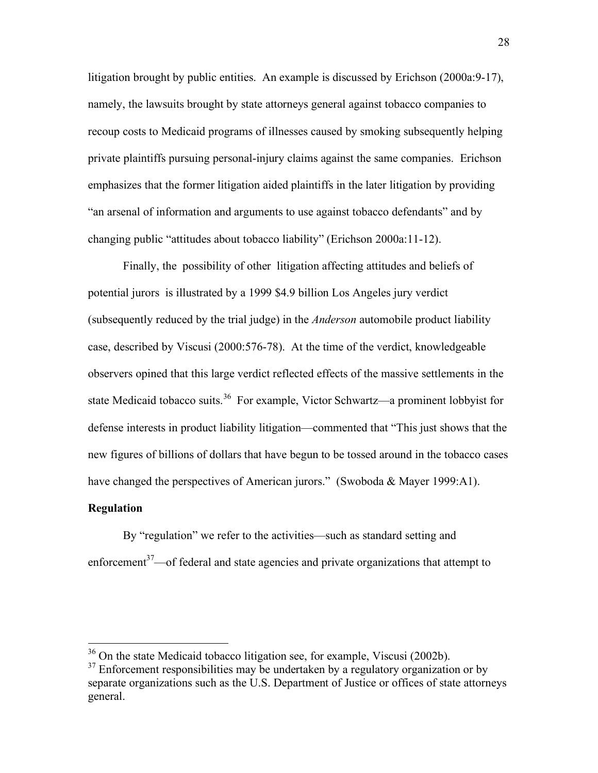litigation brought by public entities. An example is discussed by Erichson (2000a:9-17), namely, the lawsuits brought by state attorneys general against tobacco companies to recoup costs to Medicaid programs of illnesses caused by smoking subsequently helping private plaintiffs pursuing personal-injury claims against the same companies. Erichson emphasizes that the former litigation aided plaintiffs in the later litigation by providing "an arsenal of information and arguments to use against tobacco defendants" and by changing public "attitudes about tobacco liability" (Erichson 2000a:11-12).

Finally, the possibility of other litigation affecting attitudes and beliefs of potential jurors is illustrated by a 1999 \$4.9 billion Los Angeles jury verdict (subsequently reduced by the trial judge) in the *Anderson* automobile product liability case, described by Viscusi (2000:576-78). At the time of the verdict, knowledgeable observers opined that this large verdict reflected effects of the massive settlements in the state Medicaid tobacco suits.<sup>36</sup> For example, Victor Schwartz—a prominent lobbyist for defense interests in product liability litigation—commented that "This just shows that the new figures of billions of dollars that have begun to be tossed around in the tobacco cases have changed the perspectives of American jurors." (Swoboda & Mayer 1999:A1).

#### **Regulation**

By "regulation" we refer to the activities—such as standard setting and enforcement<sup>37</sup>—of federal and state agencies and private organizations that attempt to

 <sup>36</sup> On the state Medicaid tobacco litigation see, for example, Viscusi (2002b).

 $37$  Enforcement responsibilities may be undertaken by a regulatory organization or by separate organizations such as the U.S. Department of Justice or offices of state attorneys general.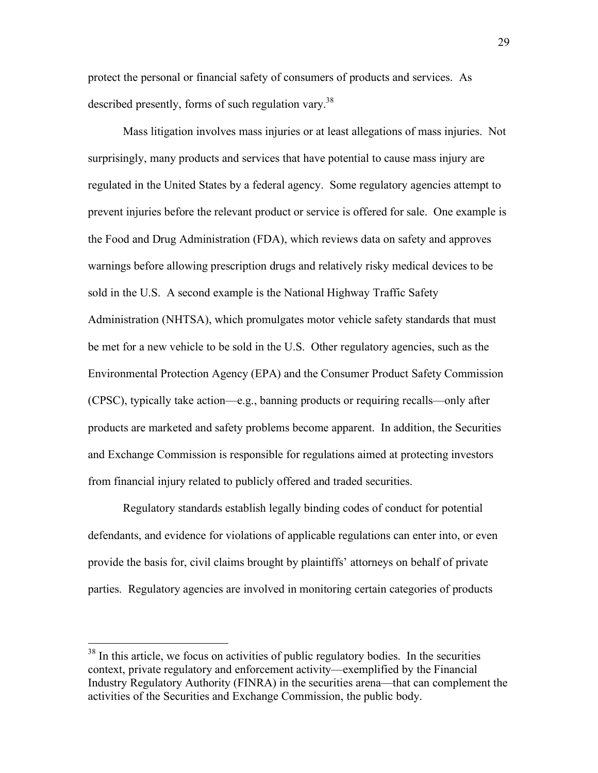protect the personal or financial safety of consumers of products and services. As described presently, forms of such regulation vary.<sup>38</sup>

Mass litigation involves mass injuries or at least allegations of mass injuries. Not surprisingly, many products and services that have potential to cause mass injury are regulated in the United States by a federal agency. Some regulatory agencies attempt to prevent injuries before the relevant product or service is offered for sale. One example is the Food and Drug Administration (FDA), which reviews data on safety and approves warnings before allowing prescription drugs and relatively risky medical devices to be sold in the U.S. A second example is the National Highway Traffic Safety Administration (NHTSA), which promulgates motor vehicle safety standards that must be met for a new vehicle to be sold in the U.S. Other regulatory agencies, such as the Environmental Protection Agency (EPA) and the Consumer Product Safety Commission (CPSC), typically take action—e.g., banning products or requiring recalls—only after products are marketed and safety problems become apparent. In addition, the Securities and Exchange Commission is responsible for regulations aimed at protecting investors from financial injury related to publicly offered and traded securities.

Regulatory standards establish legally binding codes of conduct for potential defendants, and evidence for violations of applicable regulations can enter into, or even provide the basis for, civil claims brought by plaintiffs' attorneys on behalf of private parties. Regulatory agencies are involved in monitoring certain categories of products

<sup>&</sup>lt;sup>38</sup> In this article, we focus on activities of public regulatory bodies. In the securities context, private regulatory and enforcement activity—exemplified by the Financial Industry Regulatory Authority (FINRA) in the securities arena—that can complement the activities of the Securities and Exchange Commission, the public body.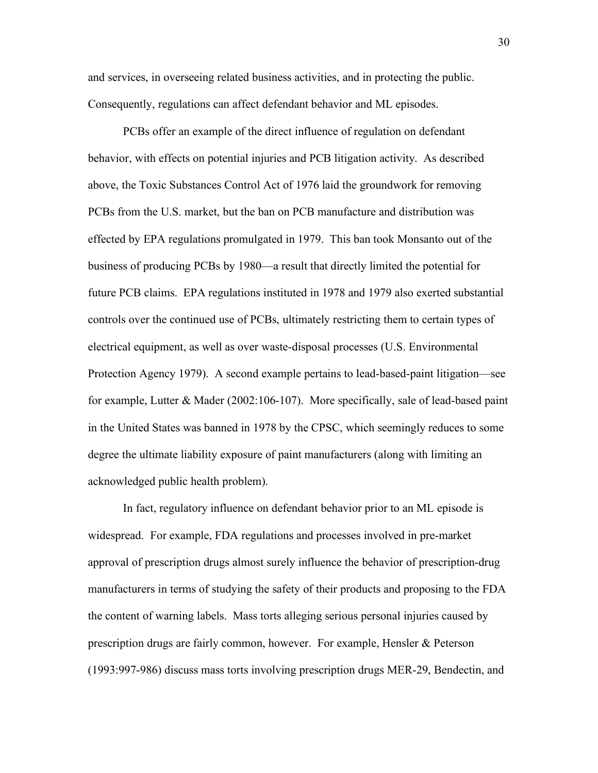and services, in overseeing related business activities, and in protecting the public. Consequently, regulations can affect defendant behavior and ML episodes.

PCBs offer an example of the direct influence of regulation on defendant behavior, with effects on potential injuries and PCB litigation activity. As described above, the Toxic Substances Control Act of 1976 laid the groundwork for removing PCBs from the U.S. market, but the ban on PCB manufacture and distribution was effected by EPA regulations promulgated in 1979. This ban took Monsanto out of the business of producing PCBs by 1980—a result that directly limited the potential for future PCB claims. EPA regulations instituted in 1978 and 1979 also exerted substantial controls over the continued use of PCBs, ultimately restricting them to certain types of electrical equipment, as well as over waste-disposal processes (U.S. Environmental Protection Agency 1979). A second example pertains to lead-based-paint litigation—see for example, Lutter & Mader (2002:106-107). More specifically, sale of lead-based paint in the United States was banned in 1978 by the CPSC, which seemingly reduces to some degree the ultimate liability exposure of paint manufacturers (along with limiting an acknowledged public health problem).

In fact, regulatory influence on defendant behavior prior to an ML episode is widespread. For example, FDA regulations and processes involved in pre-market approval of prescription drugs almost surely influence the behavior of prescription-drug manufacturers in terms of studying the safety of their products and proposing to the FDA the content of warning labels. Mass torts alleging serious personal injuries caused by prescription drugs are fairly common, however. For example, Hensler & Peterson (1993:997-986) discuss mass torts involving prescription drugs MER-29, Bendectin, and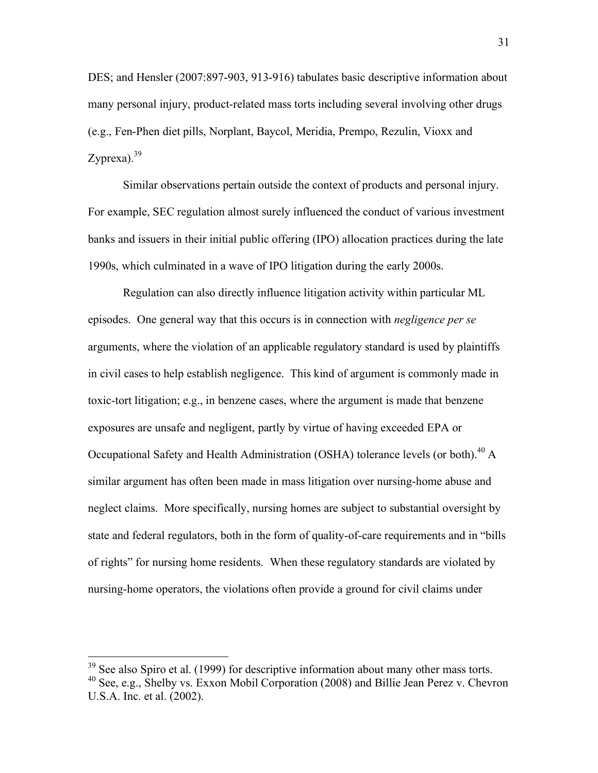DES; and Hensler (2007:897-903, 913-916) tabulates basic descriptive information about many personal injury, product-related mass torts including several involving other drugs (e.g., Fen-Phen diet pills, Norplant, Baycol, Meridia, Prempo, Rezulin, Vioxx and Zyprexa). $39$ 

Similar observations pertain outside the context of products and personal injury. For example, SEC regulation almost surely influenced the conduct of various investment banks and issuers in their initial public offering (IPO) allocation practices during the late 1990s, which culminated in a wave of IPO litigation during the early 2000s.

Regulation can also directly influence litigation activity within particular ML episodes. One general way that this occurs is in connection with *negligence per se* arguments, where the violation of an applicable regulatory standard is used by plaintiffs in civil cases to help establish negligence. This kind of argument is commonly made in toxic-tort litigation; e.g., in benzene cases, where the argument is made that benzene exposures are unsafe and negligent, partly by virtue of having exceeded EPA or Occupational Safety and Health Administration (OSHA) tolerance levels (or both).<sup>40</sup> A similar argument has often been made in mass litigation over nursing-home abuse and neglect claims. More specifically, nursing homes are subject to substantial oversight by state and federal regulators, both in the form of quality-of-care requirements and in "bills of rights" for nursing home residents. When these regulatory standards are violated by nursing-home operators, the violations often provide a ground for civil claims under

 $39$  See also Spiro et al. (1999) for descriptive information about many other mass torts.

<sup>40</sup> See, e.g., Shelby vs. Exxon Mobil Corporation (2008) and Billie Jean Perez v. Chevron U.S.A. Inc. et al. (2002).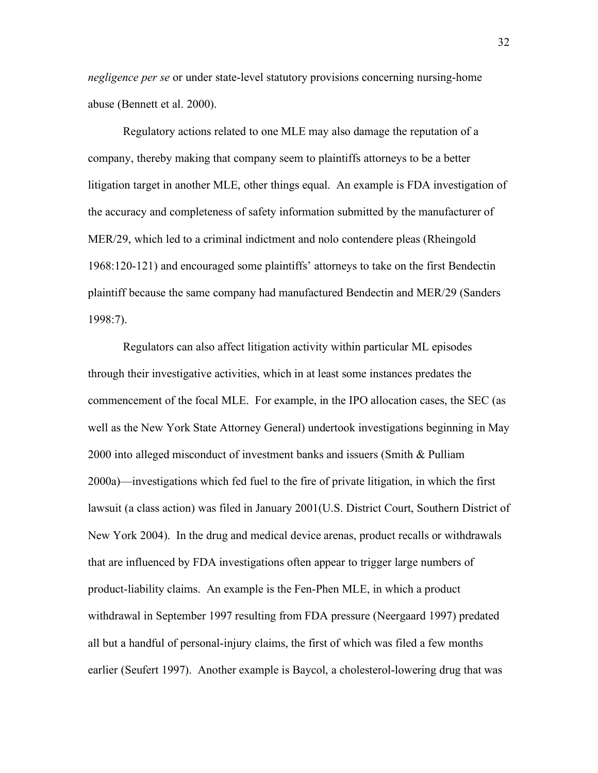*negligence per se* or under state-level statutory provisions concerning nursing-home abuse (Bennett et al. 2000).

Regulatory actions related to one MLE may also damage the reputation of a company, thereby making that company seem to plaintiffs attorneys to be a better litigation target in another MLE, other things equal. An example is FDA investigation of the accuracy and completeness of safety information submitted by the manufacturer of MER/29, which led to a criminal indictment and nolo contendere pleas (Rheingold 1968:120-121) and encouraged some plaintiffs' attorneys to take on the first Bendectin plaintiff because the same company had manufactured Bendectin and MER/29 (Sanders 1998:7).

Regulators can also affect litigation activity within particular ML episodes through their investigative activities, which in at least some instances predates the commencement of the focal MLE. For example, in the IPO allocation cases, the SEC (as well as the New York State Attorney General) undertook investigations beginning in May 2000 into alleged misconduct of investment banks and issuers (Smith & Pulliam 2000a)—investigations which fed fuel to the fire of private litigation, in which the first lawsuit (a class action) was filed in January 2001(U.S. District Court, Southern District of New York 2004).In the drug and medical device arenas, product recalls or withdrawals that are influenced by FDA investigations often appear to trigger large numbers of product-liability claims. An example is the Fen-Phen MLE, in which a product withdrawal in September 1997 resulting from FDA pressure (Neergaard 1997) predated all but a handful of personal-injury claims, the first of which was filed a few months earlier (Seufert 1997). Another example is Baycol, a cholesterol-lowering drug that was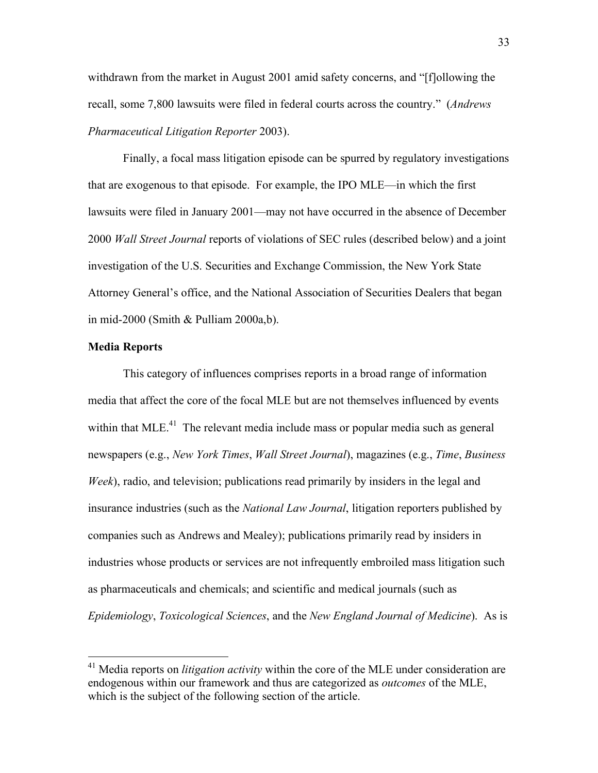withdrawn from the market in August 2001 amid safety concerns, and "[f]ollowing the recall, some 7,800 lawsuits were filed in federal courts across the country." (*Andrews Pharmaceutical Litigation Reporter* 2003).

Finally, a focal mass litigation episode can be spurred by regulatory investigations that are exogenous to that episode. For example, the IPO MLE—in which the first lawsuits were filed in January 2001—may not have occurred in the absence of December 2000 *Wall Street Journal* reports of violations of SEC rules (described below) and a joint investigation of the U.S. Securities and Exchange Commission, the New York State Attorney General's office, and the National Association of Securities Dealers that began in mid-2000 (Smith & Pulliam 2000a,b).

#### **Media Reports**

This category of influences comprises reports in a broad range of information media that affect the core of the focal MLE but are not themselves influenced by events within that MLE.<sup>41</sup> The relevant media include mass or popular media such as general newspapers (e.g., *New York Times*, *Wall Street Journal*), magazines (e.g., *Time*, *Business Week*), radio, and television; publications read primarily by insiders in the legal and insurance industries (such as the *National Law Journal*, litigation reporters published by companies such as Andrews and Mealey); publications primarily read by insiders in industries whose products or services are not infrequently embroiled mass litigation such as pharmaceuticals and chemicals; and scientific and medical journals (such as *Epidemiology*, *Toxicological Sciences*, and the *New England Journal of Medicine*). As is

 <sup>41</sup> Media reports on *litigation activity* within the core of the MLE under consideration are endogenous within our framework and thus are categorized as *outcomes* of the MLE, which is the subject of the following section of the article.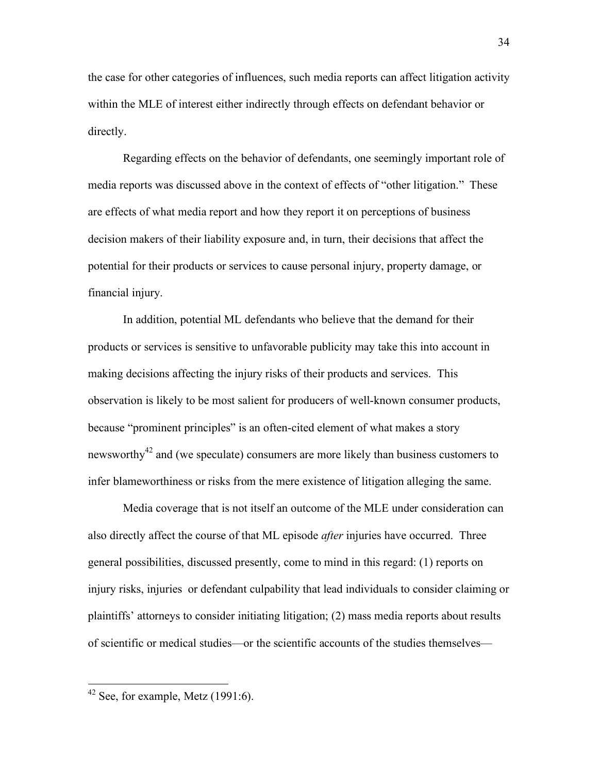the case for other categories of influences, such media reports can affect litigation activity within the MLE of interest either indirectly through effects on defendant behavior or directly.

Regarding effects on the behavior of defendants, one seemingly important role of media reports was discussed above in the context of effects of "other litigation." These are effects of what media report and how they report it on perceptions of business decision makers of their liability exposure and, in turn, their decisions that affect the potential for their products or services to cause personal injury, property damage, or financial injury.

In addition, potential ML defendants who believe that the demand for their products or services is sensitive to unfavorable publicity may take this into account in making decisions affecting the injury risks of their products and services. This observation is likely to be most salient for producers of well-known consumer products, because "prominent principles" is an often-cited element of what makes a story newsworthy<sup>42</sup> and (we speculate) consumers are more likely than business customers to infer blameworthiness or risks from the mere existence of litigation alleging the same.

Media coverage that is not itself an outcome of the MLE under consideration can also directly affect the course of that ML episode *after* injuries have occurred. Three general possibilities, discussed presently, come to mind in this regard: (1) reports on injury risks, injuries or defendant culpability that lead individuals to consider claiming or plaintiffs' attorneys to consider initiating litigation; (2) mass media reports about results of scientific or medical studies—or the scientific accounts of the studies themselves—

 <sup>42</sup> See, for example, Metz (1991:6).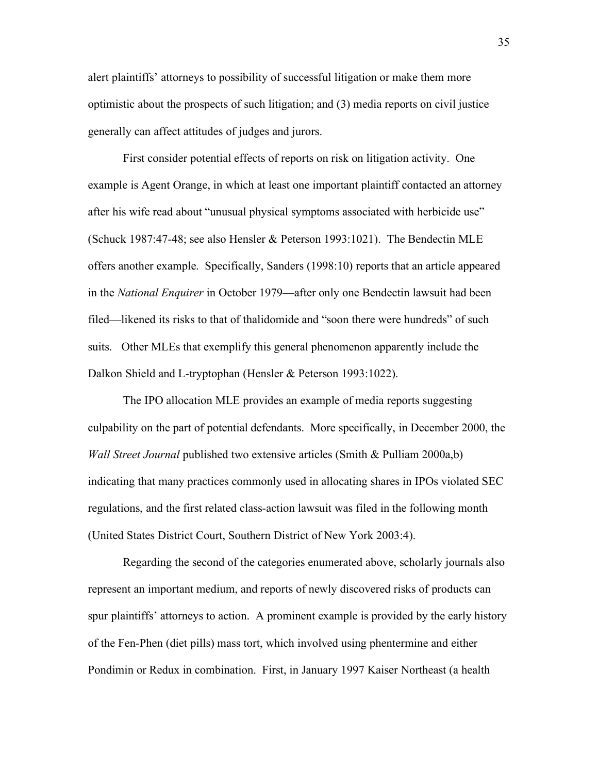alert plaintiffs' attorneys to possibility of successful litigation or make them more optimistic about the prospects of such litigation; and (3) media reports on civil justice generally can affect attitudes of judges and jurors.

First consider potential effects of reports on risk on litigation activity. One example is Agent Orange, in which at least one important plaintiff contacted an attorney after his wife read about "unusual physical symptoms associated with herbicide use" (Schuck 1987:47-48; see also Hensler & Peterson 1993:1021). The Bendectin MLE offers another example. Specifically, Sanders (1998:10) reports that an article appeared in the *National Enquirer* in October 1979—after only one Bendectin lawsuit had been filed—likened its risks to that of thalidomide and "soon there were hundreds" of such suits. Other MLEs that exemplify this general phenomenon apparently include the Dalkon Shield and L-tryptophan (Hensler & Peterson 1993:1022).

The IPO allocation MLE provides an example of media reports suggesting culpability on the part of potential defendants. More specifically, in December 2000, the *Wall Street Journal* published two extensive articles (Smith & Pulliam 2000a,b) indicating that many practices commonly used in allocating shares in IPOs violated SEC regulations, and the first related class-action lawsuit was filed in the following month (United States District Court, Southern District of New York 2003:4).

Regarding the second of the categories enumerated above, scholarly journals also represent an important medium, and reports of newly discovered risks of products can spur plaintiffs' attorneys to action. A prominent example is provided by the early history of the Fen-Phen (diet pills) mass tort, which involved using phentermine and either Pondimin or Redux in combination. First, in January 1997 Kaiser Northeast (a health

35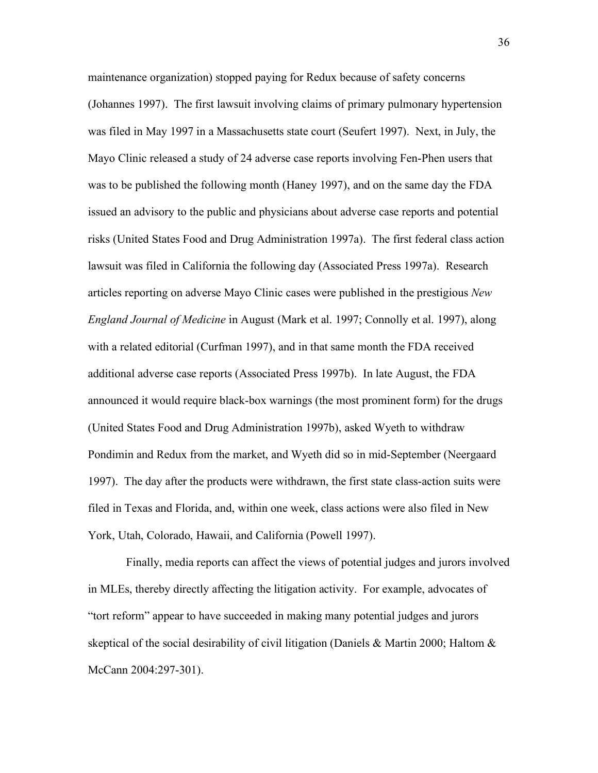maintenance organization) stopped paying for Redux because of safety concerns (Johannes 1997). The first lawsuit involving claims of primary pulmonary hypertension was filed in May 1997 in a Massachusetts state court (Seufert 1997). Next, in July, the Mayo Clinic released a study of 24 adverse case reports involving Fen-Phen users that was to be published the following month (Haney 1997), and on the same day the FDA issued an advisory to the public and physicians about adverse case reports and potential risks (United States Food and Drug Administration 1997a). The first federal class action lawsuit was filed in California the following day (Associated Press 1997a). Research articles reporting on adverse Mayo Clinic cases were published in the prestigious *New England Journal of Medicine* in August (Mark et al. 1997; Connolly et al. 1997), along with a related editorial (Curfman 1997), and in that same month the FDA received additional adverse case reports (Associated Press 1997b). In late August, the FDA announced it would require black-box warnings (the most prominent form) for the drugs (United States Food and Drug Administration 1997b), asked Wyeth to withdraw Pondimin and Redux from the market, and Wyeth did so in mid-September (Neergaard 1997). The day after the products were withdrawn, the first state class-action suits were filed in Texas and Florida, and, within one week, class actions were also filed in New York, Utah, Colorado, Hawaii, and California (Powell 1997).

 Finally, media reports can affect the views of potential judges and jurors involved in MLEs, thereby directly affecting the litigation activity. For example, advocates of "tort reform" appear to have succeeded in making many potential judges and jurors skeptical of the social desirability of civil litigation (Daniels & Martin 2000; Haltom  $\&$ McCann 2004:297-301).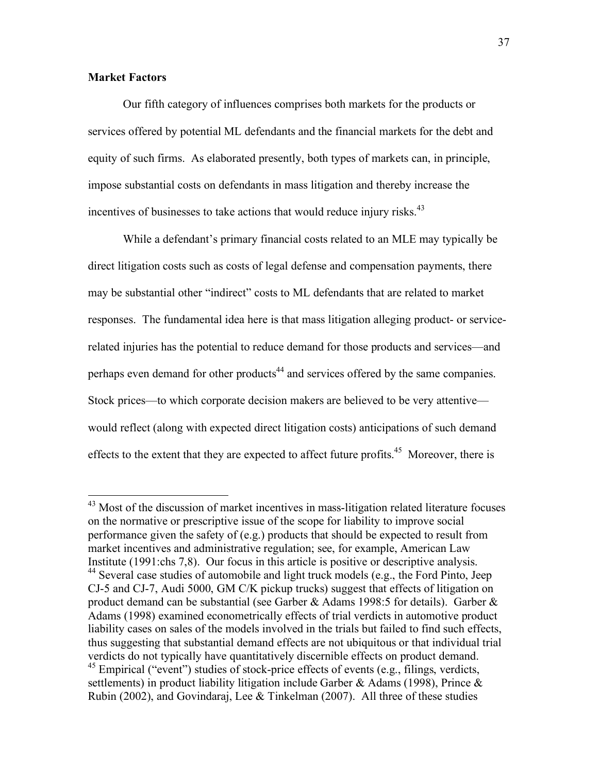#### **Market Factors**

Our fifth category of influences comprises both markets for the products or services offered by potential ML defendants and the financial markets for the debt and equity of such firms. As elaborated presently, both types of markets can, in principle, impose substantial costs on defendants in mass litigation and thereby increase the incentives of businesses to take actions that would reduce injury risks.<sup>43</sup>

While a defendant's primary financial costs related to an MLE may typically be direct litigation costs such as costs of legal defense and compensation payments, there may be substantial other "indirect" costs to ML defendants that are related to market responses. The fundamental idea here is that mass litigation alleging product- or servicerelated injuries has the potential to reduce demand for those products and services—and perhaps even demand for other products<sup>44</sup> and services offered by the same companies. Stock prices—to which corporate decision makers are believed to be very attentive would reflect (along with expected direct litigation costs) anticipations of such demand effects to the extent that they are expected to affect future profits.<sup>45</sup> Moreover, there is

<sup>&</sup>lt;sup>43</sup> Most of the discussion of market incentives in mass-litigation related literature focuses on the normative or prescriptive issue of the scope for liability to improve social performance given the safety of (e.g.) products that should be expected to result from market incentives and administrative regulation; see, for example, American Law Institute (1991:chs 7,8). Our focus in this article is positive or descriptive analysis.  $44$  Several case studies of automobile and light truck models (e.g., the Ford Pinto, Jeep CJ-5 and CJ-7, Audi 5000, GM C/K pickup trucks) suggest that effects of litigation on product demand can be substantial (see Garber & Adams 1998:5 for details). Garber  $\&$ Adams (1998) examined econometrically effects of trial verdicts in automotive product liability cases on sales of the models involved in the trials but failed to find such effects, thus suggesting that substantial demand effects are not ubiquitous or that individual trial verdicts do not typically have quantitatively discernible effects on product demand. <sup>45</sup> Empirical ("event") studies of stock-price effects of events (e.g., filings, verdicts, settlements) in product liability litigation include Garber & Adams (1998), Prince & Rubin (2002), and Govindaraj, Lee & Tinkelman (2007). All three of these studies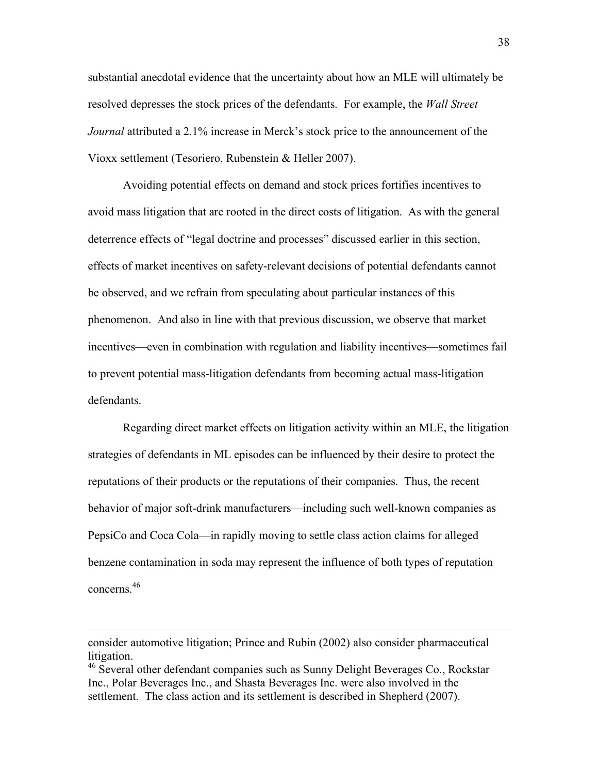substantial anecdotal evidence that the uncertainty about how an MLE will ultimately be resolved depresses the stock prices of the defendants. For example, the *Wall Street Journal* attributed a 2.1% increase in Merck's stock price to the announcement of the Vioxx settlement (Tesoriero, Rubenstein & Heller 2007).

Avoiding potential effects on demand and stock prices fortifies incentives to avoid mass litigation that are rooted in the direct costs of litigation. As with the general deterrence effects of "legal doctrine and processes" discussed earlier in this section, effects of market incentives on safety-relevant decisions of potential defendants cannot be observed, and we refrain from speculating about particular instances of this phenomenon. And also in line with that previous discussion, we observe that market incentives—even in combination with regulation and liability incentives—sometimes fail to prevent potential mass-litigation defendants from becoming actual mass-litigation defendants.

Regarding direct market effects on litigation activity within an MLE, the litigation strategies of defendants in ML episodes can be influenced by their desire to protect the reputations of their products or the reputations of their companies. Thus, the recent behavior of major soft-drink manufacturers—including such well-known companies as PepsiCo and Coca Cola—in rapidly moving to settle class action claims for alleged benzene contamination in soda may represent the influence of both types of reputation concerns.46

 $\overline{a}$ 

consider automotive litigation; Prince and Rubin (2002) also consider pharmaceutical litigation.

<sup>&</sup>lt;sup>46</sup> Several other defendant companies such as Sunny Delight Beverages Co., Rockstar Inc., Polar Beverages Inc., and Shasta Beverages Inc. were also involved in the settlement. The class action and its settlement is described in Shepherd (2007).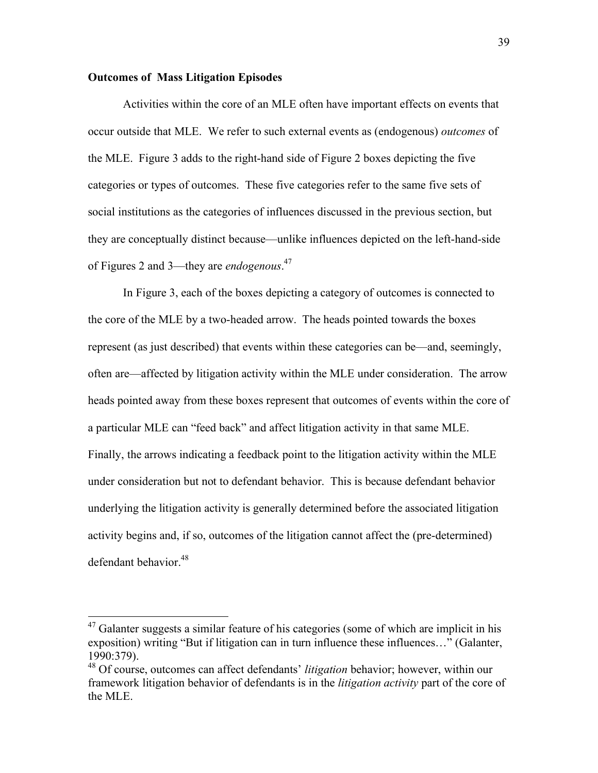#### **Outcomes of Mass Litigation Episodes**

Activities within the core of an MLE often have important effects on events that occur outside that MLE. We refer to such external events as (endogenous) *outcomes* of the MLE. Figure 3 adds to the right-hand side of Figure 2 boxes depicting the five categories or types of outcomes. These five categories refer to the same five sets of social institutions as the categories of influences discussed in the previous section, but they are conceptually distinct because—unlike influences depicted on the left-hand-side of Figures 2 and 3—they are *endogenous*. 47

In Figure 3, each of the boxes depicting a category of outcomes is connected to the core of the MLE by a two-headed arrow. The heads pointed towards the boxes represent (as just described) that events within these categories can be—and, seemingly, often are—affected by litigation activity within the MLE under consideration. The arrow heads pointed away from these boxes represent that outcomes of events within the core of a particular MLE can "feed back" and affect litigation activity in that same MLE. Finally, the arrows indicating a feedback point to the litigation activity within the MLE under consideration but not to defendant behavior. This is because defendant behavior underlying the litigation activity is generally determined before the associated litigation activity begins and, if so, outcomes of the litigation cannot affect the (pre-determined) defendant behavior.<sup>48</sup>

 $47$  Galanter suggests a similar feature of his categories (some of which are implicit in his exposition) writing "But if litigation can in turn influence these influences..." (Galanter, 1990:379).

<sup>48</sup> Of course, outcomes can affect defendants' *litigation* behavior; however, within our framework litigation behavior of defendants is in the *litigation activity* part of the core of the MLE.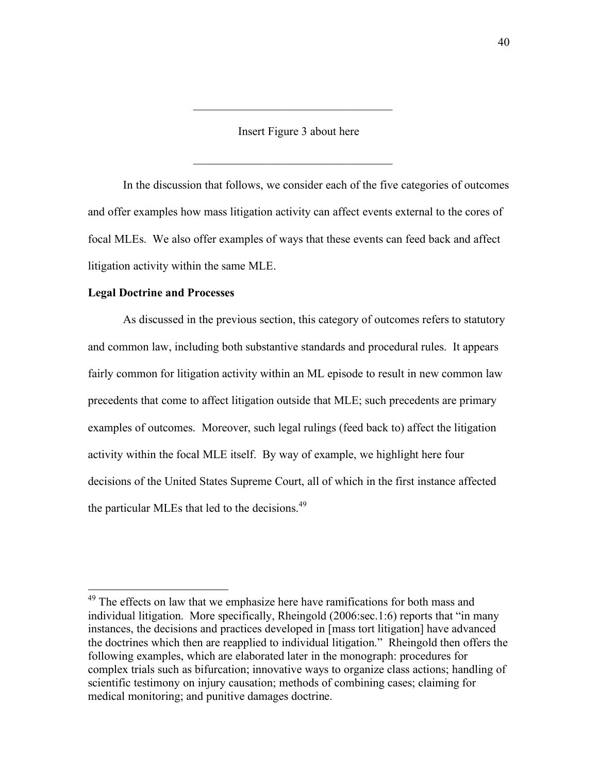Insert Figure 3 about here

 $\mathcal{L}_\text{max}$ 

 $\mathcal{L}_\text{max}$  , where  $\mathcal{L}_\text{max}$  and  $\mathcal{L}_\text{max}$  and  $\mathcal{L}_\text{max}$ 

In the discussion that follows, we consider each of the five categories of outcomes and offer examples how mass litigation activity can affect events external to the cores of focal MLEs. We also offer examples of ways that these events can feed back and affect litigation activity within the same MLE.

#### **Legal Doctrine and Processes**

As discussed in the previous section, this category of outcomes refers to statutory and common law, including both substantive standards and procedural rules. It appears fairly common for litigation activity within an ML episode to result in new common law precedents that come to affect litigation outside that MLE; such precedents are primary examples of outcomes. Moreover, such legal rulings (feed back to) affect the litigation activity within the focal MLE itself. By way of example, we highlight here four decisions of the United States Supreme Court, all of which in the first instance affected the particular MLEs that led to the decisions.<sup>49</sup>

 $49$  The effects on law that we emphasize here have ramifications for both mass and individual litigation. More specifically, Rheingold (2006:sec.1:6) reports that "in many instances, the decisions and practices developed in [mass tort litigation] have advanced the doctrines which then are reapplied to individual litigation." Rheingold then offers the following examples, which are elaborated later in the monograph: procedures for complex trials such as bifurcation; innovative ways to organize class actions; handling of scientific testimony on injury causation; methods of combining cases; claiming for medical monitoring; and punitive damages doctrine.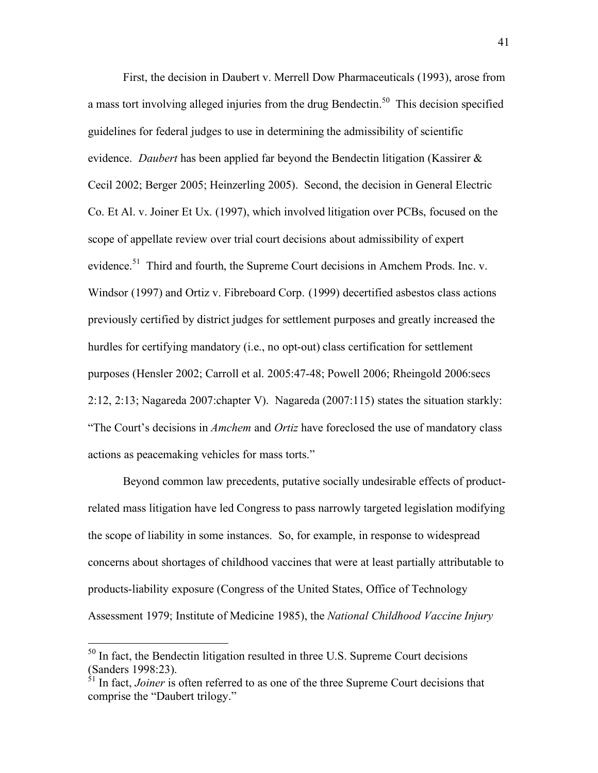First, the decision in Daubert v. Merrell Dow Pharmaceuticals (1993), arose from a mass tort involving alleged injuries from the drug Bendectin.<sup>50</sup> This decision specified guidelines for federal judges to use in determining the admissibility of scientific evidence. *Daubert* has been applied far beyond the Bendectin litigation (Kassirer & Cecil 2002; Berger 2005; Heinzerling 2005). Second, the decision in General Electric Co. Et Al. v. Joiner Et Ux. (1997), which involved litigation over PCBs, focused on the scope of appellate review over trial court decisions about admissibility of expert evidence.<sup>51</sup> Third and fourth, the Supreme Court decisions in Amchem Prods. Inc. v. Windsor (1997) and Ortiz v. Fibreboard Corp. (1999) decertified asbestos class actions previously certified by district judges for settlement purposes and greatly increased the hurdles for certifying mandatory (i.e., no opt-out) class certification for settlement purposes (Hensler 2002; Carroll et al. 2005:47-48; Powell 2006; Rheingold 2006:secs 2:12, 2:13; Nagareda 2007:chapter V). Nagareda (2007:115) states the situation starkly: "The Court's decisions in *Amchem* and *Ortiz* have foreclosed the use of mandatory class actions as peacemaking vehicles for mass torts."

Beyond common law precedents, putative socially undesirable effects of productrelated mass litigation have led Congress to pass narrowly targeted legislation modifying the scope of liability in some instances. So, for example, in response to widespread concerns about shortages of childhood vaccines that were at least partially attributable to products-liability exposure (Congress of the United States, Office of Technology Assessment 1979; Institute of Medicine 1985), the *National Childhood Vaccine Injury* 

<sup>&</sup>lt;sup>50</sup> In fact, the Bendectin litigation resulted in three U.S. Supreme Court decisions (Sanders 1998:23).

<sup>&</sup>lt;sup>51</sup> In fact, *Joiner* is often referred to as one of the three Supreme Court decisions that comprise the "Daubert trilogy."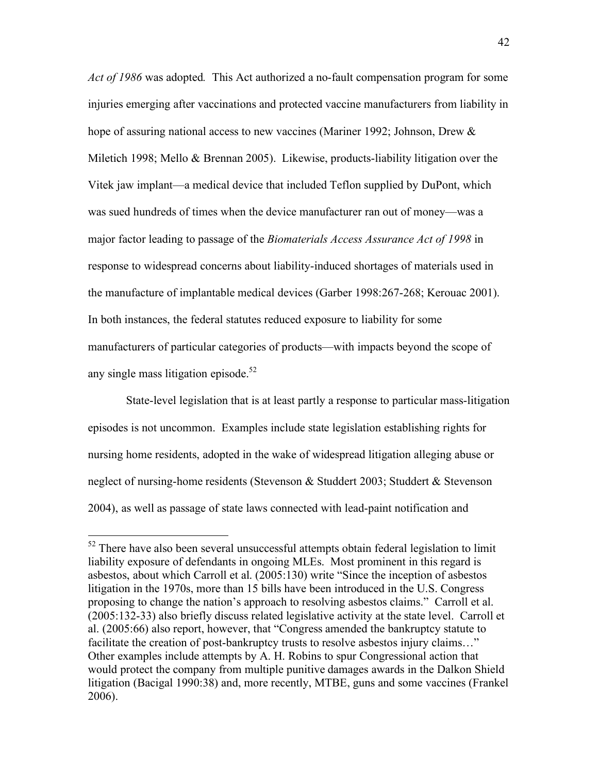*Act of 1986* was adopted*.* This Act authorized a no-fault compensation program for some injuries emerging after vaccinations and protected vaccine manufacturers from liability in hope of assuring national access to new vaccines (Mariner 1992; Johnson, Drew  $\&$ Miletich 1998; Mello & Brennan 2005). Likewise, products-liability litigation over the Vitek jaw implant—a medical device that included Teflon supplied by DuPont, which was sued hundreds of times when the device manufacturer ran out of money—was a major factor leading to passage of the *Biomaterials Access Assurance Act of 1998* in response to widespread concerns about liability-induced shortages of materials used in the manufacture of implantable medical devices (Garber 1998:267-268; Kerouac 2001). In both instances, the federal statutes reduced exposure to liability for some manufacturers of particular categories of products—with impacts beyond the scope of any single mass litigation episode. $52$ 

 State-level legislation that is at least partly a response to particular mass-litigation episodes is not uncommon. Examples include state legislation establishing rights for nursing home residents, adopted in the wake of widespread litigation alleging abuse or neglect of nursing-home residents (Stevenson & Studdert 2003; Studdert & Stevenson 2004), as well as passage of state laws connected with lead-paint notification and

 $52$  There have also been several unsuccessful attempts obtain federal legislation to limit liability exposure of defendants in ongoing MLEs. Most prominent in this regard is asbestos, about which Carroll et al. (2005:130) write "Since the inception of asbestos litigation in the 1970s, more than 15 bills have been introduced in the U.S. Congress proposing to change the nation's approach to resolving asbestos claims." Carroll et al. (2005:132-33) also briefly discuss related legislative activity at the state level. Carroll et al. (2005:66) also report, however, that "Congress amended the bankruptcy statute to facilitate the creation of post-bankruptcy trusts to resolve asbestos injury claims…" Other examples include attempts by A. H. Robins to spur Congressional action that would protect the company from multiple punitive damages awards in the Dalkon Shield litigation (Bacigal 1990:38) and, more recently, MTBE, guns and some vaccines (Frankel 2006).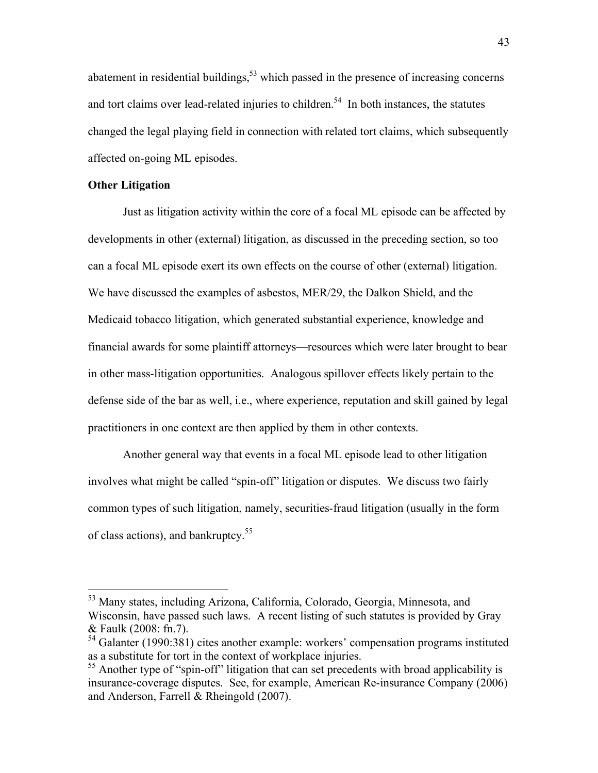abatement in residential buildings,<sup>53</sup> which passed in the presence of increasing concerns and tort claims over lead-related injuries to children.<sup>54</sup> In both instances, the statutes changed the legal playing field in connection with related tort claims, which subsequently affected on-going ML episodes.

#### **Other Litigation**

Just as litigation activity within the core of a focal ML episode can be affected by developments in other (external) litigation, as discussed in the preceding section, so too can a focal ML episode exert its own effects on the course of other (external) litigation. We have discussed the examples of asbestos, MER/29, the Dalkon Shield, and the Medicaid tobacco litigation, which generated substantial experience, knowledge and financial awards for some plaintiff attorneys—resources which were later brought to bear in other mass-litigation opportunities. Analogous spillover effects likely pertain to the defense side of the bar as well, i.e., where experience, reputation and skill gained by legal practitioners in one context are then applied by them in other contexts.

Another general way that events in a focal ML episode lead to other litigation involves what might be called "spin-off" litigation or disputes. We discuss two fairly common types of such litigation, namely, securities-fraud litigation (usually in the form of class actions), and bankruptcy.<sup>55</sup>

 <sup>53</sup> Many states, including Arizona, California, Colorado, Georgia, Minnesota, and Wisconsin, have passed such laws. A recent listing of such statutes is provided by Gray & Faulk (2008: fn.7).

 $54$  Galanter (1990:381) cites another example: workers' compensation programs instituted as a substitute for tort in the context of workplace injuries.

<sup>&</sup>lt;sup>55</sup> Another type of "spin-off" litigation that can set precedents with broad applicability is insurance-coverage disputes. See, for example, American Re-insurance Company (2006) and Anderson, Farrell & Rheingold (2007).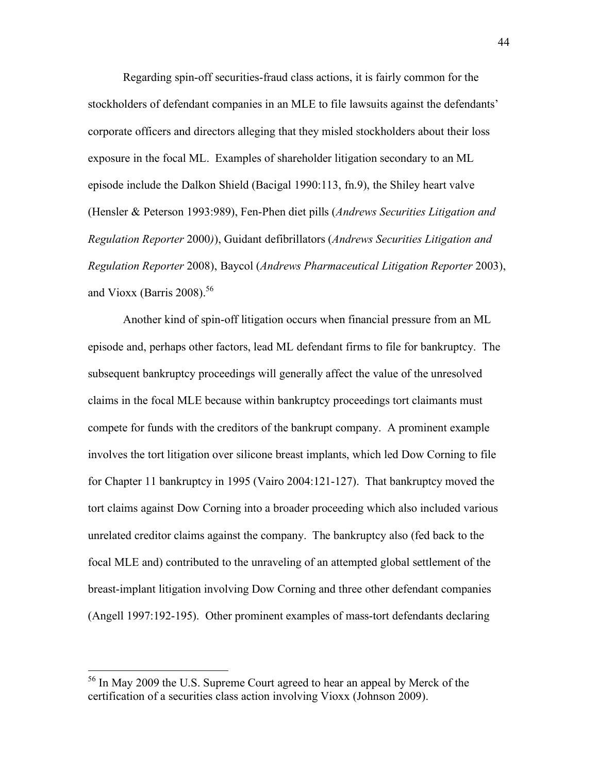Regarding spin-off securities-fraud class actions, it is fairly common for the stockholders of defendant companies in an MLE to file lawsuits against the defendants' corporate officers and directors alleging that they misled stockholders about their loss exposure in the focal ML. Examples of shareholder litigation secondary to an ML episode include the Dalkon Shield (Bacigal 1990:113, fn.9), the Shiley heart valve (Hensler & Peterson 1993:989), Fen-Phen diet pills (*Andrews Securities Litigation and Regulation Reporter* 2000*)*), Guidant defibrillators (*Andrews Securities Litigation and Regulation Reporter* 2008), Baycol (*Andrews Pharmaceutical Litigation Reporter* 2003), and Vioxx (Barris 2008).<sup>56</sup>

Another kind of spin-off litigation occurs when financial pressure from an ML episode and, perhaps other factors, lead ML defendant firms to file for bankruptcy. The subsequent bankruptcy proceedings will generally affect the value of the unresolved claims in the focal MLE because within bankruptcy proceedings tort claimants must compete for funds with the creditors of the bankrupt company. A prominent example involves the tort litigation over silicone breast implants, which led Dow Corning to file for Chapter 11 bankruptcy in 1995 (Vairo 2004:121-127). That bankruptcy moved the tort claims against Dow Corning into a broader proceeding which also included various unrelated creditor claims against the company. The bankruptcy also (fed back to the focal MLE and) contributed to the unraveling of an attempted global settlement of the breast-implant litigation involving Dow Corning and three other defendant companies (Angell 1997:192-195). Other prominent examples of mass-tort defendants declaring

 <sup>56</sup> In May 2009 the U.S. Supreme Court agreed to hear an appeal by Merck of the certification of a securities class action involving Vioxx (Johnson 2009).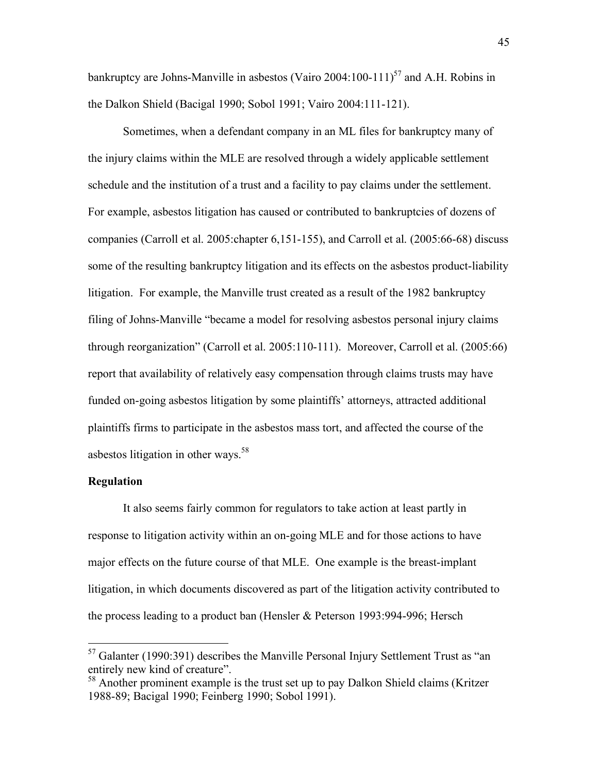bankruptcy are Johns-Manville in asbestos (Vairo 2004:100-111)<sup>57</sup> and A.H. Robins in the Dalkon Shield (Bacigal 1990; Sobol 1991; Vairo 2004:111-121).

Sometimes, when a defendant company in an ML files for bankruptcy many of the injury claims within the MLE are resolved through a widely applicable settlement schedule and the institution of a trust and a facility to pay claims under the settlement. For example, asbestos litigation has caused or contributed to bankruptcies of dozens of companies (Carroll et al. 2005:chapter 6,151-155), and Carroll et al. (2005:66-68) discuss some of the resulting bankruptcy litigation and its effects on the asbestos product-liability litigation. For example, the Manville trust created as a result of the 1982 bankruptcy filing of Johns-Manville "became a model for resolving asbestos personal injury claims through reorganization" (Carroll et al. 2005:110-111). Moreover, Carroll et al. (2005:66) report that availability of relatively easy compensation through claims trusts may have funded on-going asbestos litigation by some plaintiffs' attorneys, attracted additional plaintiffs firms to participate in the asbestos mass tort, and affected the course of the asbestos litigation in other ways. $58$ 

#### **Regulation**

It also seems fairly common for regulators to take action at least partly in response to litigation activity within an on-going MLE and for those actions to have major effects on the future course of that MLE. One example is the breast-implant litigation, in which documents discovered as part of the litigation activity contributed to the process leading to a product ban (Hensler & Peterson 1993:994-996; Hersch

 $57$  Galanter (1990:391) describes the Manville Personal Injury Settlement Trust as "an entirely new kind of creature".

<sup>&</sup>lt;sup>58</sup> Another prominent example is the trust set up to pay Dalkon Shield claims (Kritzer 1988-89; Bacigal 1990; Feinberg 1990; Sobol 1991).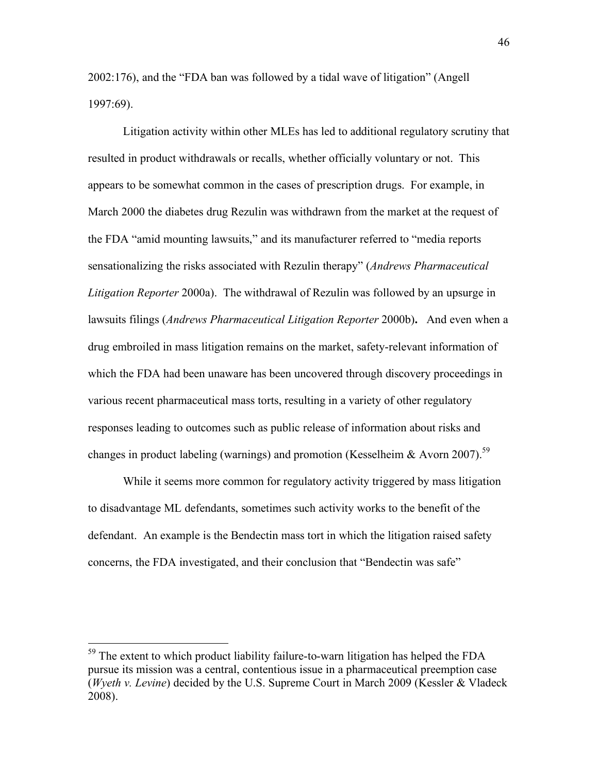2002:176), and the "FDA ban was followed by a tidal wave of litigation" (Angell 1997:69).

Litigation activity within other MLEs has led to additional regulatory scrutiny that resulted in product withdrawals or recalls, whether officially voluntary or not. This appears to be somewhat common in the cases of prescription drugs. For example, in March 2000 the diabetes drug Rezulin was withdrawn from the market at the request of the FDA "amid mounting lawsuits," and its manufacturer referred to "media reports sensationalizing the risks associated with Rezulin therapy" (*Andrews Pharmaceutical Litigation Reporter* 2000a). The withdrawal of Rezulin was followed by an upsurge in lawsuits filings (*Andrews Pharmaceutical Litigation Reporter* 2000b)**.** And even when a drug embroiled in mass litigation remains on the market, safety-relevant information of which the FDA had been unaware has been uncovered through discovery proceedings in various recent pharmaceutical mass torts, resulting in a variety of other regulatory responses leading to outcomes such as public release of information about risks and changes in product labeling (warnings) and promotion (Kesselheim & Avorn 2007).<sup>59</sup>

While it seems more common for regulatory activity triggered by mass litigation to disadvantage ML defendants, sometimes such activity works to the benefit of the defendant. An example is the Bendectin mass tort in which the litigation raised safety concerns, the FDA investigated, and their conclusion that "Bendectin was safe"

<sup>&</sup>lt;sup>59</sup> The extent to which product liability failure-to-warn litigation has helped the FDA pursue its mission was a central, contentious issue in a pharmaceutical preemption case (*Wyeth v. Levine*) decided by the U.S. Supreme Court in March 2009 (Kessler & Vladeck 2008).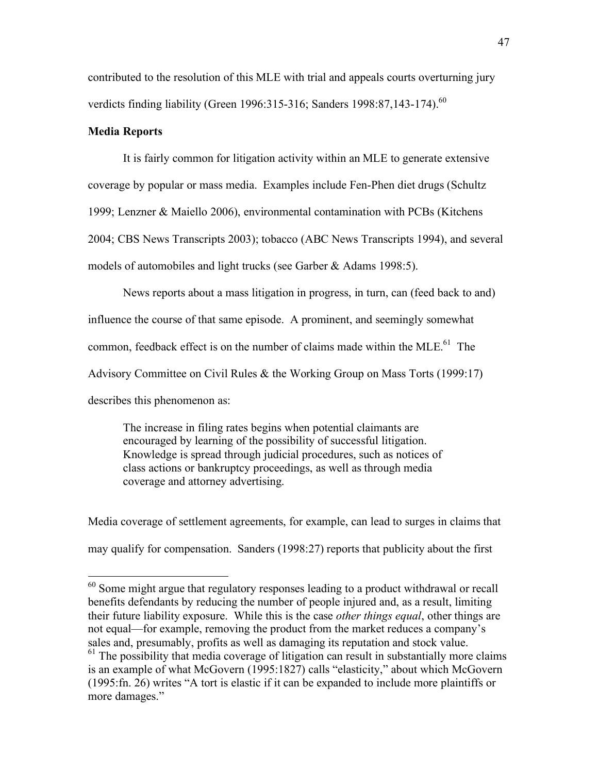contributed to the resolution of this MLE with trial and appeals courts overturning jury verdicts finding liability (Green 1996:315-316; Sanders 1998:87,143-174).<sup>60</sup>

#### **Media Reports**

It is fairly common for litigation activity within an MLE to generate extensive coverage by popular or mass media. Examples include Fen-Phen diet drugs (Schultz 1999; Lenzner & Maiello 2006), environmental contamination with PCBs (Kitchens 2004; CBS News Transcripts 2003); tobacco (ABC News Transcripts 1994), and several models of automobiles and light trucks (see Garber & Adams 1998:5).

News reports about a mass litigation in progress, in turn, can (feed back to and) influence the course of that same episode. A prominent, and seemingly somewhat common, feedback effect is on the number of claims made within the MLE.<sup>61</sup> The Advisory Committee on Civil Rules & the Working Group on Mass Torts (1999:17) describes this phenomenon as:

The increase in filing rates begins when potential claimants are encouraged by learning of the possibility of successful litigation. Knowledge is spread through judicial procedures, such as notices of class actions or bankruptcy proceedings, as well as through media coverage and attorney advertising.

Media coverage of settlement agreements, for example, can lead to surges in claims that may qualify for compensation. Sanders (1998:27) reports that publicity about the first

 $60$  Some might argue that regulatory responses leading to a product withdrawal or recall benefits defendants by reducing the number of people injured and, as a result, limiting their future liability exposure. While this is the case *other things equal*, other things are not equal—for example, removing the product from the market reduces a company's sales and, presumably, profits as well as damaging its reputation and stock value. <sup>61</sup> The possibility that media coverage of litigation can result in substantially more claims is an example of what McGovern (1995:1827) calls "elasticity," about which McGovern (1995:fn. 26) writes "A tort is elastic if it can be expanded to include more plaintiffs or more damages."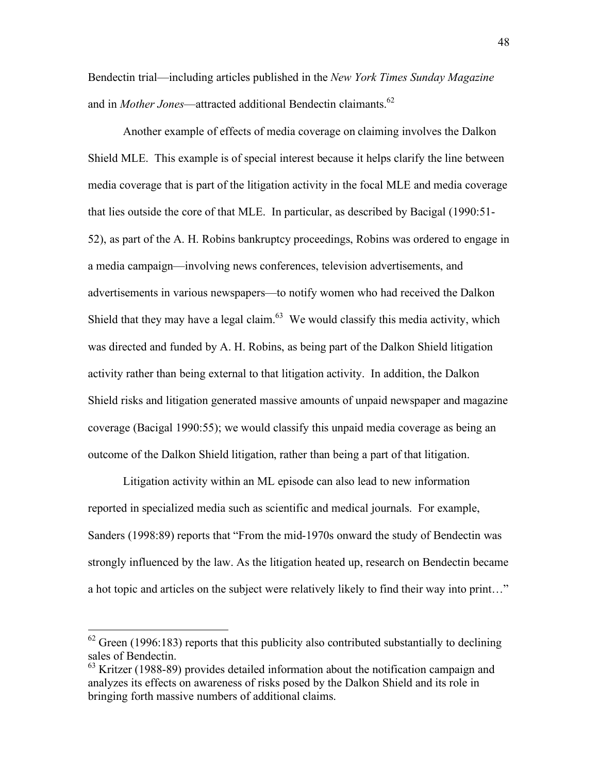Bendectin trial—including articles published in the *New York Times Sunday Magazine* and in *Mother Jones*—attracted additional Bendectin claimants.<sup>62</sup>

Another example of effects of media coverage on claiming involves the Dalkon Shield MLE. This example is of special interest because it helps clarify the line between media coverage that is part of the litigation activity in the focal MLE and media coverage that lies outside the core of that MLE. In particular, as described by Bacigal (1990:51- 52), as part of the A. H. Robins bankruptcy proceedings, Robins was ordered to engage in a media campaign—involving news conferences, television advertisements, and advertisements in various newspapers—to notify women who had received the Dalkon Shield that they may have a legal claim. $63$  We would classify this media activity, which was directed and funded by A. H. Robins, as being part of the Dalkon Shield litigation activity rather than being external to that litigation activity. In addition, the Dalkon Shield risks and litigation generated massive amounts of unpaid newspaper and magazine coverage (Bacigal 1990:55); we would classify this unpaid media coverage as being an outcome of the Dalkon Shield litigation, rather than being a part of that litigation.

Litigation activity within an ML episode can also lead to new information reported in specialized media such as scientific and medical journals. For example, Sanders (1998:89) reports that "From the mid-1970s onward the study of Bendectin was strongly influenced by the law. As the litigation heated up, research on Bendectin became a hot topic and articles on the subject were relatively likely to find their way into print…"

 $62$  Green (1996:183) reports that this publicity also contributed substantially to declining sales of Bendectin.

<sup>&</sup>lt;sup>63</sup> Kritzer (1988-89) provides detailed information about the notification campaign and analyzes its effects on awareness of risks posed by the Dalkon Shield and its role in bringing forth massive numbers of additional claims.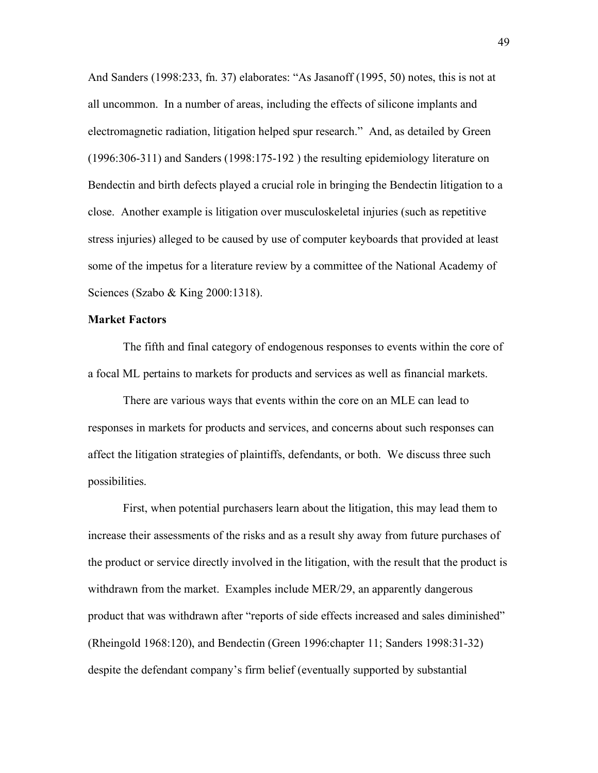And Sanders (1998:233, fn. 37) elaborates: "As Jasanoff (1995, 50) notes, this is not at all uncommon. In a number of areas, including the effects of silicone implants and electromagnetic radiation, litigation helped spur research." And, as detailed by Green (1996:306-311) and Sanders (1998:175-192 ) the resulting epidemiology literature on Bendectin and birth defects played a crucial role in bringing the Bendectin litigation to a close.Another example is litigation over musculoskeletal injuries (such as repetitive stress injuries) alleged to be caused by use of computer keyboards that provided at least some of the impetus for a literature review by a committee of the National Academy of Sciences (Szabo & King 2000:1318).

#### **Market Factors**

The fifth and final category of endogenous responses to events within the core of a focal ML pertains to markets for products and services as well as financial markets.

There are various ways that events within the core on an MLE can lead to responses in markets for products and services, and concerns about such responses can affect the litigation strategies of plaintiffs, defendants, or both. We discuss three such possibilities.

First, when potential purchasers learn about the litigation, this may lead them to increase their assessments of the risks and as a result shy away from future purchases of the product or service directly involved in the litigation, with the result that the product is withdrawn from the market. Examples include MER/29, an apparently dangerous product that was withdrawn after "reports of side effects increased and sales diminished" (Rheingold 1968:120), and Bendectin (Green 1996:chapter 11; Sanders 1998:31-32) despite the defendant company's firm belief (eventually supported by substantial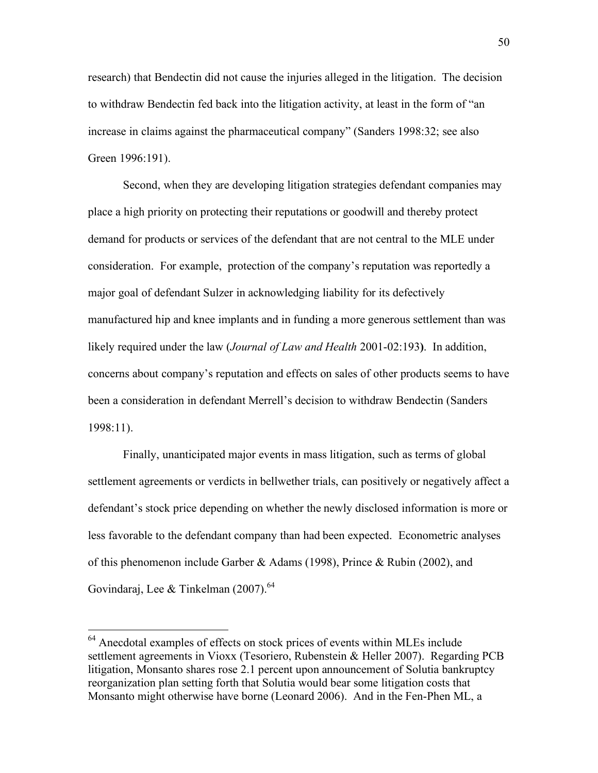research) that Bendectin did not cause the injuries alleged in the litigation. The decision to withdraw Bendectin fed back into the litigation activity, at least in the form of "an increase in claims against the pharmaceutical company" (Sanders 1998:32; see also Green 1996:191).

Second, when they are developing litigation strategies defendant companies may place a high priority on protecting their reputations or goodwill and thereby protect demand for products or services of the defendant that are not central to the MLE under consideration. For example, protection of the company's reputation was reportedly a major goal of defendant Sulzer in acknowledging liability for its defectively manufactured hip and knee implants and in funding a more generous settlement than was likely required under the law (*Journal of Law and Health* 2001-02:193**)**. In addition, concerns about company's reputation and effects on sales of other products seems to have been a consideration in defendant Merrell's decision to withdraw Bendectin (Sanders 1998:11).

Finally, unanticipated major events in mass litigation, such as terms of global settlement agreements or verdicts in bellwether trials, can positively or negatively affect a defendant's stock price depending on whether the newly disclosed information is more or less favorable to the defendant company than had been expected. Econometric analyses of this phenomenon include Garber & Adams (1998), Prince & Rubin (2002), and Govindaraj, Lee & Tinkelman  $(2007)$ .<sup>64</sup>

<sup>&</sup>lt;sup>64</sup> Anecdotal examples of effects on stock prices of events within MLEs include settlement agreements in Vioxx (Tesoriero, Rubenstein & Heller 2007). Regarding PCB litigation, Monsanto shares rose 2.1 percent upon announcement of Solutia bankruptcy reorganization plan setting forth that Solutia would bear some litigation costs that Monsanto might otherwise have borne (Leonard 2006). And in the Fen-Phen ML, a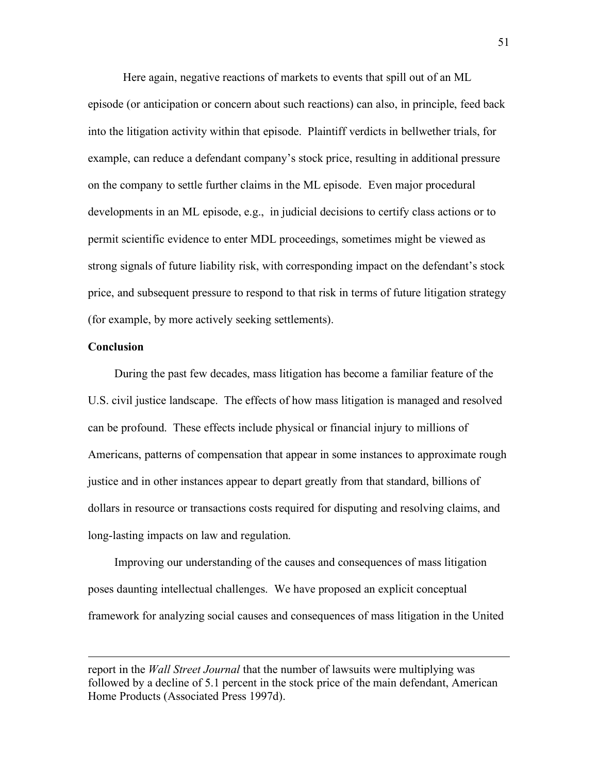Here again, negative reactions of markets to events that spill out of an ML episode (or anticipation or concern about such reactions) can also, in principle, feed back into the litigation activity within that episode. Plaintiff verdicts in bellwether trials, for example, can reduce a defendant company's stock price, resulting in additional pressure on the company to settle further claims in the ML episode. Even major procedural developments in an ML episode, e.g., in judicial decisions to certify class actions or to permit scientific evidence to enter MDL proceedings, sometimes might be viewed as strong signals of future liability risk, with corresponding impact on the defendant's stock price, and subsequent pressure to respond to that risk in terms of future litigation strategy (for example, by more actively seeking settlements).

#### **Conclusion**

 $\overline{a}$ 

During the past few decades, mass litigation has become a familiar feature of the U.S. civil justice landscape. The effects of how mass litigation is managed and resolved can be profound. These effects include physical or financial injury to millions of Americans, patterns of compensation that appear in some instances to approximate rough justice and in other instances appear to depart greatly from that standard, billions of dollars in resource or transactions costs required for disputing and resolving claims, and long-lasting impacts on law and regulation.

Improving our understanding of the causes and consequences of mass litigation poses daunting intellectual challenges. We have proposed an explicit conceptual framework for analyzing social causes and consequences of mass litigation in the United

report in the *Wall Street Journal* that the number of lawsuits were multiplying was followed by a decline of 5.1 percent in the stock price of the main defendant, American Home Products (Associated Press 1997d).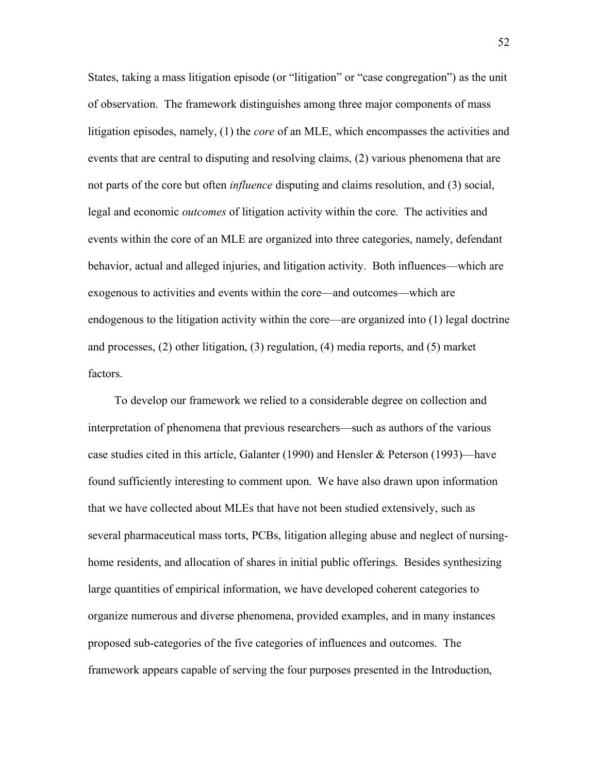States, taking a mass litigation episode (or "litigation" or "case congregation") as the unit of observation. The framework distinguishes among three major components of mass litigation episodes, namely, (1) the *core* of an MLE, which encompasses the activities and events that are central to disputing and resolving claims, (2) various phenomena that are not parts of the core but often *influence* disputing and claims resolution, and (3) social, legal and economic *outcomes* of litigation activity within the core. The activities and events within the core of an MLE are organized into three categories, namely, defendant behavior, actual and alleged injuries, and litigation activity. Both influences—which are exogenous to activities and events within the core—and outcomes—which are endogenous to the litigation activity within the core—are organized into (1) legal doctrine and processes, (2) other litigation, (3) regulation, (4) media reports, and (5) market factors.

To develop our framework we relied to a considerable degree on collection and interpretation of phenomena that previous researchers—such as authors of the various case studies cited in this article, Galanter (1990) and Hensler & Peterson (1993)—have found sufficiently interesting to comment upon. We have also drawn upon information that we have collected about MLEs that have not been studied extensively, such as several pharmaceutical mass torts, PCBs, litigation alleging abuse and neglect of nursinghome residents, and allocation of shares in initial public offerings. Besides synthesizing large quantities of empirical information, we have developed coherent categories to organize numerous and diverse phenomena, provided examples, and in many instances proposed sub-categories of the five categories of influences and outcomes. The framework appears capable of serving the four purposes presented in the Introduction,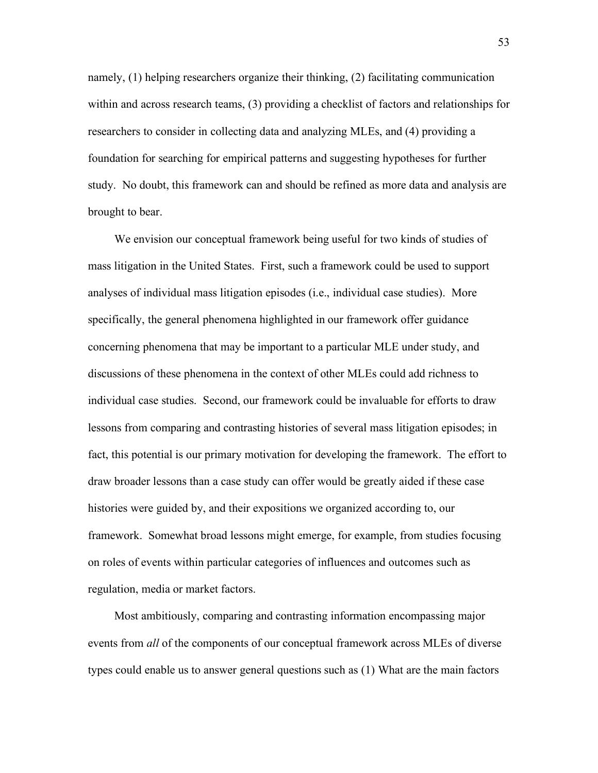namely, (1) helping researchers organize their thinking, (2) facilitating communication within and across research teams, (3) providing a checklist of factors and relationships for researchers to consider in collecting data and analyzing MLEs, and (4) providing a foundation for searching for empirical patterns and suggesting hypotheses for further study. No doubt, this framework can and should be refined as more data and analysis are brought to bear.

We envision our conceptual framework being useful for two kinds of studies of mass litigation in the United States. First, such a framework could be used to support analyses of individual mass litigation episodes (i.e., individual case studies). More specifically, the general phenomena highlighted in our framework offer guidance concerning phenomena that may be important to a particular MLE under study, and discussions of these phenomena in the context of other MLEs could add richness to individual case studies. Second, our framework could be invaluable for efforts to draw lessons from comparing and contrasting histories of several mass litigation episodes; in fact, this potential is our primary motivation for developing the framework. The effort to draw broader lessons than a case study can offer would be greatly aided if these case histories were guided by, and their expositions we organized according to, our framework. Somewhat broad lessons might emerge, for example, from studies focusing on roles of events within particular categories of influences and outcomes such as regulation, media or market factors.

Most ambitiously, comparing and contrasting information encompassing major events from *all* of the components of our conceptual framework across MLEs of diverse types could enable us to answer general questions such as (1) What are the main factors

53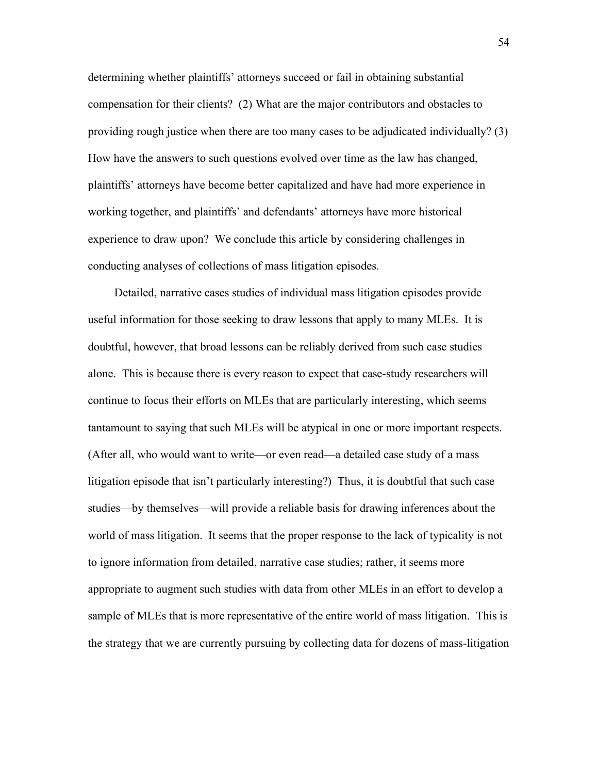determining whether plaintiffs' attorneys succeed or fail in obtaining substantial compensation for their clients? (2) What are the major contributors and obstacles to providing rough justice when there are too many cases to be adjudicated individually? (3) How have the answers to such questions evolved over time as the law has changed, plaintiffs' attorneys have become better capitalized and have had more experience in working together, and plaintiffs' and defendants' attorneys have more historical experience to draw upon? We conclude this article by considering challenges in conducting analyses of collections of mass litigation episodes.

Detailed, narrative cases studies of individual mass litigation episodes provide useful information for those seeking to draw lessons that apply to many MLEs. It is doubtful, however, that broad lessons can be reliably derived from such case studies alone. This is because there is every reason to expect that case-study researchers will continue to focus their efforts on MLEs that are particularly interesting, which seems tantamount to saying that such MLEs will be atypical in one or more important respects. (After all, who would want to write—or even read—a detailed case study of a mass litigation episode that isn't particularly interesting?) Thus, it is doubtful that such case studies—by themselves—will provide a reliable basis for drawing inferences about the world of mass litigation. It seems that the proper response to the lack of typicality is not to ignore information from detailed, narrative case studies; rather, it seems more appropriate to augment such studies with data from other MLEs in an effort to develop a sample of MLEs that is more representative of the entire world of mass litigation. This is the strategy that we are currently pursuing by collecting data for dozens of mass-litigation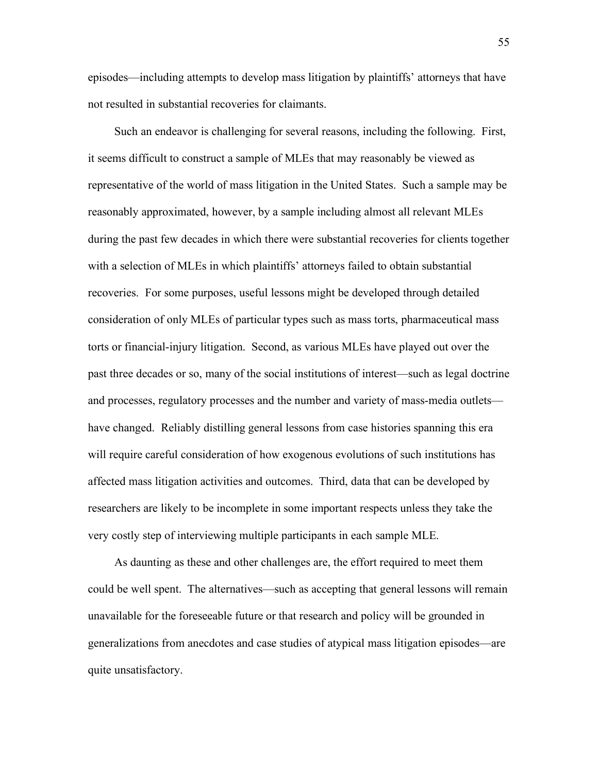episodes—including attempts to develop mass litigation by plaintiffs' attorneys that have not resulted in substantial recoveries for claimants.

Such an endeavor is challenging for several reasons, including the following. First, it seems difficult to construct a sample of MLEs that may reasonably be viewed as representative of the world of mass litigation in the United States. Such a sample may be reasonably approximated, however, by a sample including almost all relevant MLEs during the past few decades in which there were substantial recoveries for clients together with a selection of MLEs in which plaintiffs' attorneys failed to obtain substantial recoveries. For some purposes, useful lessons might be developed through detailed consideration of only MLEs of particular types such as mass torts, pharmaceutical mass torts or financial-injury litigation. Second, as various MLEs have played out over the past three decades or so, many of the social institutions of interest—such as legal doctrine and processes, regulatory processes and the number and variety of mass-media outlets have changed. Reliably distilling general lessons from case histories spanning this era will require careful consideration of how exogenous evolutions of such institutions has affected mass litigation activities and outcomes. Third, data that can be developed by researchers are likely to be incomplete in some important respects unless they take the very costly step of interviewing multiple participants in each sample MLE.

As daunting as these and other challenges are, the effort required to meet them could be well spent. The alternatives—such as accepting that general lessons will remain unavailable for the foreseeable future or that research and policy will be grounded in generalizations from anecdotes and case studies of atypical mass litigation episodes—are quite unsatisfactory.

55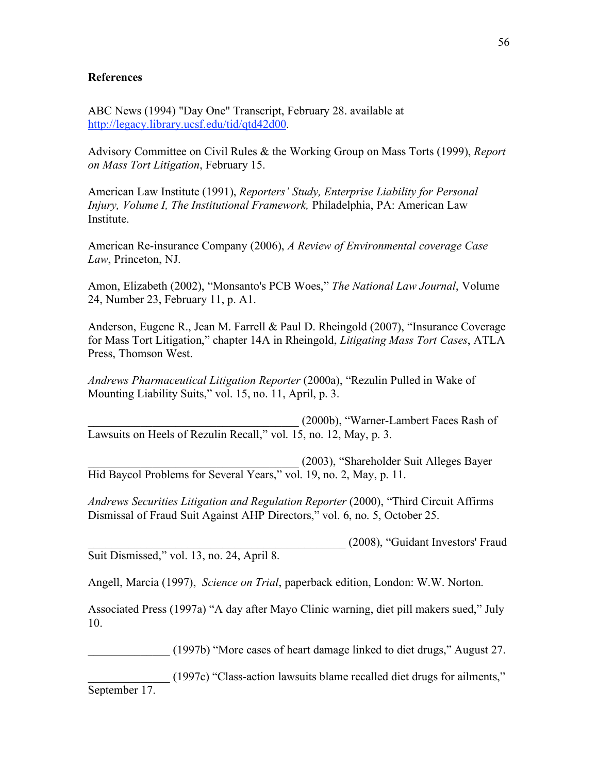#### **References**

ABC News (1994) "Day One" Transcript, February 28. available at [http://legacy.library.ucsf.edu/tid/qtd42d00.](http://legacy.library.ucsf.edu/tid/qtd42d00) 

Advisory Committee on Civil Rules & the Working Group on Mass Torts (1999), *Report on Mass Tort Litigation*, February 15.

American Law Institute (1991), *Reporters' Study, Enterprise Liability for Personal Injury, Volume I, The Institutional Framework,* Philadelphia, PA: American Law Institute.

American Re-insurance Company (2006), *A Review of Environmental coverage Case Law*, Princeton, NJ.

Amon, Elizabeth (2002), "Monsanto's PCB Woes," *The National Law Journal*, Volume 24, Number 23, February 11, p. A1.

Anderson, Eugene R., Jean M. Farrell & Paul D. Rheingold (2007), "Insurance Coverage for Mass Tort Litigation," chapter 14A in Rheingold, *Litigating Mass Tort Cases*, ATLA Press, Thomson West.

*Andrews Pharmaceutical Litigation Reporter* (2000a), "Rezulin Pulled in Wake of Mounting Liability Suits," vol. 15, no. 11, April, p. 3.

\_\_\_\_\_\_\_\_\_\_\_\_\_\_\_\_\_\_\_\_\_\_\_\_\_\_\_\_\_\_\_\_\_\_\_\_ (2000b), "Warner-Lambert Faces Rash of Lawsuits on Heels of Rezulin Recall," vol. 15, no. 12, May, p. 3.

\_\_\_\_\_\_\_\_\_\_\_\_\_\_\_\_\_\_\_\_\_\_\_\_\_\_\_\_\_\_\_\_\_\_\_\_ (2003), "Shareholder Suit Alleges Bayer Hid Baycol Problems for Several Years," vol. 19, no. 2, May, p. 11.

*Andrews Securities Litigation and Regulation Reporter* (2000), "Third Circuit Affirms Dismissal of Fraud Suit Against AHP Directors," vol. 6, no. 5, October 25.

\_\_\_\_\_\_\_\_\_\_\_\_\_\_\_\_\_\_\_\_\_\_\_\_\_\_\_\_\_\_\_\_\_\_\_\_\_\_\_\_\_\_\_\_ (2008), "Guidant Investors' Fraud Suit Dismissed," vol. 13, no. 24, April 8.

Angell, Marcia (1997), *Science on Trial*, paperback edition, London: W.W. Norton.

Associated Press (1997a) "A day after Mayo Clinic warning, diet pill makers sued," July 10.

\_\_\_\_\_\_\_\_\_\_\_\_\_\_ (1997b) "More cases of heart damage linked to diet drugs," August 27.

\_\_\_\_\_\_\_\_\_\_\_\_\_\_ (1997c) "Class-action lawsuits blame recalled diet drugs for ailments," September 17.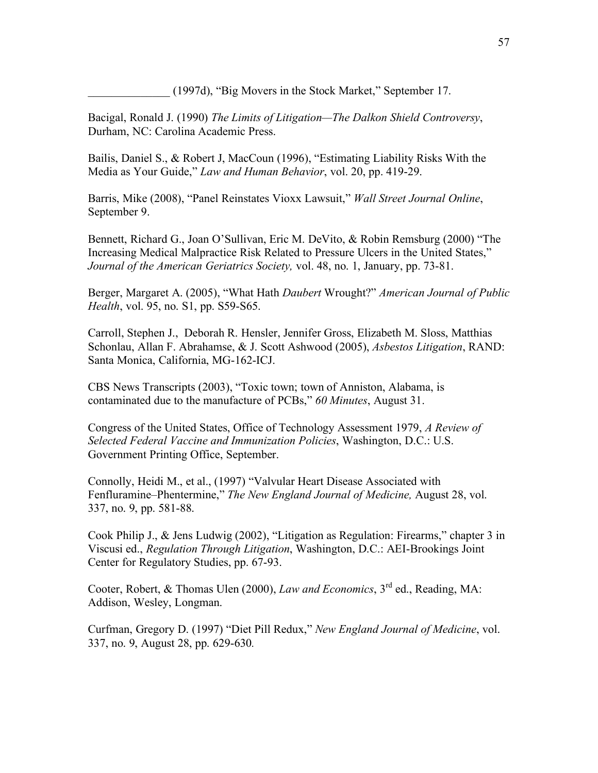\_\_\_\_\_\_\_\_\_\_\_\_\_\_ (1997d), "Big Movers in the Stock Market," September 17.

Bacigal, Ronald J. (1990) *The Limits of Litigation—The Dalkon Shield Controversy*, Durham, NC: Carolina Academic Press.

Bailis, Daniel S., & Robert J, MacCoun (1996), "Estimating Liability Risks With the Media as Your Guide," *Law and Human Behavior*, vol. 20, pp. 419-29.

Barris, Mike (2008), "Panel Reinstates Vioxx Lawsuit," *Wall Street Journal Online*, September 9.

Bennett, Richard G., Joan O'Sullivan, Eric M. DeVito, & Robin Remsburg (2000) "The Increasing Medical Malpractice Risk Related to Pressure Ulcers in the United States," *Journal of the American Geriatrics Society,* vol. 48, no. 1, January, pp. 73-81.

Berger, Margaret A. (2005), "What Hath *Daubert* Wrought?" *American Journal of Public Health*, vol. 95, no. S1, pp. S59-S65.

Carroll, Stephen J., Deborah R. Hensler, Jennifer Gross, Elizabeth M. Sloss, Matthias Schonlau, Allan F. Abrahamse, & J. Scott Ashwood (2005), *Asbestos Litigation*, RAND: Santa Monica, California, MG-162-ICJ.

CBS News Transcripts (2003), "Toxic town; town of Anniston, Alabama, is contaminated due to the manufacture of PCBs," *60 Minutes*, August 31.

Congress of the United States, Office of Technology Assessment 1979, *A Review of Selected Federal Vaccine and Immunization Policies*, Washington, D.C.: U.S. Government Printing Office, September.

Connolly, Heidi M., et al., (1997) "Valvular Heart Disease Associated with Fenfluramine–Phentermine," *The New England Journal of Medicine,* August 28, vol. 337, no. 9, pp. 581-88.

Cook Philip J., & Jens Ludwig (2002), "Litigation as Regulation: Firearms," chapter 3 in Viscusi ed., *Regulation Through Litigation*, Washington, D.C.: AEI-Brookings Joint Center for Regulatory Studies, pp. 67-93.

Cooter, Robert, & Thomas Ulen (2000), *Law and Economics*, 3rd ed., Reading, MA: Addison, Wesley, Longman.

Curfman, Gregory D. (1997) "Diet Pill Redux," *New England Journal of Medicine*, vol. 337, no. 9, August 28, pp. 629-630*.*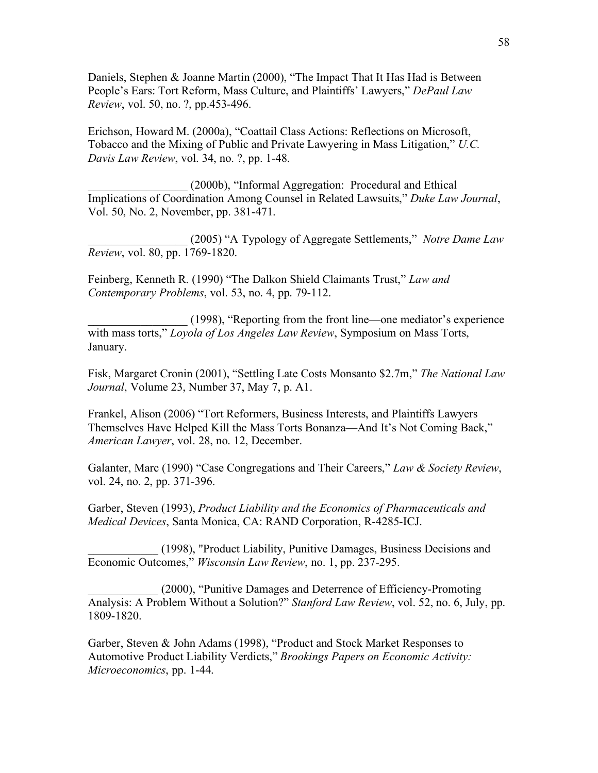Daniels, Stephen & Joanne Martin (2000), "The Impact That It Has Had is Between People's Ears: Tort Reform, Mass Culture, and Plaintiffs' Lawyers," *DePaul Law Review*, vol. 50, no. ?, pp.453-496.

Erichson, Howard M. (2000a), "Coattail Class Actions: Reflections on Microsoft, Tobacco and the Mixing of Public and Private Lawyering in Mass Litigation," *U.C. Davis Law Review*, vol. 34, no. ?, pp. 1-48.

\_\_\_\_\_\_\_\_\_\_\_\_\_\_\_\_\_ (2000b), "Informal Aggregation: Procedural and Ethical Implications of Coordination Among Counsel in Related Lawsuits," *Duke Law Journal*, Vol. 50, No. 2, November, pp. 381-471.

\_\_\_\_\_\_\_\_\_\_\_\_\_\_\_\_\_ (2005) "A Typology of Aggregate Settlements," *Notre Dame Law Review*, vol. 80, pp. 1769-1820.

Feinberg, Kenneth R. (1990) "The Dalkon Shield Claimants Trust," *Law and Contemporary Problems*, vol. 53, no. 4, pp. 79-112.

\_\_\_\_\_\_\_\_\_\_\_\_\_\_\_\_\_ (1998), "Reporting from the front line—one mediator's experience with mass torts," *Loyola of Los Angeles Law Review*, Symposium on Mass Torts, January.

Fisk, Margaret Cronin (2001), "Settling Late Costs Monsanto \$2.7m," *The National Law Journal*, Volume 23, Number 37, May 7, p. A1.

Frankel, Alison (2006) "Tort Reformers, Business Interests, and Plaintiffs Lawyers Themselves Have Helped Kill the Mass Torts Bonanza—And It's Not Coming Back," *American Lawyer*, vol. 28, no. 12, December.

Galanter, Marc (1990) "Case Congregations and Their Careers," *Law & Society Review*, vol. 24, no. 2, pp. 371-396.

Garber, Steven (1993), *Product Liability and the Economics of Pharmaceuticals and Medical Devices*, Santa Monica, CA: RAND Corporation, R-4285-ICJ.

\_\_\_\_\_\_\_\_\_\_\_\_ (1998), "Product Liability, Punitive Damages, Business Decisions and Economic Outcomes," *Wisconsin Law Review*, no. 1, pp. 237-295.

\_\_\_\_\_\_\_\_\_\_\_\_ (2000), "Punitive Damages and Deterrence of Efficiency-Promoting Analysis: A Problem Without a Solution?" *Stanford Law Review*, vol. 52, no. 6, July, pp. 1809-1820.

Garber, Steven & John Adams (1998), "Product and Stock Market Responses to Automotive Product Liability Verdicts," *Brookings Papers on Economic Activity: Microeconomics*, pp. 1-44.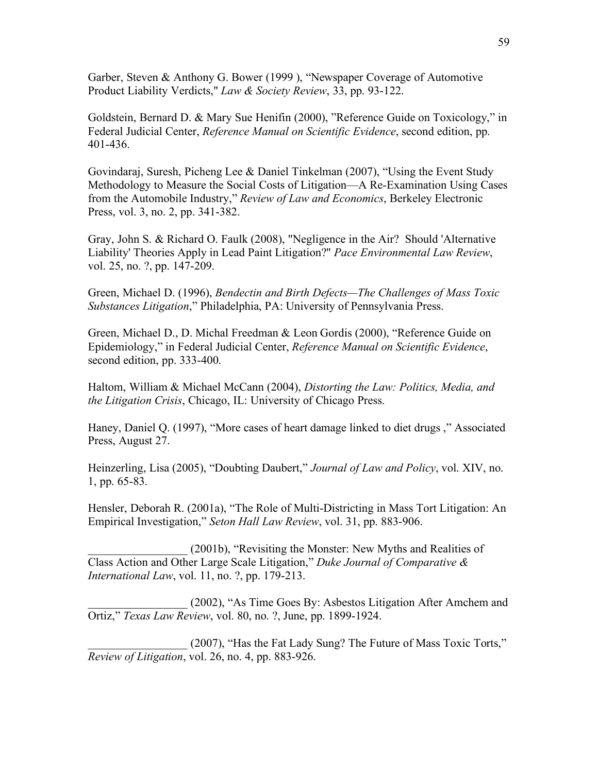Garber, Steven & Anthony G. Bower (1999 ), "Newspaper Coverage of Automotive Product Liability Verdicts," *Law & Society Review*, 33, pp. 93-122.

Goldstein, Bernard D. & Mary Sue Henifin (2000), "Reference Guide on Toxicology," in Federal Judicial Center, *Reference Manual on Scientific Evidence*, second edition, pp. 401-436.

Govindaraj, Suresh, Picheng Lee & Daniel Tinkelman (2007), "Using the Event Study Methodology to Measure the Social Costs of Litigation—A Re-Examination Using Cases from the Automobile Industry," *Review of Law and Economics*, Berkeley Electronic Press, vol. 3, no. 2, pp. 341-382.

Gray, John S. & Richard O. Faulk (2008), "Negligence in the Air? Should 'Alternative Liability' Theories Apply in Lead Paint Litigation?" *Pace Environmental Law Review*, vol. 25, no. ?, pp. 147-209.

Green, Michael D. (1996), *Bendectin and Birth Defects—The Challenges of Mass Toxic Substances Litigation*," Philadelphia, PA: University of Pennsylvania Press.

Green, Michael D., D. Michal Freedman & Leon Gordis (2000), "Reference Guide on Epidemiology," in Federal Judicial Center, *Reference Manual on Scientific Evidence*, second edition, pp. 333-400.

Haltom, William & Michael McCann (2004), *Distorting the Law: Politics, Media, and the Litigation Crisis*, Chicago, IL: University of Chicago Press.

Haney, Daniel Q. (1997), "More cases of heart damage linked to diet drugs ," Associated Press, August 27.

Heinzerling, Lisa (2005), "Doubting Daubert," *Journal of Law and Policy*, vol. XIV, no. 1, pp. 65-83.

Hensler, Deborah R. (2001a), "The Role of Multi-Districting in Mass Tort Litigation: An Empirical Investigation," *Seton Hall Law Review*, vol. 31, pp. 883-906.

\_\_\_\_\_\_\_\_\_\_\_\_\_\_\_\_\_ (2001b), "Revisiting the Monster: New Myths and Realities of Class Action and Other Large Scale Litigation," *Duke Journal of Comparative & International Law*, vol. 11, no. ?, pp. 179-213.

\_\_\_\_\_\_\_\_\_\_\_\_\_\_\_\_\_ (2002), "As Time Goes By: Asbestos Litigation After Amchem and Ortiz," *Texas Law Review*, vol. 80, no. ?, June, pp. 1899-1924.

(2007), "Has the Fat Lady Sung? The Future of Mass Toxic Torts," *Review of Litigation*, vol. 26, no. 4, pp. 883-926.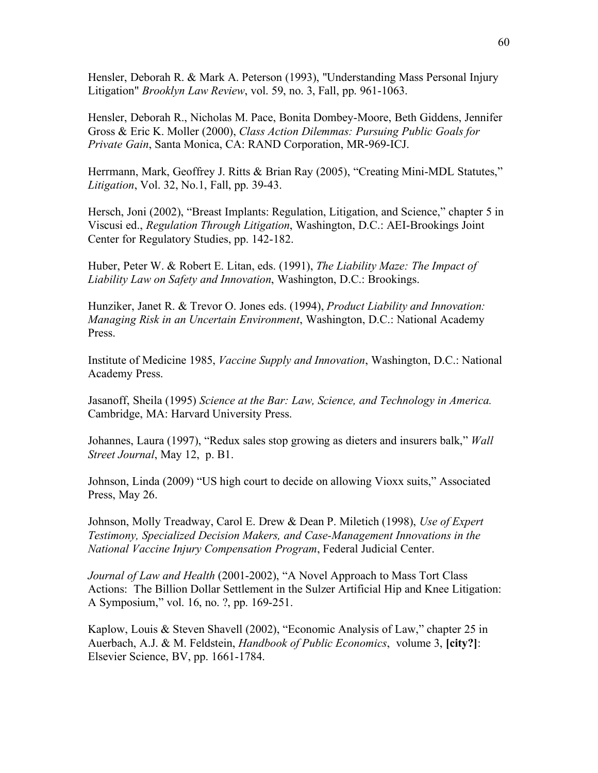Hensler, Deborah R. & Mark A. Peterson (1993), "Understanding Mass Personal Injury Litigation" *Brooklyn Law Review*, vol. 59, no. 3, Fall, pp. 961-1063.

Hensler, Deborah R., Nicholas M. Pace, Bonita Dombey-Moore, Beth Giddens, Jennifer Gross & Eric K. Moller (2000), *Class Action Dilemmas: Pursuing Public Goals for Private Gain*, Santa Monica, CA: RAND Corporation, MR-969-ICJ.

Herrmann, Mark, Geoffrey J. Ritts & Brian Ray (2005), "Creating Mini-MDL Statutes," *Litigation*, Vol. 32, No.1, Fall, pp. 39-43.

Hersch, Joni (2002), "Breast Implants: Regulation, Litigation, and Science," chapter 5 in Viscusi ed., *Regulation Through Litigation*, Washington, D.C.: AEI-Brookings Joint Center for Regulatory Studies, pp. 142-182.

Huber, Peter W. & Robert E. Litan, eds. (1991), *The Liability Maze: The Impact of Liability Law on Safety and Innovation*, Washington, D.C.: Brookings.

Hunziker, Janet R. & Trevor O. Jones eds. (1994), *Product Liability and Innovation: Managing Risk in an Uncertain Environment*, Washington, D.C.: National Academy Press.

Institute of Medicine 1985, *Vaccine Supply and Innovation*, Washington, D.C.: National Academy Press.

Jasanoff, Sheila (1995) *Science at the Bar: Law, Science, and Technology in America.*  Cambridge, MA: Harvard University Press.

Johannes, Laura (1997), "Redux sales stop growing as dieters and insurers balk," *Wall Street Journal*, May 12, p. B1.

Johnson, Linda (2009) "US high court to decide on allowing Vioxx suits," Associated Press, May 26.

Johnson, Molly Treadway, Carol E. Drew & Dean P. Miletich (1998), *Use of Expert Testimony, Specialized Decision Makers, and Case-Management Innovations in the National Vaccine Injury Compensation Program*, Federal Judicial Center.

*Journal of Law and Health* (2001-2002), "A Novel Approach to Mass Tort Class Actions: The Billion Dollar Settlement in the Sulzer Artificial Hip and Knee Litigation: A Symposium," vol. 16, no. ?, pp. 169-251.

Kaplow, Louis & Steven Shavell (2002), "Economic Analysis of Law," chapter 25 in Auerbach, A.J. & M. Feldstein, *Handbook of Public Economics*, volume 3, **[city?]**: Elsevier Science, BV, pp. 1661-1784.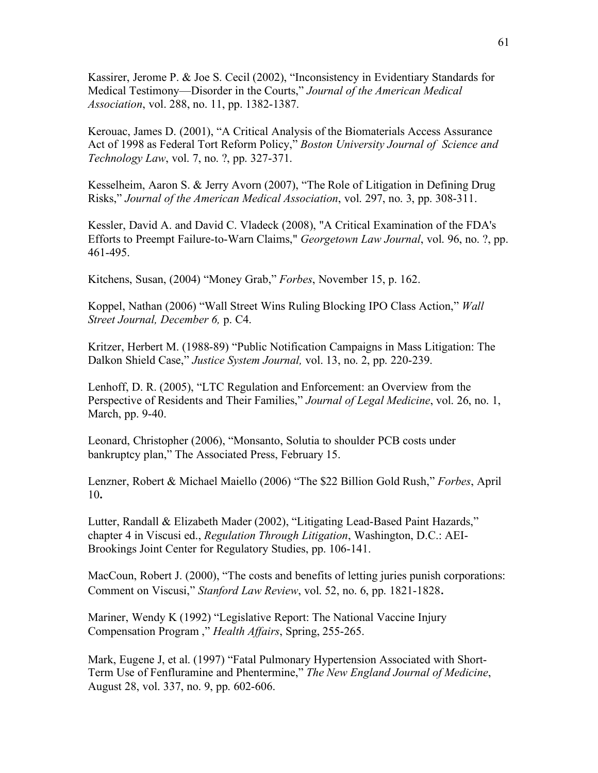Kassirer, Jerome P. & Joe S. Cecil (2002), "Inconsistency in Evidentiary Standards for Medical Testimony—Disorder in the Courts," *Journal of the American Medical Association*, vol. 288, no. 11, pp. 1382-1387.

Kerouac, James D. (2001), "A Critical Analysis of the Biomaterials Access Assurance Act of 1998 as Federal Tort Reform Policy," *Boston University Journal of Science and Technology Law*, vol. 7, no. ?, pp. 327-371.

Kesselheim, Aaron S. & Jerry Avorn (2007), "The Role of Litigation in Defining Drug Risks," *Journal of the American Medical Association*, vol. 297, no. 3, pp. 308-311.

Kessler, David A. and David C. Vladeck (2008), "A Critical Examination of the FDA's Efforts to Preempt Failure-to-Warn Claims," *Georgetown Law Journal*, vol. 96, no. ?, pp. 461-495.

Kitchens, Susan, (2004) "Money Grab," *Forbes*, November 15, p. 162.

Koppel, Nathan (2006) "Wall Street Wins Ruling Blocking IPO Class Action," *Wall Street Journal, December 6,* p. C4.

Kritzer, Herbert M. (1988-89) "Public Notification Campaigns in Mass Litigation: The Dalkon Shield Case," *Justice System Journal,* vol. 13, no. 2, pp. 220-239.

Lenhoff, D. R. (2005), "LTC Regulation and Enforcement: an Overview from the Perspective of Residents and Their Families," *Journal of Legal Medicine*, vol. 26, no. 1, March, pp. 9-40.

Leonard, Christopher (2006), "Monsanto, Solutia to shoulder PCB costs under bankruptcy plan," The Associated Press, February 15.

Lenzner, Robert & Michael Maiello (2006) "The \$22 Billion Gold Rush," *Forbes*, April 10**.**

Lutter, Randall & Elizabeth Mader (2002), "Litigating Lead-Based Paint Hazards," chapter 4 in Viscusi ed., *Regulation Through Litigation*, Washington, D.C.: AEI-Brookings Joint Center for Regulatory Studies, pp. 106-141.

MacCoun, Robert J. (2000), "The costs and benefits of letting juries punish corporations: Comment on Viscusi," *Stanford Law Review*, vol. 52, no. 6, pp. 1821-1828.

Mariner, Wendy K (1992) "Legislative Report: The National Vaccine Injury Compensation Program ," *Health Affairs*, Spring, 255-265.

Mark, Eugene J, et al. (1997) "Fatal Pulmonary Hypertension Associated with Short-Term Use of Fenfluramine and Phentermine," *The New England Journal of Medicine*, August 28, vol. 337, no. 9, pp. 602-606.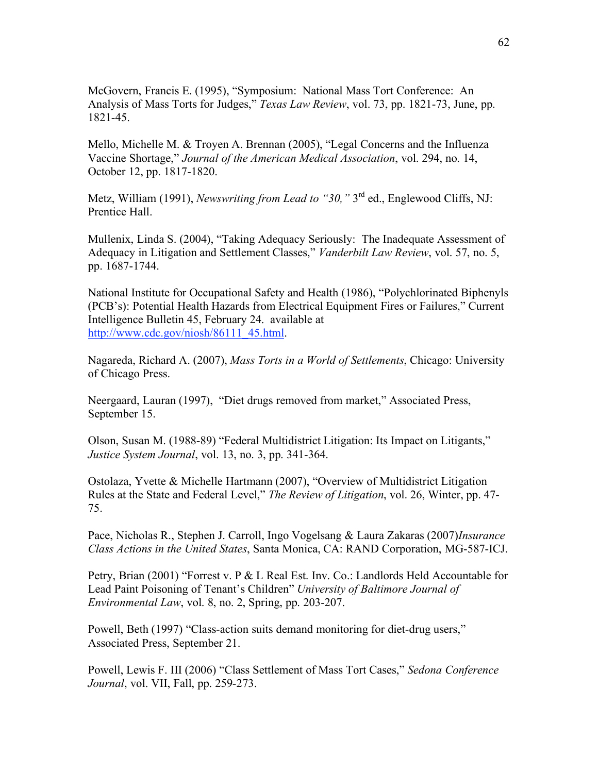McGovern, Francis E. (1995), "Symposium: National Mass Tort Conference: An Analysis of Mass Torts for Judges," *Texas Law Review*, vol. 73, pp. 1821-73, June, pp. 1821-45.

Mello, Michelle M. & Troyen A. Brennan (2005), "Legal Concerns and the Influenza Vaccine Shortage," *Journal of the American Medical Association*, vol. 294, no. 14, October 12, pp. 1817-1820.

Metz, William (1991), *Newswriting from Lead to "30,"* 3rd ed., Englewood Cliffs, NJ: Prentice Hall.

Mullenix, Linda S. (2004), "Taking Adequacy Seriously: The Inadequate Assessment of Adequacy in Litigation and Settlement Classes," *Vanderbilt Law Review*, vol. 57, no. 5, pp. 1687-1744.

National Institute for Occupational Safety and Health (1986), "Polychlorinated Biphenyls (PCB's): Potential Health Hazards from Electrical Equipment Fires or Failures," Current Intelligence Bulletin 45, February 24. available at http://www.cdc.gov/niosh/86111\_45.html.

Nagareda, Richard A. (2007), *Mass Torts in a World of Settlements*, Chicago: University of Chicago Press.

Neergaard, Lauran (1997), "Diet drugs removed from market," Associated Press, September 15.

Olson, Susan M. (1988-89) "Federal Multidistrict Litigation: Its Impact on Litigants," *Justice System Journal*, vol. 13, no. 3, pp. 341-364.

Ostolaza, Yvette & Michelle Hartmann (2007), "Overview of Multidistrict Litigation Rules at the State and Federal Level," *The Review of Litigation*, vol. 26, Winter, pp. 47- 75.

Pace, Nicholas R., Stephen J. Carroll, Ingo Vogelsang & Laura Zakaras (2007)*Insurance Class Actions in the United States*, Santa Monica, CA: RAND Corporation, MG-587-ICJ.

Petry, Brian (2001) "Forrest v. P & L Real Est. Inv. Co.: Landlords Held Accountable for Lead Paint Poisoning of Tenant's Children" *University of Baltimore Journal of Environmental Law*, vol. 8, no. 2, Spring, pp. 203-207.

Powell, Beth (1997) "Class-action suits demand monitoring for diet-drug users," Associated Press, September 21.

Powell, Lewis F. III (2006) "Class Settlement of Mass Tort Cases," *Sedona Conference Journal*, vol. VII, Fall, pp. 259-273.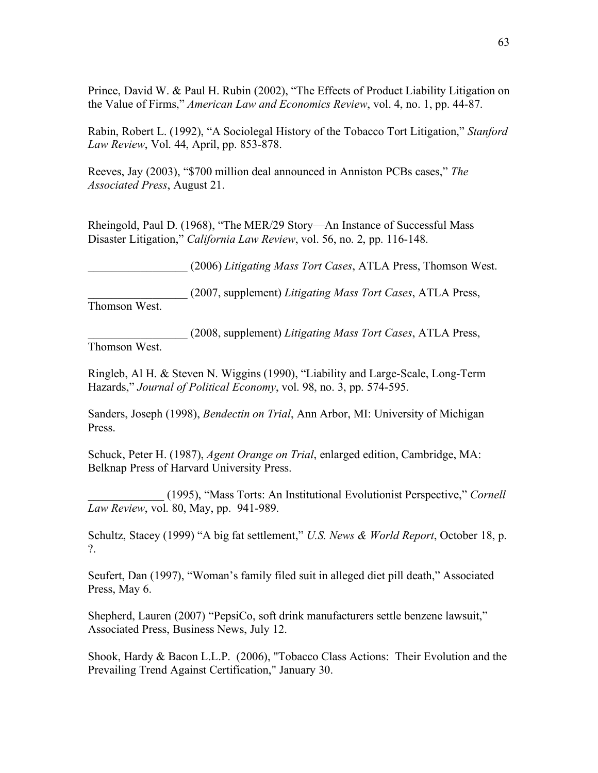Prince, David W. & Paul H. Rubin (2002), "The Effects of Product Liability Litigation on the Value of Firms," *American Law and Economics Review*, vol. 4, no. 1, pp. 44-87.

Rabin, Robert L. (1992), "A Sociolegal History of the Tobacco Tort Litigation," *Stanford Law Review*, Vol. 44, April, pp. 853-878.

Reeves, Jay (2003), "\$700 million deal announced in Anniston PCBs cases," *The Associated Press*, August 21.

Rheingold, Paul D. (1968), "The MER/29 Story—An Instance of Successful Mass Disaster Litigation," *California Law Review*, vol. 56, no. 2, pp. 116-148.

\_\_\_\_\_\_\_\_\_\_\_\_\_\_\_\_\_ (2006) *Litigating Mass Tort Cases*, ATLA Press, Thomson West.

\_\_\_\_\_\_\_\_\_\_\_\_\_\_\_\_\_ (2007, supplement) *Litigating Mass Tort Cases*, ATLA Press, Thomson West.

\_\_\_\_\_\_\_\_\_\_\_\_\_\_\_\_\_ (2008, supplement) *Litigating Mass Tort Cases*, ATLA Press,

Thomson West.

Ringleb, Al H. & Steven N. Wiggins (1990), "Liability and Large-Scale, Long-Term Hazards," *Journal of Political Economy*, vol. 98, no. 3, pp. 574-595.

Sanders, Joseph (1998), *Bendectin on Trial*, Ann Arbor, MI: University of Michigan Press.

Schuck, Peter H. (1987), *Agent Orange on Trial*, enlarged edition, Cambridge, MA: Belknap Press of Harvard University Press.

\_\_\_\_\_\_\_\_\_\_\_\_\_ (1995), "Mass Torts: An Institutional Evolutionist Perspective," *Cornell Law Review*, vol. 80, May, pp. 941-989.

Schultz, Stacey (1999) "A big fat settlement," *U.S. News & World Report*, October 18, p. ?.

Seufert, Dan (1997), "Woman's family filed suit in alleged diet pill death," Associated Press, May 6.

Shepherd, Lauren (2007) "PepsiCo, soft drink manufacturers settle benzene lawsuit," Associated Press, Business News, July 12.

Shook, Hardy & Bacon L.L.P. (2006), "Tobacco Class Actions: Their Evolution and the Prevailing Trend Against Certification," January 30.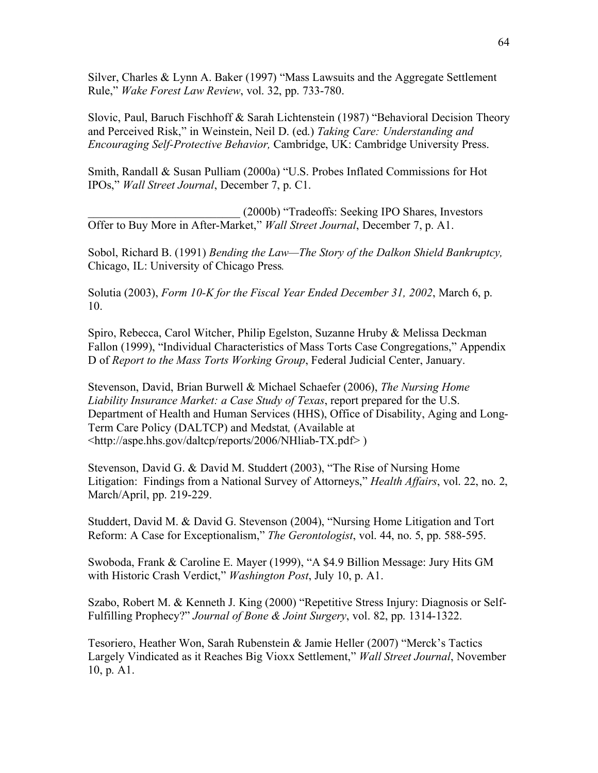Silver, Charles & Lynn A. Baker (1997) "Mass Lawsuits and the Aggregate Settlement Rule," *Wake Forest Law Review*, vol. 32, pp. 733-780.

Slovic, Paul, Baruch Fischhoff & Sarah Lichtenstein (1987) "Behavioral Decision Theory and Perceived Risk," in Weinstein, Neil D. (ed.) *Taking Care: Understanding and Encouraging Self-Protective Behavior,* Cambridge, UK: Cambridge University Press.

Smith, Randall & Susan Pulliam (2000a) "U.S. Probes Inflated Commissions for Hot IPOs," *Wall Street Journal*, December 7, p. C1.

\_\_\_\_\_\_\_\_\_\_\_\_\_\_\_\_\_\_\_\_\_\_\_\_\_\_ (2000b) "Tradeoffs: Seeking IPO Shares, Investors Offer to Buy More in After-Market," *Wall Street Journal*, December 7, p. A1.

Sobol, Richard B. (1991) *Bending the Law—The Story of the Dalkon Shield Bankruptcy,*  Chicago, IL: University of Chicago Press*.*

Solutia (2003), *Form 10-K for the Fiscal Year Ended December 31, 2002*, March 6, p. 10.

Spiro, Rebecca, Carol Witcher, Philip Egelston, Suzanne Hruby & Melissa Deckman Fallon (1999), "Individual Characteristics of Mass Torts Case Congregations," Appendix D of *Report to the Mass Torts Working Group*, Federal Judicial Center, January.

Stevenson, David, Brian Burwell & Michael Schaefer (2006), *The Nursing Home Liability Insurance Market: a Case Study of Texas*, report prepared for the U.S. Department of Health and Human Services (HHS), Office of Disability, Aging and Long-Term Care Policy (DALTCP) and Medstat*,* (Available at <[http://aspe.hhs.gov/daltcp/reports/2006/NHliab-TX.pdf>](http://aspe.hhs.gov/daltcp/reports/2006/NHliab-TX.pdf) )

Stevenson, David G. & David M. Studdert (2003), "The Rise of Nursing Home Litigation: Findings from a National Survey of Attorneys," *Health Affairs*, vol. 22, no. 2, March/April, pp. 219-229.

Studdert, David M. & David G. Stevenson (2004), "Nursing Home Litigation and Tort Reform: A Case for Exceptionalism," *The Gerontologist*, vol. 44, no. 5, pp. 588-595.

Swoboda, Frank & Caroline E. Mayer (1999), "A \$4.9 Billion Message: Jury Hits GM with Historic Crash Verdict," *Washington Post*, July 10, p. A1.

Szabo, Robert M. & Kenneth J. King (2000) "Repetitive Stress Injury: Diagnosis or Self-Fulfilling Prophecy?" *Journal of Bone & Joint Surgery*, vol. 82, pp. 1314-1322.

Tesoriero, Heather Won, Sarah Rubenstein & Jamie Heller (2007) "Merck's Tactics Largely Vindicated as it Reaches Big Vioxx Settlement," *Wall Street Journal*, November 10, p. A1.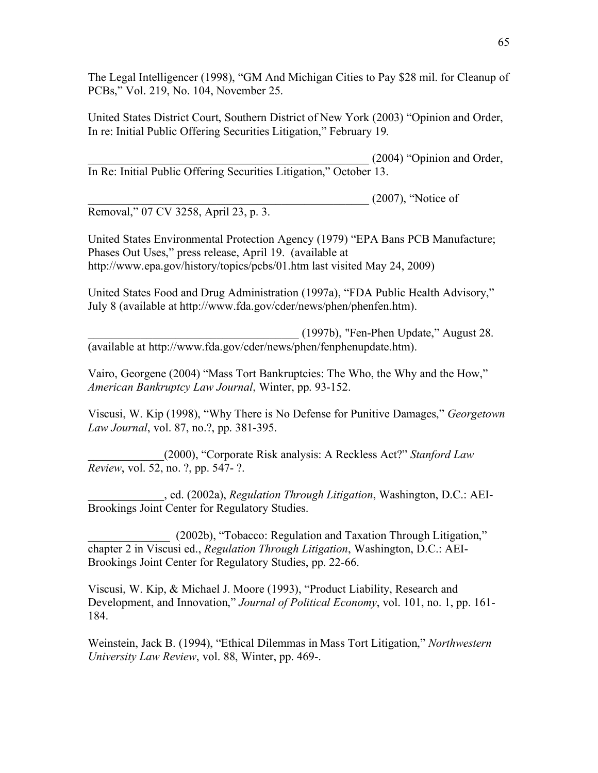The Legal Intelligencer (1998), "GM And Michigan Cities to Pay \$28 mil. for Cleanup of PCBs," Vol. 219, No. 104, November 25.

United States District Court, Southern District of New York (2003) "Opinion and Order, In re: Initial Public Offering Securities Litigation," February 19*.*

 $(2004)$  "Opinion and Order, In Re: Initial Public Offering Securities Litigation," October 13.

 $(2007)$ , "Notice of

Removal," 07 CV 3258, April 23, p. 3.

United States Environmental Protection Agency (1979) "EPA Bans PCB Manufacture; Phases Out Uses," press release, April 19. (available at [http://www.epa.gov/history/topics/pcbs/01.htm l](http://www.epa.gov/history/topics/pcbs/01.htm)ast visited May 24, 2009)

United States Food and Drug Administration (1997a), "FDA Public Health Advisory," July 8 (available at [http://www.fda.gov/cder/news/phen/phenfen.htm\)](http://www.fda.gov/cder/news/phen/phenfen.htm).

\_\_\_\_\_\_\_\_\_\_\_\_\_\_\_\_\_\_\_\_\_\_\_\_\_\_\_\_\_\_\_\_\_\_\_\_ (1997b), "Fen-Phen Update," August 28. (available at [http://www.fda.gov/cder/news/phen/fenphenupdate.htm\)](http://www.fda.gov/cder/news/phen/fenphenupdate.htm).

Vairo, Georgene (2004) "Mass Tort Bankruptcies: The Who, the Why and the How," *American Bankruptcy Law Journal*, Winter, pp. 93-152.

Viscusi, W. Kip (1998), "Why There is No Defense for Punitive Damages," *Georgetown Law Journal*, vol. 87, no.?, pp. 381-395.

\_\_\_\_\_\_\_\_\_\_\_\_\_(2000), "Corporate Risk analysis: A Reckless Act?" *Stanford Law Review*, vol. 52, no. ?, pp. 547- ?.

\_\_\_\_\_\_\_\_\_\_\_\_\_, ed. (2002a), *Regulation Through Litigation*, Washington, D.C.: AEI-Brookings Joint Center for Regulatory Studies.

\_\_\_\_\_\_\_\_\_\_\_\_\_\_ (2002b), "Tobacco: Regulation and Taxation Through Litigation," chapter 2 in Viscusi ed., *Regulation Through Litigation*, Washington, D.C.: AEI-Brookings Joint Center for Regulatory Studies, pp. 22-66.

Viscusi, W. Kip, & Michael J. Moore (1993), "Product Liability, Research and Development, and Innovation," *Journal of Political Economy*, vol. 101, no. 1, pp. 161- 184.

Weinstein, Jack B. (1994), "Ethical Dilemmas in Mass Tort Litigation," *Northwestern University Law Review*, vol. 88, Winter, pp. 469-.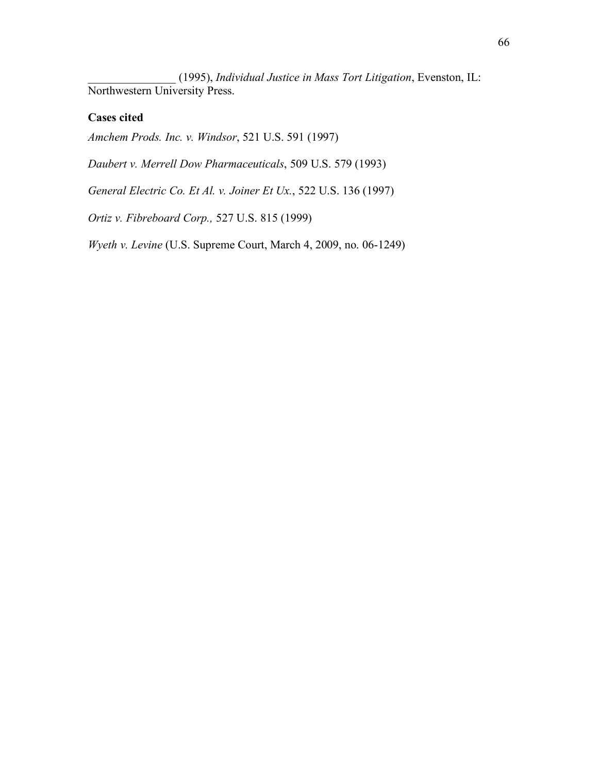\_\_\_\_\_\_\_\_\_\_\_\_\_\_\_ (1995), *Individual Justice in Mass Tort Litigation*, Evenston, IL: Northwestern University Press.

### **Cases cited**

*Amchem Prods. Inc. v. Windsor*, 521 U.S. 591 (1997)

*Daubert v. Merrell Dow Pharmaceuticals*, 509 U.S. 579 (1993)

*General Electric Co. Et Al. v. Joiner Et Ux.*, 522 U.S. 136 (1997)

*Ortiz v. Fibreboard Corp.,* 527 U.S. 815 (1999)

*Wyeth v. Levine* (U.S. Supreme Court, March 4, 2009, no. 06-1249)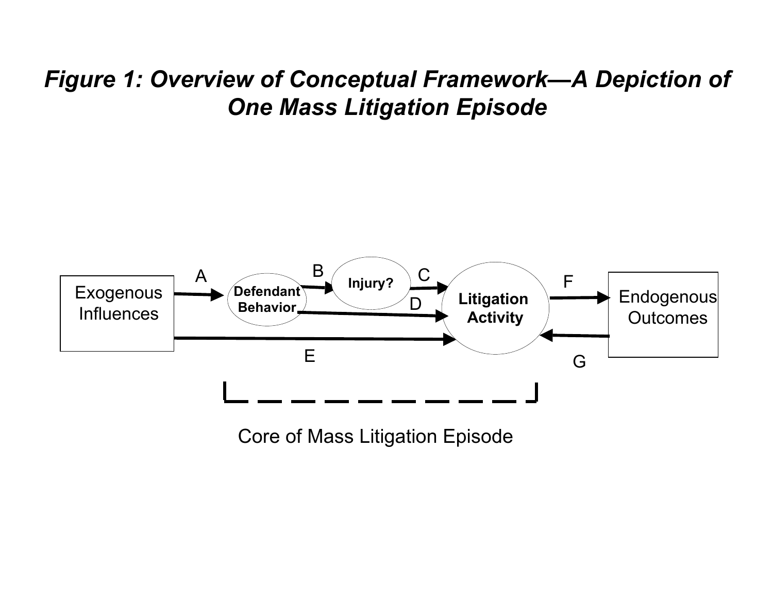## *Figure 1: Overview of Conceptual Framework—A Depiction of One Mass Litigation Episode*



Core of Mass Litigation Episode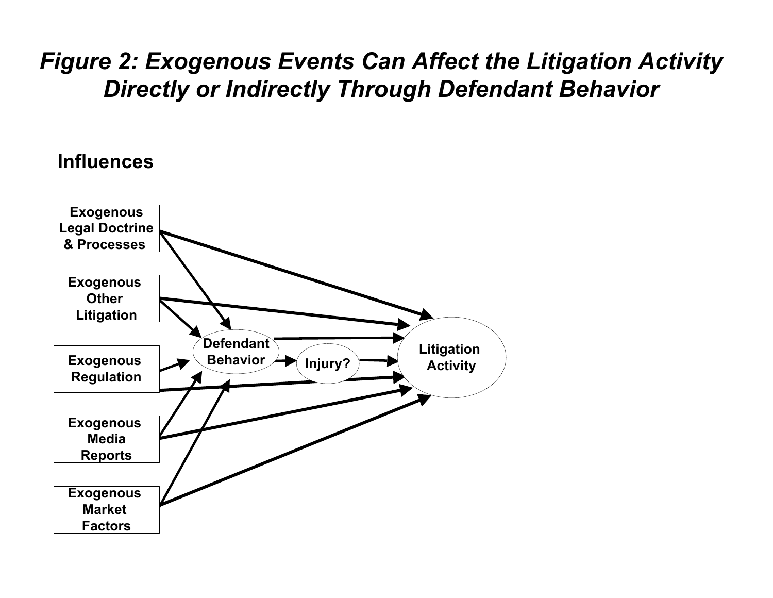# *Figure 2: Exogenous Events Can Affect the Litigation Activity Directly or Indirectly Through Defendant Behavior*

## **Influences**